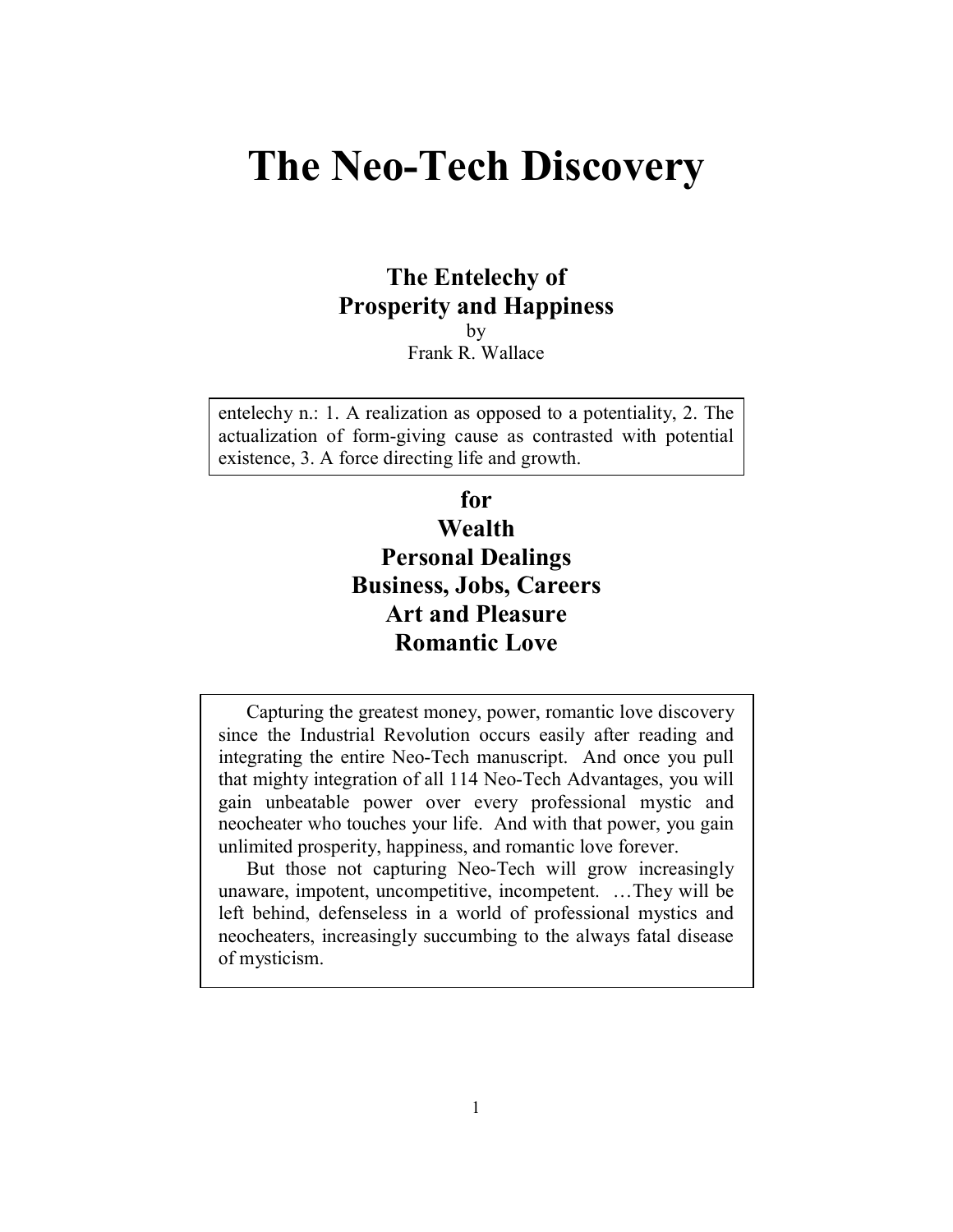# **The Neo-Tech Discovery**

# **The Entelechy of Prosperity and Happiness** by

Frank R. Wallace

entelechy n.: 1. A realization as opposed to a potentiality, 2. The actualization of form-giving cause as contrasted with potential existence, 3. A force directing life and growth.

> **for Wealth Personal Dealings Business, Jobs, Careers Art and Pleasure Romantic Love**

Capturing the greatest money, power, romantic love discovery since the Industrial Revolution occurs easily after reading and integrating the entire Neo-Tech manuscript. And once you pull that mighty integration of all 114 Neo-Tech Advantages, you will gain unbeatable power over every professional mystic and neocheater who touches your life. And with that power, you gain unlimited prosperity, happiness, and romantic love forever.

But those not capturing Neo-Tech will grow increasingly unaware, impotent, uncompetitive, incompetent. …They will be left behind, defenseless in a world of professional mystics and neocheaters, increasingly succumbing to the always fatal disease of mysticism.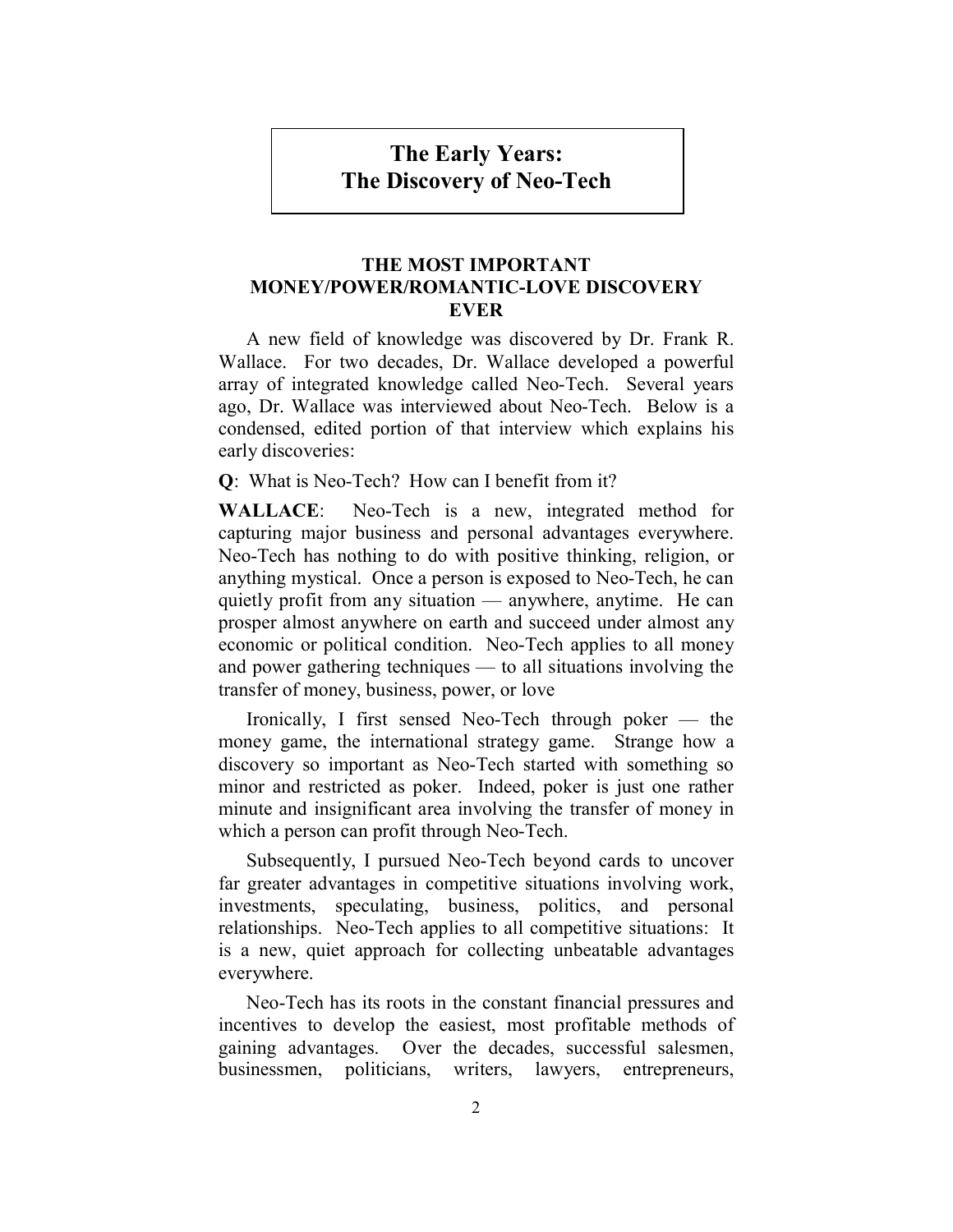# **The Early Years: The Discovery of Neo-Tech**

# **THE MOST IMPORTANT MONEY/POWER/ROMANTIC-LOVE DISCOVERY EVER**

A new field of knowledge was discovered by Dr. Frank R. Wallace. For two decades, Dr. Wallace developed a powerful array of integrated knowledge called Neo-Tech. Several years ago, Dr. Wallace was interviewed about Neo-Tech. Below is a condensed, edited portion of that interview which explains his early discoveries:

**Q**: What is Neo-Tech? How can I benefit from it?

**WALLACE**: Neo-Tech is a new, integrated method for capturing major business and personal advantages everywhere. Neo-Tech has nothing to do with positive thinking, religion, or anything mystical. Once a person is exposed to Neo-Tech, he can quietly profit from any situation — anywhere, anytime. He can prosper almost anywhere on earth and succeed under almost any economic or political condition. Neo-Tech applies to all money and power gathering techniques — to all situations involving the transfer of money, business, power, or love

Ironically, I first sensed Neo-Tech through poker — the money game, the international strategy game. Strange how a discovery so important as Neo-Tech started with something so minor and restricted as poker. Indeed, poker is just one rather minute and insignificant area involving the transfer of money in which a person can profit through Neo-Tech.

Subsequently, I pursued Neo-Tech beyond cards to uncover far greater advantages in competitive situations involving work, investments, speculating, business, politics, and personal relationships. Neo-Tech applies to all competitive situations: It is a new, quiet approach for collecting unbeatable advantages everywhere.

Neo-Tech has its roots in the constant financial pressures and incentives to develop the easiest, most profitable methods of gaining advantages. Over the decades, successful salesmen, businessmen, politicians, writers, lawyers, entrepreneurs,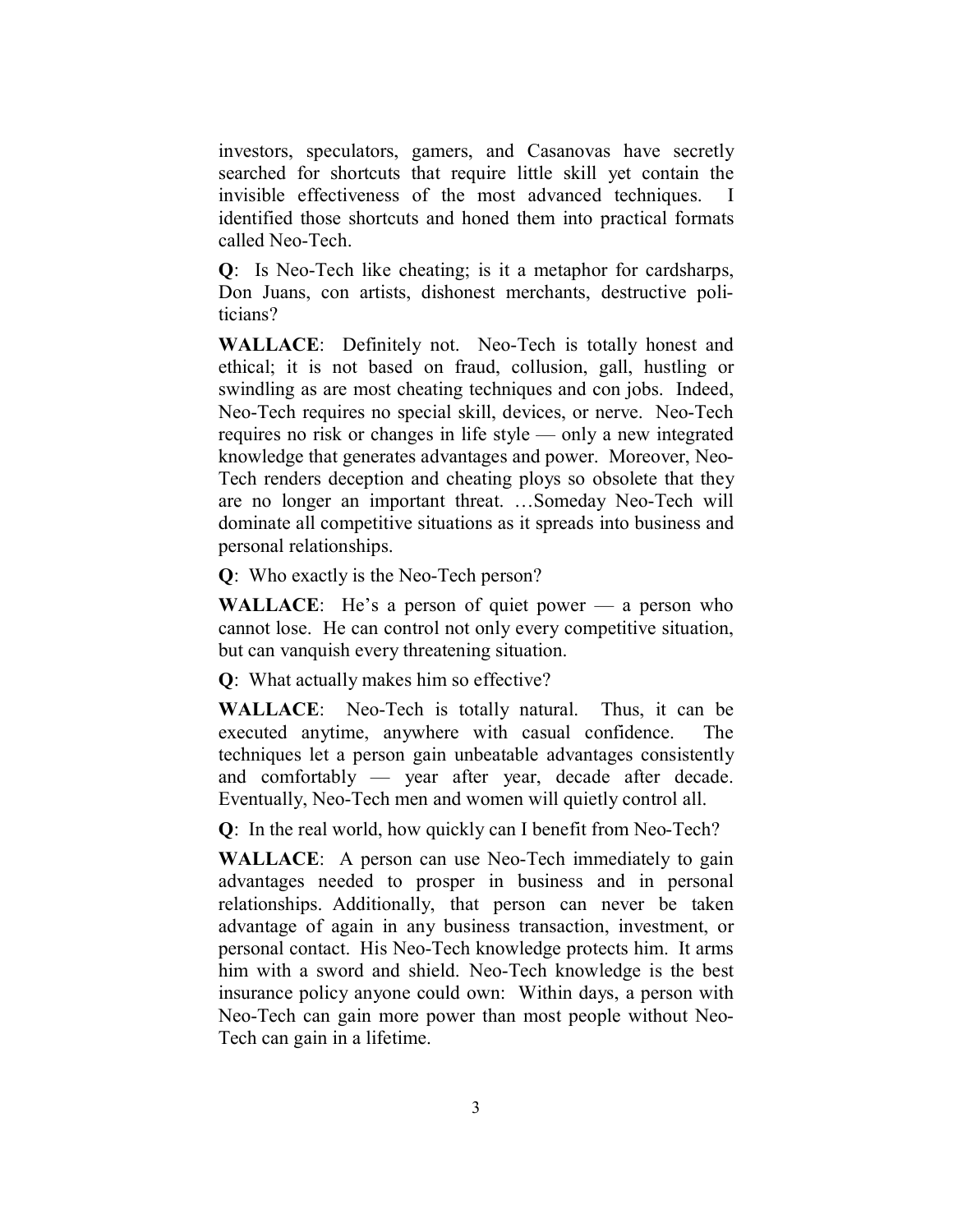investors, speculators, gamers, and Casanovas have secretly searched for shortcuts that require little skill yet contain the invisible effectiveness of the most advanced techniques. I identified those shortcuts and honed them into practical formats called Neo-Tech.

**Q**: Is Neo-Tech like cheating; is it a metaphor for cardsharps, Don Juans, con artists, dishonest merchants, destructive politicians?

**WALLACE**: Definitely not. Neo-Tech is totally honest and ethical; it is not based on fraud, collusion, gall, hustling or swindling as are most cheating techniques and con jobs. Indeed, Neo-Tech requires no special skill, devices, or nerve. Neo-Tech requires no risk or changes in life style — only a new integrated knowledge that generates advantages and power. Moreover, Neo-Tech renders deception and cheating ploys so obsolete that they are no longer an important threat. …Someday Neo-Tech will dominate all competitive situations as it spreads into business and personal relationships.

**Q**: Who exactly is the Neo-Tech person?

**WALLACE**: He's a person of quiet power — a person who cannot lose. He can control not only every competitive situation, but can vanquish every threatening situation.

**Q**: What actually makes him so effective?

**WALLACE**: Neo-Tech is totally natural. Thus, it can be executed anytime, anywhere with casual confidence. The techniques let a person gain unbeatable advantages consistently and comfortably — year after year, decade after decade. Eventually, Neo-Tech men and women will quietly control all.

**Q**: In the real world, how quickly can I benefit from Neo-Tech?

**WALLACE**: A person can use Neo-Tech immediately to gain advantages needed to prosper in business and in personal relationships. Additionally, that person can never be taken advantage of again in any business transaction, investment, or personal contact. His Neo-Tech knowledge protects him. It arms him with a sword and shield. Neo-Tech knowledge is the best insurance policy anyone could own: Within days, a person with Neo-Tech can gain more power than most people without Neo-Tech can gain in a lifetime.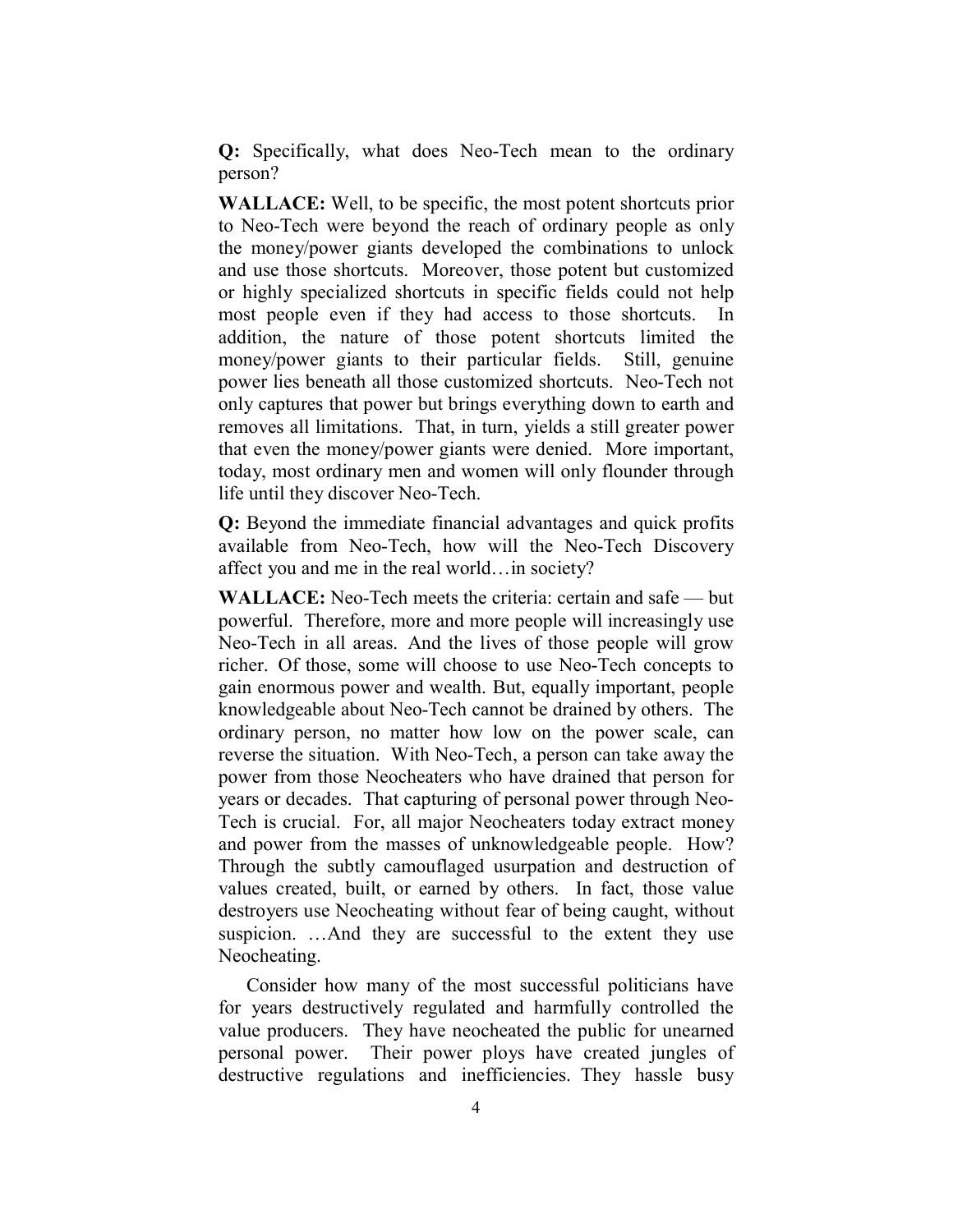**Q:** Specifically, what does Neo-Tech mean to the ordinary person?

**WALLACE:** Well, to be specific, the most potent shortcuts prior to Neo-Tech were beyond the reach of ordinary people as only the money/power giants developed the combinations to unlock and use those shortcuts. Moreover, those potent but customized or highly specialized shortcuts in specific fields could not help most people even if they had access to those shortcuts. In addition, the nature of those potent shortcuts limited the money/power giants to their particular fields. Still, genuine power lies beneath all those customized shortcuts. Neo-Tech not only captures that power but brings everything down to earth and removes all limitations. That, in turn, yields a still greater power that even the money/power giants were denied. More important, today, most ordinary men and women will only flounder through life until they discover Neo-Tech.

**Q:** Beyond the immediate financial advantages and quick profits available from Neo-Tech, how will the Neo-Tech Discovery affect you and me in the real world…in society?

**WALLACE:** Neo-Tech meets the criteria: certain and safe — but powerful. Therefore, more and more people will increasingly use Neo-Tech in all areas. And the lives of those people will grow richer. Of those, some will choose to use Neo-Tech concepts to gain enormous power and wealth. But, equally important, people knowledgeable about Neo-Tech cannot be drained by others. The ordinary person, no matter how low on the power scale, can reverse the situation. With Neo-Tech, a person can take away the power from those Neocheaters who have drained that person for years or decades. That capturing of personal power through Neo-Tech is crucial. For, all major Neocheaters today extract money and power from the masses of unknowledgeable people. How? Through the subtly camouflaged usurpation and destruction of values created, built, or earned by others. In fact, those value destroyers use Neocheating without fear of being caught, without suspicion. …And they are successful to the extent they use Neocheating.

Consider how many of the most successful politicians have for years destructively regulated and harmfully controlled the value producers. They have neocheated the public for unearned personal power. Their power ploys have created jungles of destructive regulations and inefficiencies. They hassle busy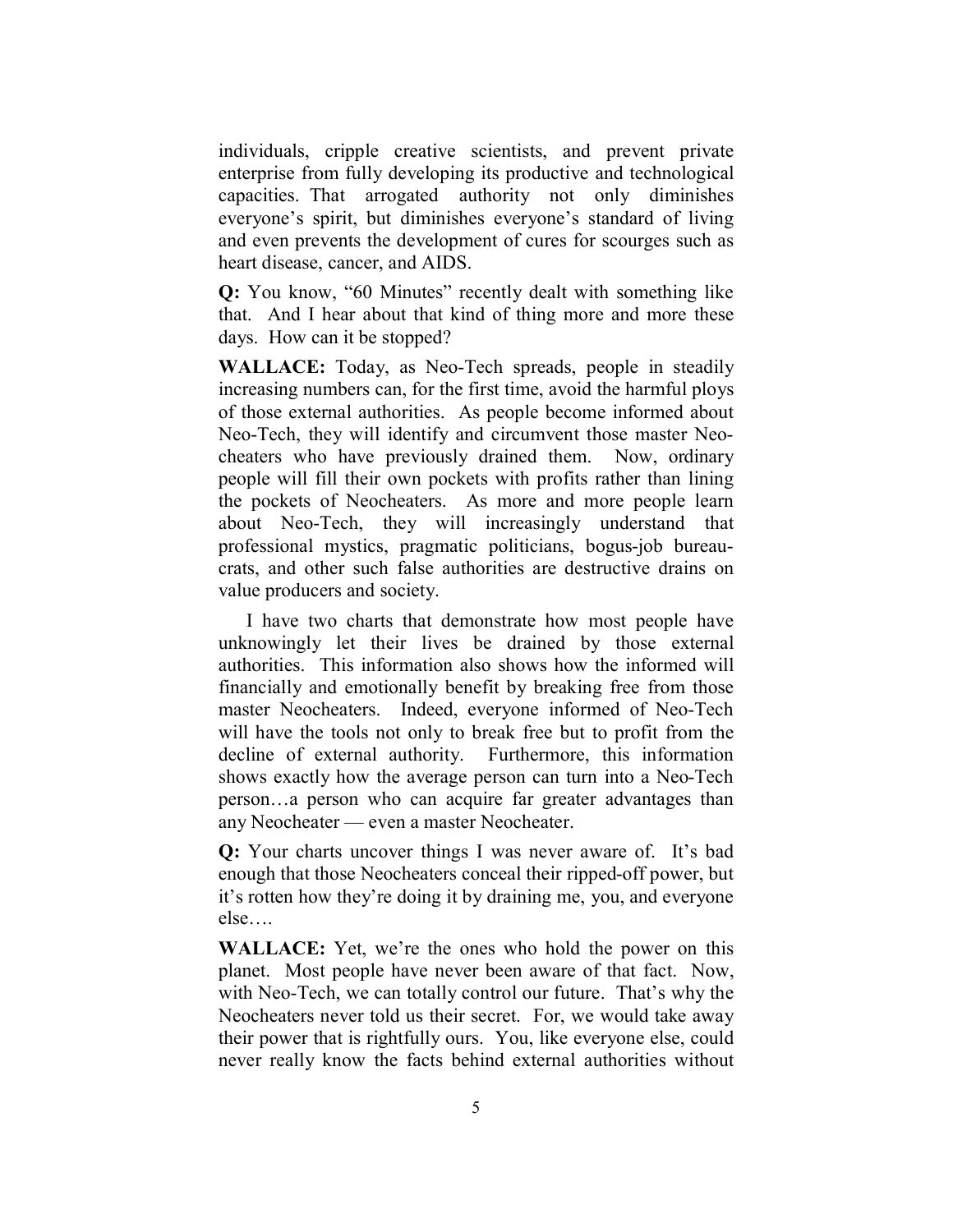individuals, cripple creative scientists, and prevent private enterprise from fully developing its productive and technological capacities. That arrogated authority not only diminishes everyone's spirit, but diminishes everyone's standard of living and even prevents the development of cures for scourges such as heart disease, cancer, and AIDS.

**Q:** You know, "60 Minutes" recently dealt with something like that. And I hear about that kind of thing more and more these days. How can it be stopped?

**WALLACE:** Today, as Neo-Tech spreads, people in steadily increasing numbers can, for the first time, avoid the harmful ploys of those external authorities. As people become informed about Neo-Tech, they will identify and circumvent those master Neocheaters who have previously drained them. Now, ordinary people will fill their own pockets with profits rather than lining the pockets of Neocheaters. As more and more people learn about Neo-Tech, they will increasingly understand that professional mystics, pragmatic politicians, bogus-job bureaucrats, and other such false authorities are destructive drains on value producers and society.

I have two charts that demonstrate how most people have unknowingly let their lives be drained by those external authorities. This information also shows how the informed will financially and emotionally benefit by breaking free from those master Neocheaters. Indeed, everyone informed of Neo-Tech will have the tools not only to break free but to profit from the decline of external authority. Furthermore, this information shows exactly how the average person can turn into a Neo-Tech person…a person who can acquire far greater advantages than any Neocheater — even a master Neocheater.

**Q:** Your charts uncover things I was never aware of. It's bad enough that those Neocheaters conceal their ripped-off power, but it's rotten how they're doing it by draining me, you, and everyone else….

**WALLACE:** Yet, we're the ones who hold the power on this planet. Most people have never been aware of that fact. Now, with Neo-Tech, we can totally control our future. That's why the Neocheaters never told us their secret. For, we would take away their power that is rightfully ours. You, like everyone else, could never really know the facts behind external authorities without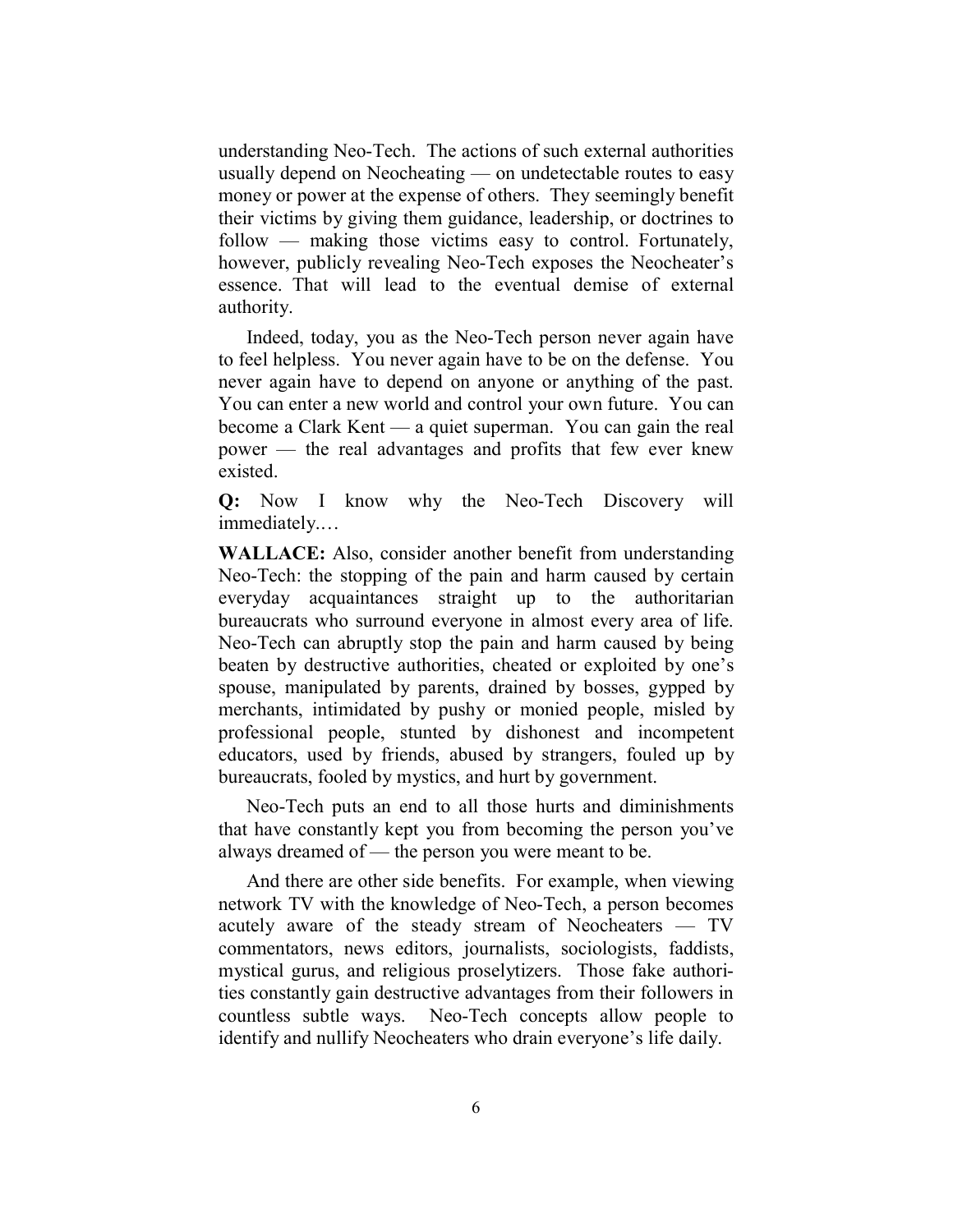understanding Neo-Tech. The actions of such external authorities usually depend on Neocheating — on undetectable routes to easy money or power at the expense of others. They seemingly benefit their victims by giving them guidance, leadership, or doctrines to follow — making those victims easy to control. Fortunately, however, publicly revealing Neo-Tech exposes the Neocheater's essence. That will lead to the eventual demise of external authority.

Indeed, today, you as the Neo-Tech person never again have to feel helpless. You never again have to be on the defense. You never again have to depend on anyone or anything of the past. You can enter a new world and control your own future. You can become a Clark Kent — a quiet superman. You can gain the real power — the real advantages and profits that few ever knew existed.

**Q:** Now I know why the Neo-Tech Discovery will immediately.…

**WALLACE:** Also, consider another benefit from understanding Neo-Tech: the stopping of the pain and harm caused by certain everyday acquaintances straight up to the authoritarian bureaucrats who surround everyone in almost every area of life. Neo-Tech can abruptly stop the pain and harm caused by being beaten by destructive authorities, cheated or exploited by one's spouse, manipulated by parents, drained by bosses, gypped by merchants, intimidated by pushy or monied people, misled by professional people, stunted by dishonest and incompetent educators, used by friends, abused by strangers, fouled up by bureaucrats, fooled by mystics, and hurt by government.

Neo-Tech puts an end to all those hurts and diminishments that have constantly kept you from becoming the person you've always dreamed of — the person you were meant to be.

And there are other side benefits. For example, when viewing network TV with the knowledge of Neo-Tech, a person becomes acutely aware of the steady stream of Neocheaters — TV commentators, news editors, journalists, sociologists, faddists, mystical gurus, and religious proselytizers. Those fake authorities constantly gain destructive advantages from their followers in countless subtle ways. Neo-Tech concepts allow people to identify and nullify Neocheaters who drain everyone's life daily.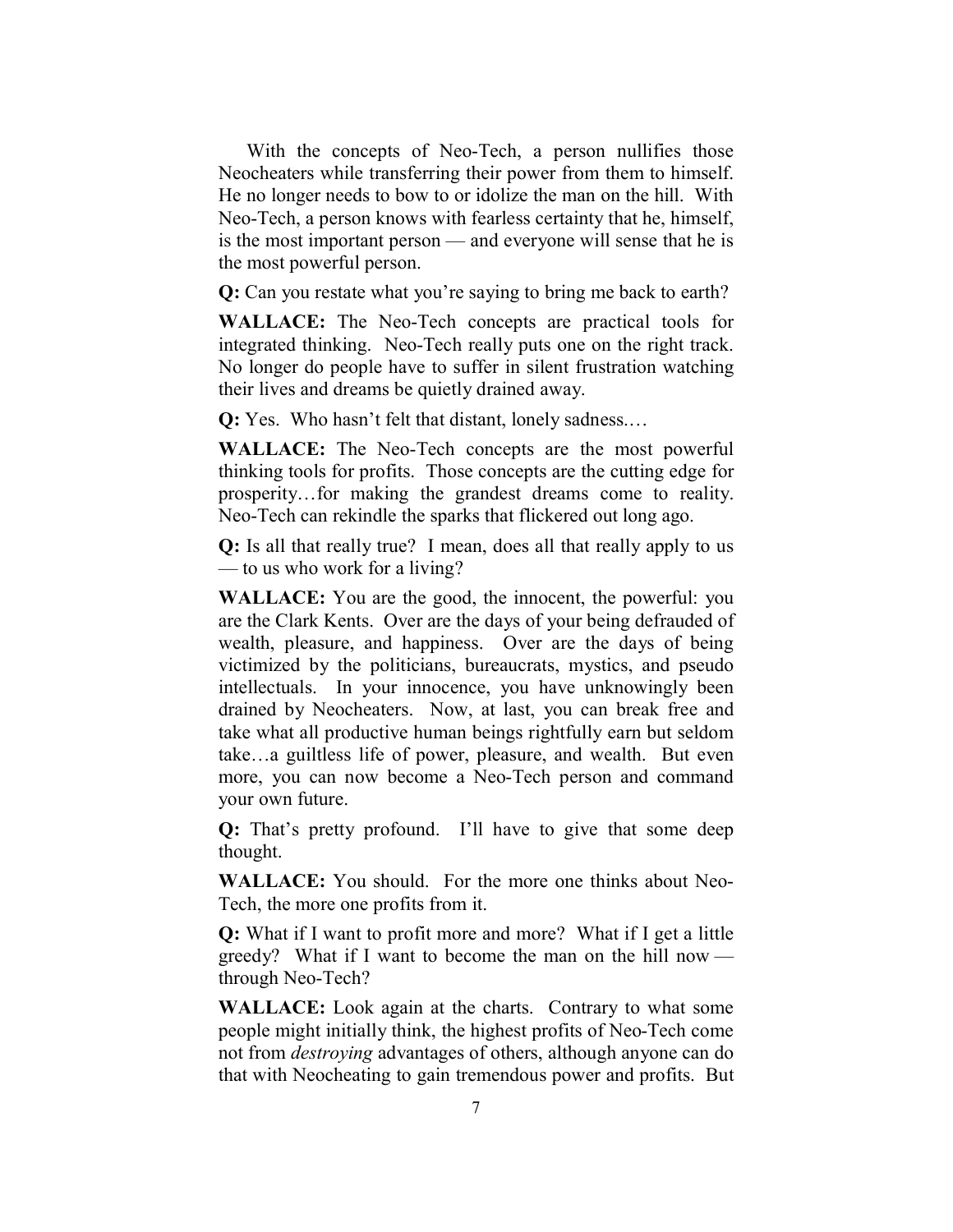With the concepts of Neo-Tech, a person nullifies those Neocheaters while transferring their power from them to himself. He no longer needs to bow to or idolize the man on the hill. With Neo-Tech, a person knows with fearless certainty that he, himself, is the most important person — and everyone will sense that he is the most powerful person.

**Q:** Can you restate what you're saying to bring me back to earth?

**WALLACE:** The Neo-Tech concepts are practical tools for integrated thinking. Neo-Tech really puts one on the right track. No longer do people have to suffer in silent frustration watching their lives and dreams be quietly drained away.

**Q:** Yes. Who hasn't felt that distant, lonely sadness.…

**WALLACE:** The Neo-Tech concepts are the most powerful thinking tools for profits. Those concepts are the cutting edge for prosperity…for making the grandest dreams come to reality. Neo-Tech can rekindle the sparks that flickered out long ago.

**Q:** Is all that really true? I mean, does all that really apply to us — to us who work for a living?

**WALLACE:** You are the good, the innocent, the powerful: you are the Clark Kents. Over are the days of your being defrauded of wealth, pleasure, and happiness. Over are the days of being victimized by the politicians, bureaucrats, mystics, and pseudo intellectuals. In your innocence, you have unknowingly been drained by Neocheaters. Now, at last, you can break free and take what all productive human beings rightfully earn but seldom take…a guiltless life of power, pleasure, and wealth. But even more, you can now become a Neo-Tech person and command your own future.

**Q:** That's pretty profound. I'll have to give that some deep thought.

**WALLACE:** You should. For the more one thinks about Neo-Tech, the more one profits from it.

**Q:** What if I want to profit more and more? What if I get a little greedy? What if I want to become the man on the hill now through Neo-Tech?

**WALLACE:** Look again at the charts. Contrary to what some people might initially think, the highest profits of Neo-Tech come not from *destroying* advantages of others, although anyone can do that with Neocheating to gain tremendous power and profits. But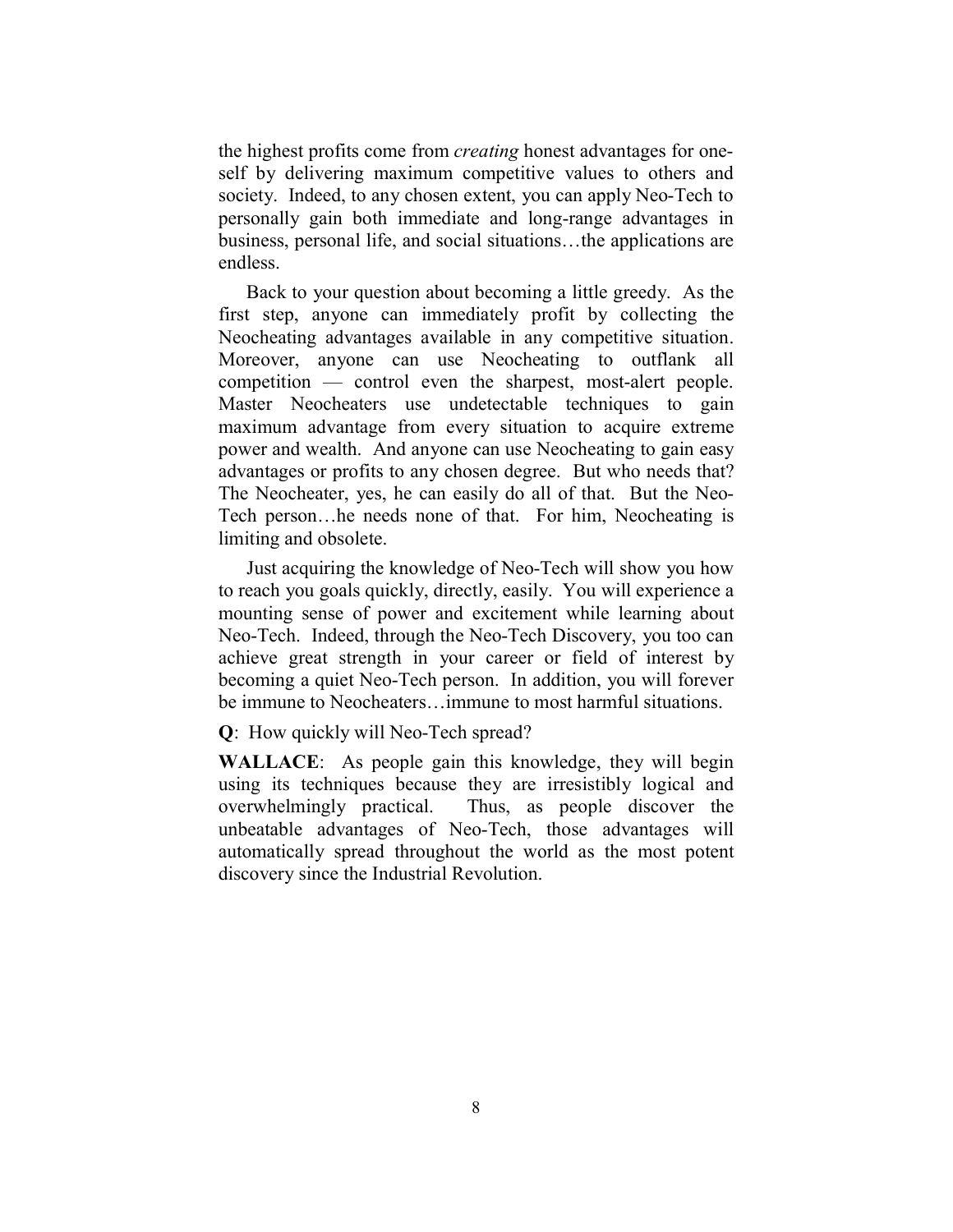the highest profits come from *creating* honest advantages for oneself by delivering maximum competitive values to others and society. Indeed, to any chosen extent, you can apply Neo-Tech to personally gain both immediate and long-range advantages in business, personal life, and social situations…the applications are endless.

Back to your question about becoming a little greedy. As the first step, anyone can immediately profit by collecting the Neocheating advantages available in any competitive situation. Moreover, anyone can use Neocheating to outflank all competition — control even the sharpest, most-alert people. Master Neocheaters use undetectable techniques to gain maximum advantage from every situation to acquire extreme power and wealth. And anyone can use Neocheating to gain easy advantages or profits to any chosen degree. But who needs that? The Neocheater, yes, he can easily do all of that. But the Neo-Tech person…he needs none of that. For him, Neocheating is limiting and obsolete.

Just acquiring the knowledge of Neo-Tech will show you how to reach you goals quickly, directly, easily. You will experience a mounting sense of power and excitement while learning about Neo-Tech. Indeed, through the Neo-Tech Discovery, you too can achieve great strength in your career or field of interest by becoming a quiet Neo-Tech person. In addition, you will forever be immune to Neocheaters…immune to most harmful situations.

**Q**: How quickly will Neo-Tech spread?

**WALLACE**: As people gain this knowledge, they will begin using its techniques because they are irresistibly logical and overwhelmingly practical. Thus, as people discover the unbeatable advantages of Neo-Tech, those advantages will automatically spread throughout the world as the most potent discovery since the Industrial Revolution.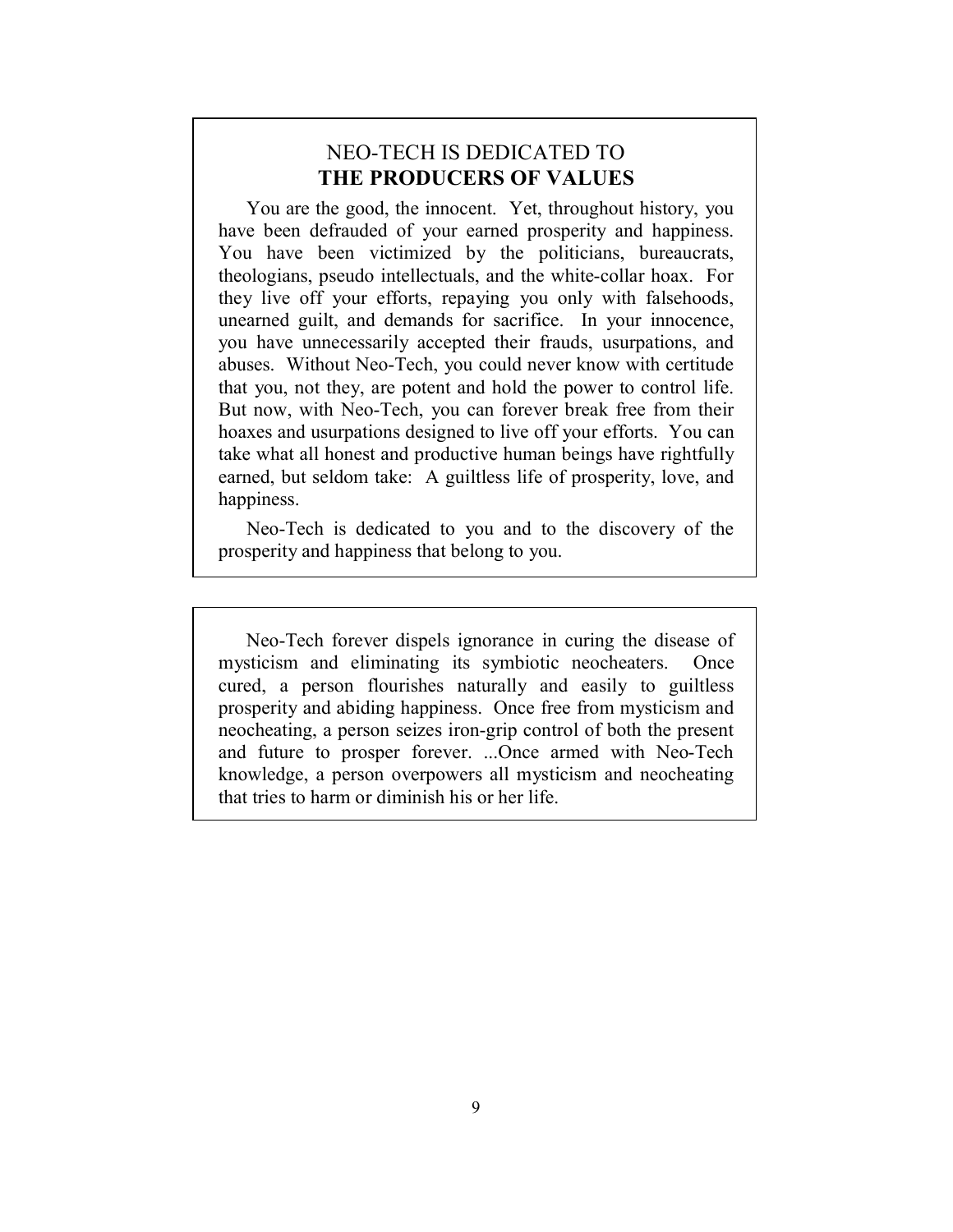# NEO-TECH IS DEDICATED TO **THE PRODUCERS OF VALUES**

You are the good, the innocent. Yet, throughout history, you have been defrauded of your earned prosperity and happiness. You have been victimized by the politicians, bureaucrats, theologians, pseudo intellectuals, and the white-collar hoax. For they live off your efforts, repaying you only with falsehoods, unearned guilt, and demands for sacrifice. In your innocence, you have unnecessarily accepted their frauds, usurpations, and abuses. Without Neo-Tech, you could never know with certitude that you, not they, are potent and hold the power to control life. But now, with Neo-Tech, you can forever break free from their hoaxes and usurpations designed to live off your efforts. You can take what all honest and productive human beings have rightfully earned, but seldom take: A guiltless life of prosperity, love, and happiness.

Neo-Tech is dedicated to you and to the discovery of the prosperity and happiness that belong to you.

Neo-Tech forever dispels ignorance in curing the disease of mysticism and eliminating its symbiotic neocheaters. Once cured, a person flourishes naturally and easily to guiltless prosperity and abiding happiness. Once free from mysticism and neocheating, a person seizes iron-grip control of both the present and future to prosper forever. ...Once armed with Neo-Tech knowledge, a person overpowers all mysticism and neocheating that tries to harm or diminish his or her life.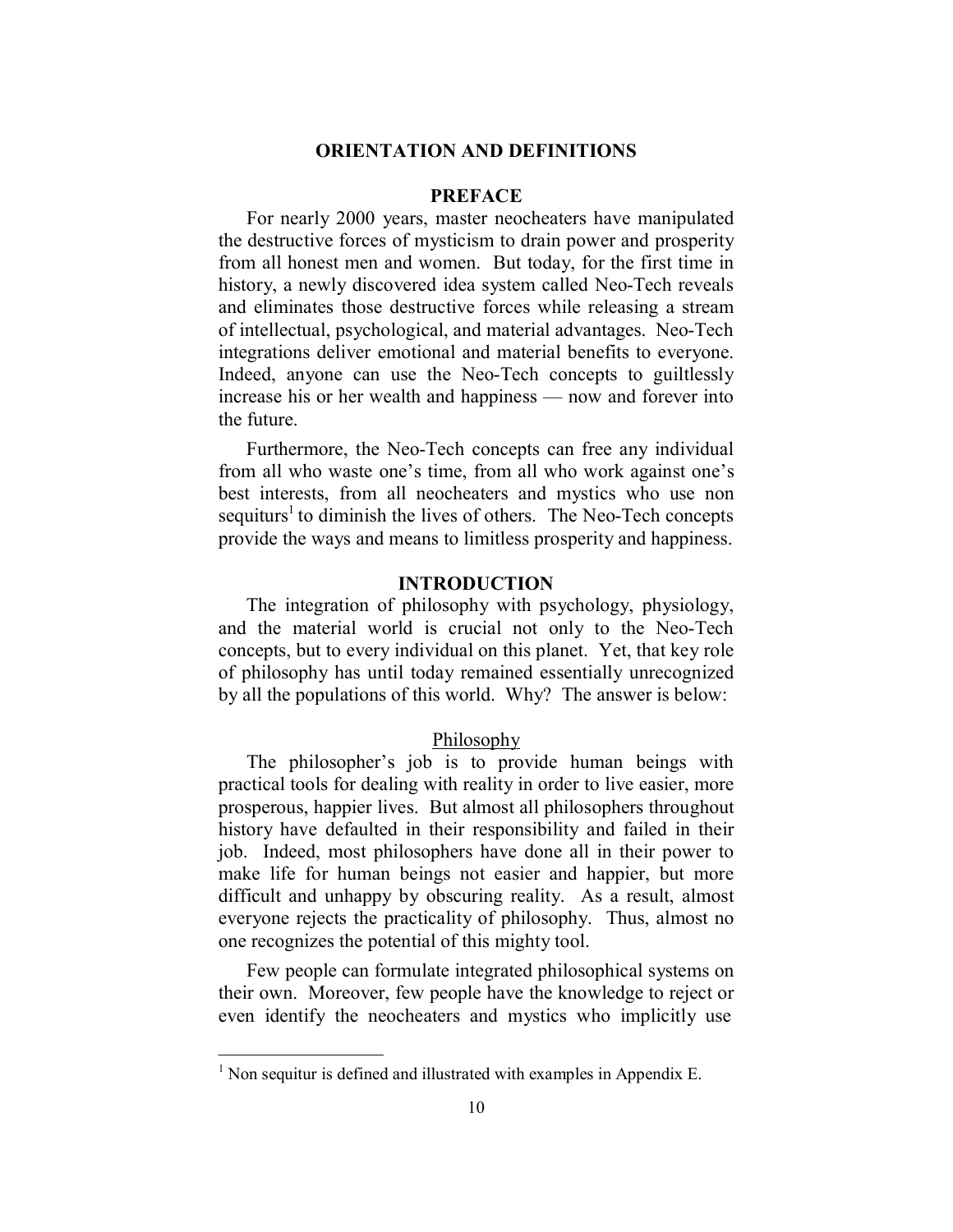## **ORIENTATION AND DEFINITIONS**

## **PREFACE**

For nearly 2000 years, master neocheaters have manipulated the destructive forces of mysticism to drain power and prosperity from all honest men and women. But today, for the first time in history, a newly discovered idea system called Neo-Tech reveals and eliminates those destructive forces while releasing a stream of intellectual, psychological, and material advantages. Neo-Tech integrations deliver emotional and material benefits to everyone. Indeed, anyone can use the Neo-Tech concepts to guiltlessly increase his or her wealth and happiness — now and forever into the future.

Furthermore, the Neo-Tech concepts can free any individual from all who waste one's time, from all who work against one's best interests, from all neocheaters and mystics who use non sequiturs<sup>1</sup> to diminish the lives of others. The Neo-Tech concepts provide the ways and means to limitless prosperity and happiness.

## **INTRODUCTION**

The integration of philosophy with psychology, physiology, and the material world is crucial not only to the Neo-Tech concepts, but to every individual on this planet. Yet, that key role of philosophy has until today remained essentially unrecognized by all the populations of this world. Why? The answer is below:

## Philosophy

The philosopher's job is to provide human beings with practical tools for dealing with reality in order to live easier, more prosperous, happier lives. But almost all philosophers throughout history have defaulted in their responsibility and failed in their job. Indeed, most philosophers have done all in their power to make life for human beings not easier and happier, but more difficult and unhappy by obscuring reality. As a result, almost everyone rejects the practicality of philosophy. Thus, almost no one recognizes the potential of this mighty tool.

Few people can formulate integrated philosophical systems on their own. Moreover, few people have the knowledge to reject or even identify the neocheaters and mystics who implicitly use

 $\mathcal{L}_\text{max}$  and  $\mathcal{L}_\text{max}$  and  $\mathcal{L}_\text{max}$ 

 $1$  Non sequitur is defined and illustrated with examples in Appendix E.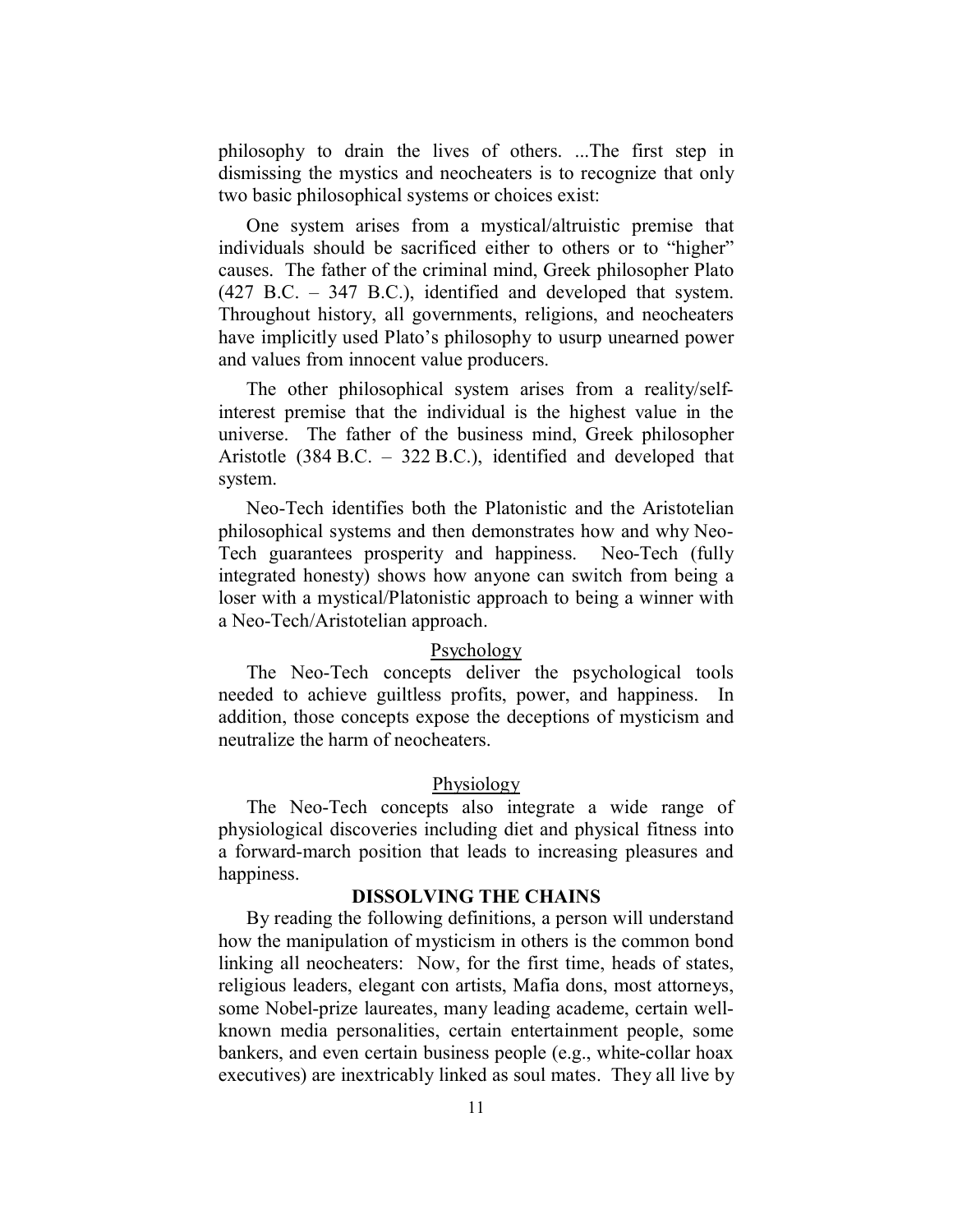philosophy to drain the lives of others. ...The first step in dismissing the mystics and neocheaters is to recognize that only two basic philosophical systems or choices exist:

One system arises from a mystical/altruistic premise that individuals should be sacrificed either to others or to "higher" causes. The father of the criminal mind, Greek philosopher Plato (427 B.C. – 347 B.C.), identified and developed that system. Throughout history, all governments, religions, and neocheaters have implicitly used Plato's philosophy to usurp unearned power and values from innocent value producers.

The other philosophical system arises from a reality/selfinterest premise that the individual is the highest value in the universe. The father of the business mind, Greek philosopher Aristotle (384 B.C. – 322 B.C.), identified and developed that system.

Neo-Tech identifies both the Platonistic and the Aristotelian philosophical systems and then demonstrates how and why Neo-Tech guarantees prosperity and happiness. Neo-Tech (fully integrated honesty) shows how anyone can switch from being a loser with a mystical/Platonistic approach to being a winner with a Neo-Tech/Aristotelian approach.

#### Psychology

The Neo-Tech concepts deliver the psychological tools needed to achieve guiltless profits, power, and happiness. In addition, those concepts expose the deceptions of mysticism and neutralize the harm of neocheaters.

## Physiology

The Neo-Tech concepts also integrate a wide range of physiological discoveries including diet and physical fitness into a forward-march position that leads to increasing pleasures and happiness.

#### **DISSOLVING THE CHAINS**

By reading the following definitions, a person will understand how the manipulation of mysticism in others is the common bond linking all neocheaters: Now, for the first time, heads of states, religious leaders, elegant con artists, Mafia dons, most attorneys, some Nobel-prize laureates, many leading academe, certain wellknown media personalities, certain entertainment people, some bankers, and even certain business people (e.g., white-collar hoax executives) are inextricably linked as soul mates. They all live by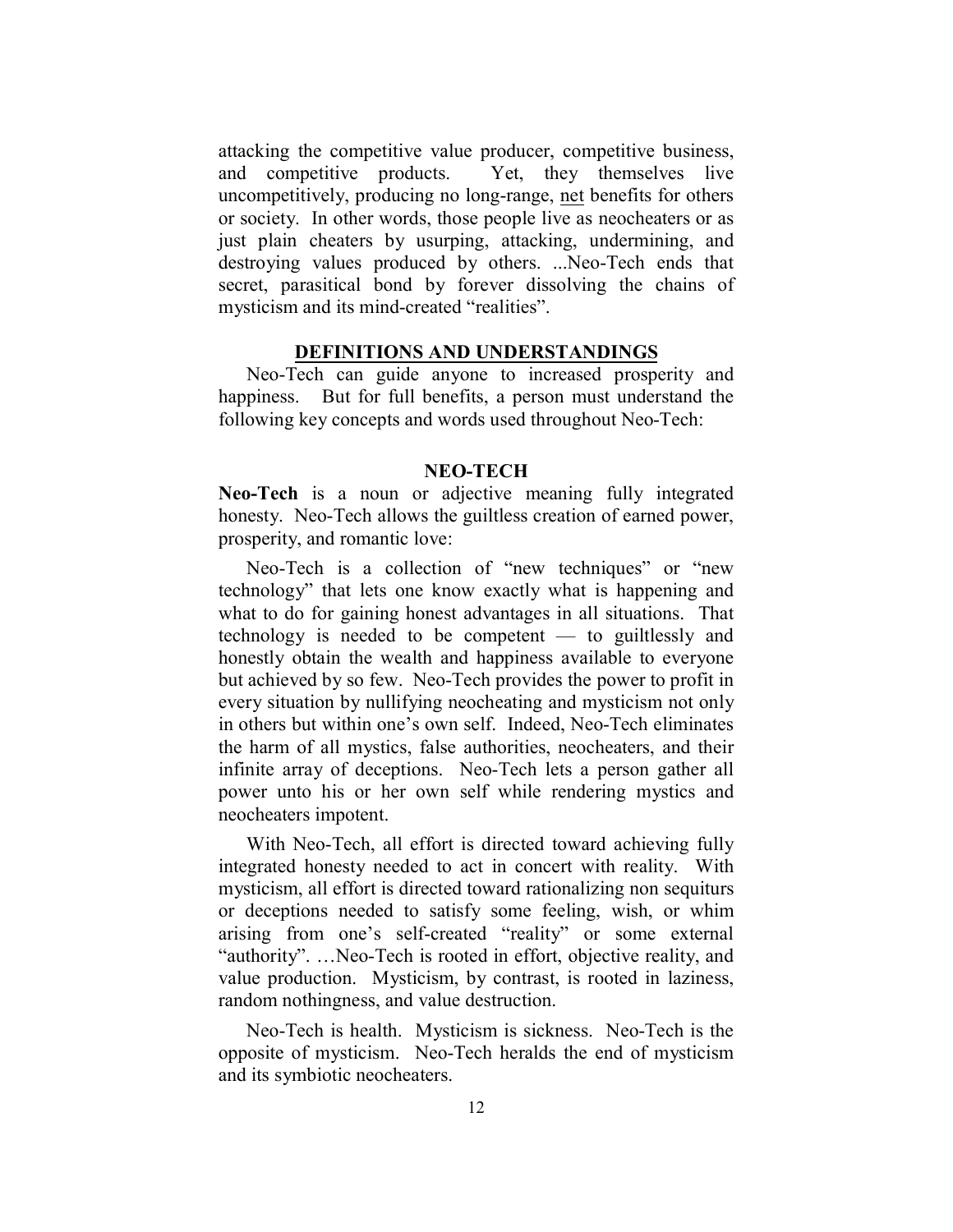attacking the competitive value producer, competitive business, and competitive products. Yet, they themselves live uncompetitively, producing no long-range, net benefits for others or society. In other words, those people live as neocheaters or as just plain cheaters by usurping, attacking, undermining, and destroying values produced by others. ...Neo-Tech ends that secret, parasitical bond by forever dissolving the chains of mysticism and its mind-created "realities".

#### **DEFINITIONS AND UNDERSTANDINGS**

Neo-Tech can guide anyone to increased prosperity and happiness. But for full benefits, a person must understand the following key concepts and words used throughout Neo-Tech:

## **NEO-TECH**

**Neo-Tech** is a noun or adjective meaning fully integrated honesty. Neo-Tech allows the guiltless creation of earned power, prosperity, and romantic love:

Neo-Tech is a collection of "new techniques" or "new technology" that lets one know exactly what is happening and what to do for gaining honest advantages in all situations. That technology is needed to be competent — to guiltlessly and honestly obtain the wealth and happiness available to everyone but achieved by so few. Neo-Tech provides the power to profit in every situation by nullifying neocheating and mysticism not only in others but within one's own self. Indeed, Neo-Tech eliminates the harm of all mystics, false authorities, neocheaters, and their infinite array of deceptions. Neo-Tech lets a person gather all power unto his or her own self while rendering mystics and neocheaters impotent.

With Neo-Tech, all effort is directed toward achieving fully integrated honesty needed to act in concert with reality. With mysticism, all effort is directed toward rationalizing non sequiturs or deceptions needed to satisfy some feeling, wish, or whim arising from one's self-created "reality" or some external "authority". …Neo-Tech is rooted in effort, objective reality, and value production. Mysticism, by contrast, is rooted in laziness, random nothingness, and value destruction.

Neo-Tech is health. Mysticism is sickness. Neo-Tech is the opposite of mysticism. Neo-Tech heralds the end of mysticism and its symbiotic neocheaters.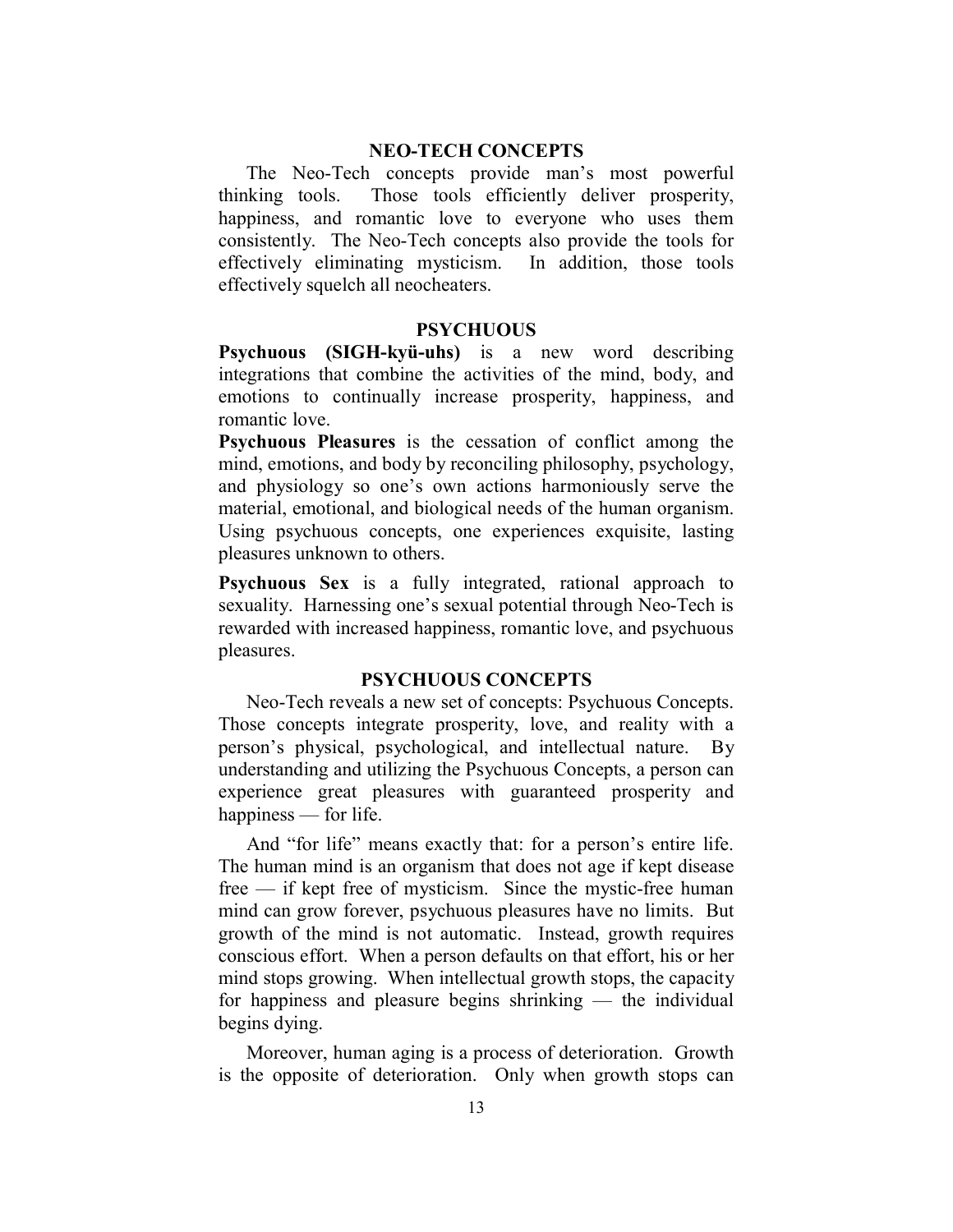## **NEO-TECH CONCEPTS**

The Neo-Tech concepts provide man's most powerful thinking tools. Those tools efficiently deliver prosperity, happiness, and romantic love to everyone who uses them consistently. The Neo-Tech concepts also provide the tools for effectively eliminating mysticism. In addition, those tools effectively squelch all neocheaters.

#### **PSYCHUOUS**

**Psychuous (SIGH-kyü-uhs)** is a new word describing integrations that combine the activities of the mind, body, and emotions to continually increase prosperity, happiness, and romantic love.

**Psychuous Pleasures** is the cessation of conflict among the mind, emotions, and body by reconciling philosophy, psychology, and physiology so one's own actions harmoniously serve the material, emotional, and biological needs of the human organism. Using psychuous concepts, one experiences exquisite, lasting pleasures unknown to others.

**Psychuous Sex** is a fully integrated, rational approach to sexuality. Harnessing one's sexual potential through Neo-Tech is rewarded with increased happiness, romantic love, and psychuous pleasures.

## **PSYCHUOUS CONCEPTS**

Neo-Tech reveals a new set of concepts: Psychuous Concepts. Those concepts integrate prosperity, love, and reality with a person's physical, psychological, and intellectual nature. By understanding and utilizing the Psychuous Concepts, a person can experience great pleasures with guaranteed prosperity and happiness — for life.

And "for life" means exactly that: for a person's entire life. The human mind is an organism that does not age if kept disease free — if kept free of mysticism. Since the mystic-free human mind can grow forever, psychuous pleasures have no limits. But growth of the mind is not automatic. Instead, growth requires conscious effort. When a person defaults on that effort, his or her mind stops growing. When intellectual growth stops, the capacity for happiness and pleasure begins shrinking — the individual begins dying.

Moreover, human aging is a process of deterioration. Growth is the opposite of deterioration. Only when growth stops can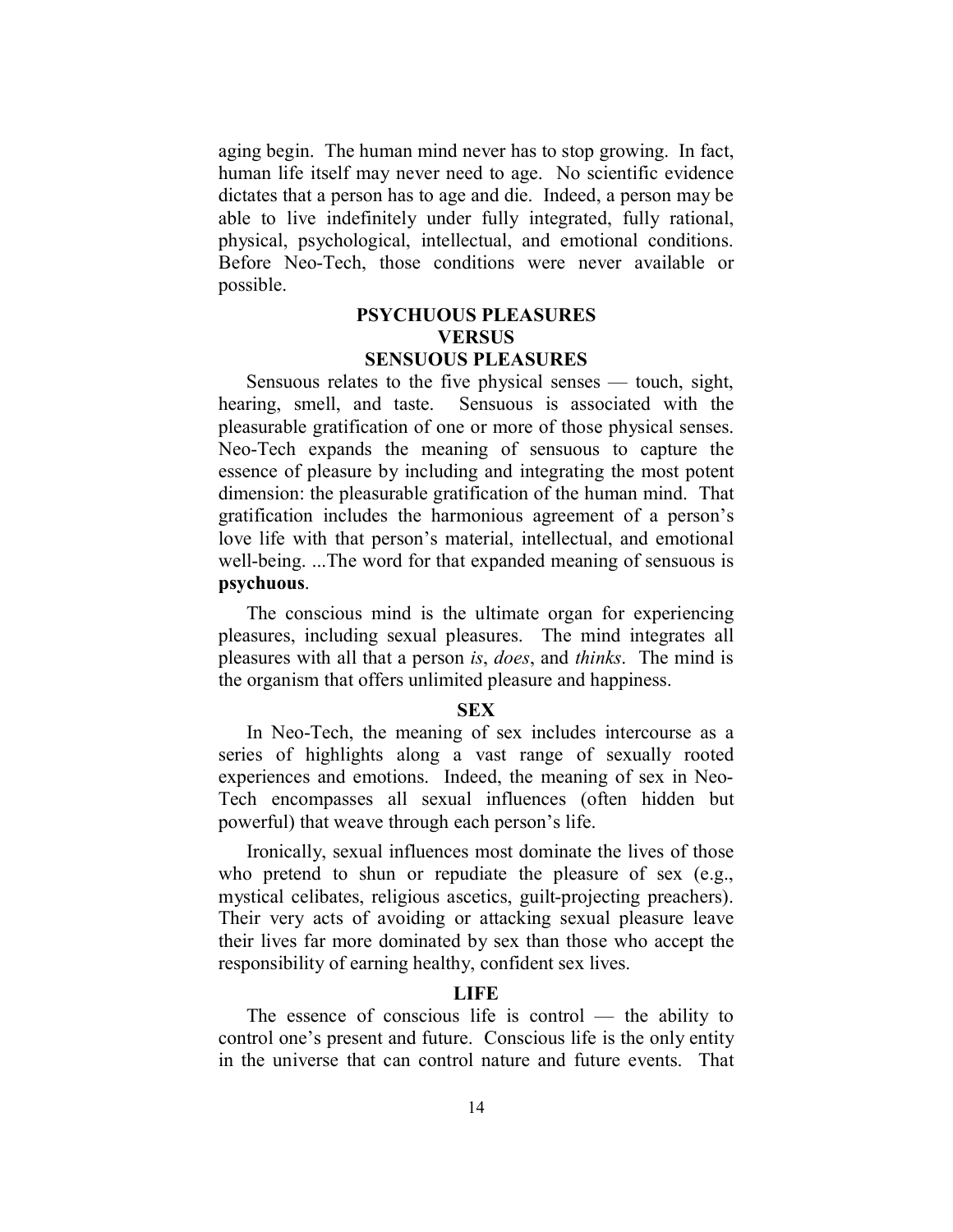aging begin. The human mind never has to stop growing. In fact, human life itself may never need to age. No scientific evidence dictates that a person has to age and die. Indeed, a person may be able to live indefinitely under fully integrated, fully rational, physical, psychological, intellectual, and emotional conditions. Before Neo-Tech, those conditions were never available or possible.

## **PSYCHUOUS PLEASURES VERSUS SENSUOUS PLEASURES**

# Sensuous relates to the five physical senses — touch, sight, hearing, smell, and taste. Sensuous is associated with the pleasurable gratification of one or more of those physical senses. Neo-Tech expands the meaning of sensuous to capture the essence of pleasure by including and integrating the most potent dimension: the pleasurable gratification of the human mind. That gratification includes the harmonious agreement of a person's love life with that person's material, intellectual, and emotional well-being. ...The word for that expanded meaning of sensuous is **psychuous**.

The conscious mind is the ultimate organ for experiencing pleasures, including sexual pleasures. The mind integrates all pleasures with all that a person *is*, *does*, and *thinks*. The mind is the organism that offers unlimited pleasure and happiness.

#### **SEX**

In Neo-Tech, the meaning of sex includes intercourse as a series of highlights along a vast range of sexually rooted experiences and emotions. Indeed, the meaning of sex in Neo-Tech encompasses all sexual influences (often hidden but powerful) that weave through each person's life.

Ironically, sexual influences most dominate the lives of those who pretend to shun or repudiate the pleasure of sex (e.g., mystical celibates, religious ascetics, guilt-projecting preachers). Their very acts of avoiding or attacking sexual pleasure leave their lives far more dominated by sex than those who accept the responsibility of earning healthy, confident sex lives.

## **LIFE**

The essence of conscious life is control  $-$  the ability to control one's present and future. Conscious life is the only entity in the universe that can control nature and future events. That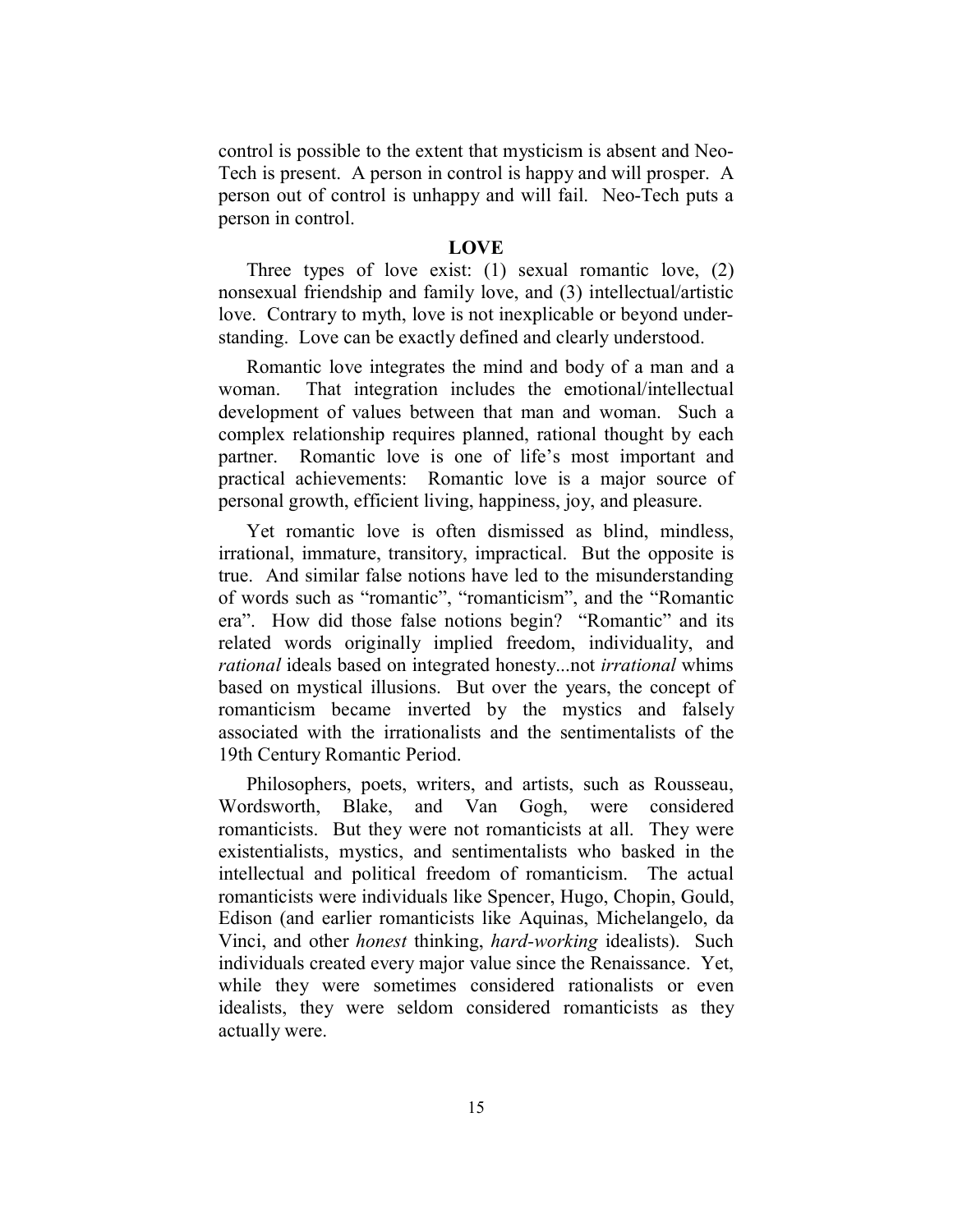control is possible to the extent that mysticism is absent and Neo-Tech is present. A person in control is happy and will prosper. A person out of control is unhappy and will fail. Neo-Tech puts a person in control.

## **LOVE**

Three types of love exist: (1) sexual romantic love, (2) nonsexual friendship and family love, and (3) intellectual/artistic love. Contrary to myth, love is not inexplicable or beyond understanding. Love can be exactly defined and clearly understood.

Romantic love integrates the mind and body of a man and a woman. That integration includes the emotional/intellectual development of values between that man and woman. Such a complex relationship requires planned, rational thought by each partner. Romantic love is one of life's most important and practical achievements: Romantic love is a major source of personal growth, efficient living, happiness, joy, and pleasure.

Yet romantic love is often dismissed as blind, mindless, irrational, immature, transitory, impractical. But the opposite is true. And similar false notions have led to the misunderstanding of words such as "romantic", "romanticism", and the "Romantic era". How did those false notions begin? "Romantic" and its related words originally implied freedom, individuality, and *rational* ideals based on integrated honesty...not *irrational* whims based on mystical illusions. But over the years, the concept of romanticism became inverted by the mystics and falsely associated with the irrationalists and the sentimentalists of the 19th Century Romantic Period.

Philosophers, poets, writers, and artists, such as Rousseau, Wordsworth, Blake, and Van Gogh, were considered romanticists. But they were not romanticists at all. They were existentialists, mystics, and sentimentalists who basked in the intellectual and political freedom of romanticism. The actual romanticists were individuals like Spencer, Hugo, Chopin, Gould, Edison (and earlier romanticists like Aquinas, Michelangelo, da Vinci, and other *honest* thinking, *hard-working* idealists). Such individuals created every major value since the Renaissance. Yet, while they were sometimes considered rationalists or even idealists, they were seldom considered romanticists as they actually were.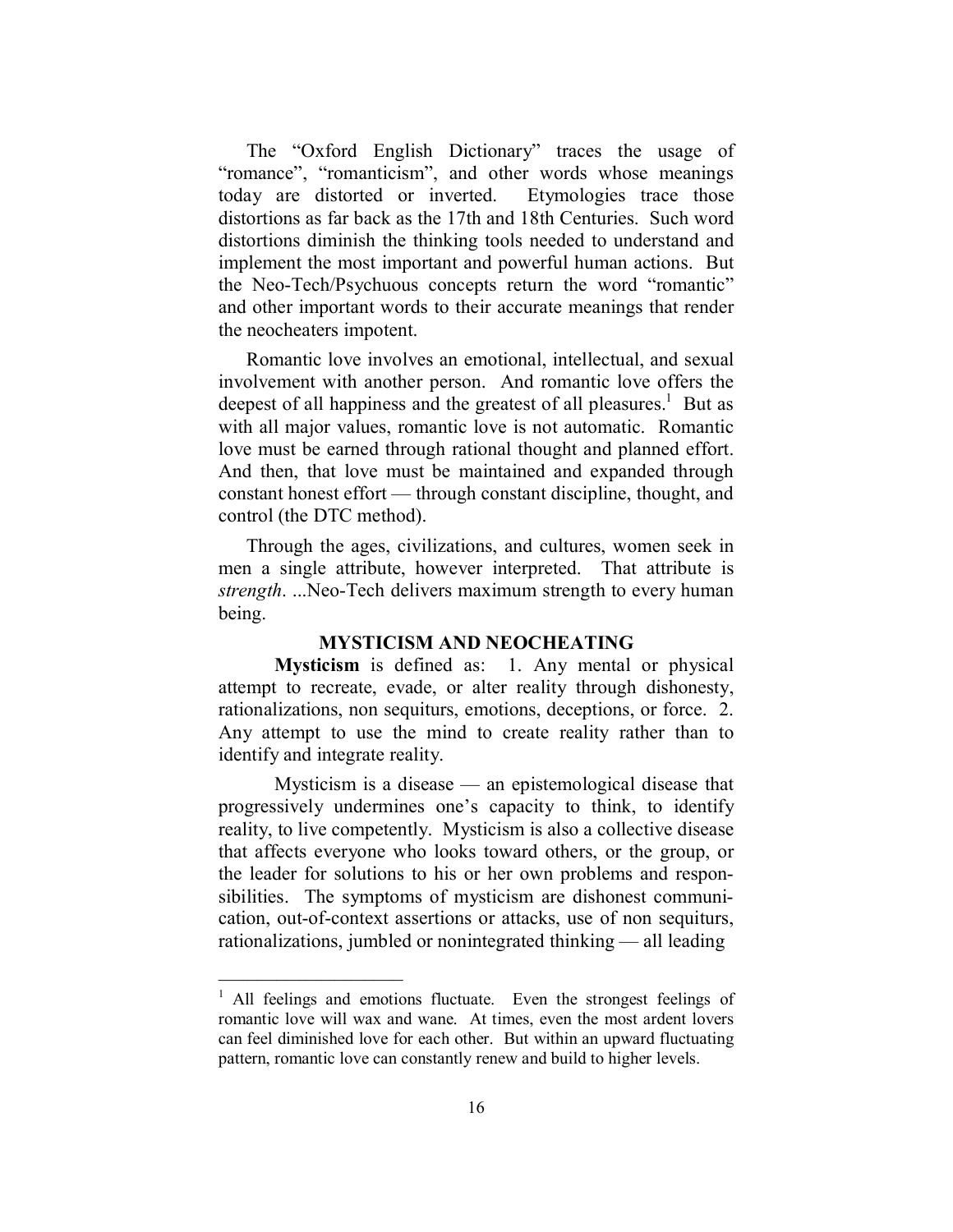The "Oxford English Dictionary" traces the usage of "romance", "romanticism", and other words whose meanings today are distorted or inverted. Etymologies trace those distortions as far back as the 17th and 18th Centuries. Such word distortions diminish the thinking tools needed to understand and implement the most important and powerful human actions. But the Neo-Tech/Psychuous concepts return the word "romantic" and other important words to their accurate meanings that render the neocheaters impotent.

Romantic love involves an emotional, intellectual, and sexual involvement with another person. And romantic love offers the deepest of all happiness and the greatest of all pleasures.<sup>1</sup> But as with all major values, romantic love is not automatic. Romantic love must be earned through rational thought and planned effort. And then, that love must be maintained and expanded through constant honest effort — through constant discipline, thought, and control (the DTC method).

Through the ages, civilizations, and cultures, women seek in men a single attribute, however interpreted. That attribute is *strength*. ...Neo-Tech delivers maximum strength to every human being.

## **MYSTICISM AND NEOCHEATING**

**Mysticism** is defined as: 1. Any mental or physical attempt to recreate, evade, or alter reality through dishonesty, rationalizations, non sequiturs, emotions, deceptions, or force. 2. Any attempt to use the mind to create reality rather than to identify and integrate reality.

Mysticism is a disease — an epistemological disease that progressively undermines one's capacity to think, to identify reality, to live competently. Mysticism is also a collective disease that affects everyone who looks toward others, or the group, or the leader for solutions to his or her own problems and responsibilities. The symptoms of mysticism are dishonest communication, out-of-context assertions or attacks, use of non sequiturs, rationalizations, jumbled or nonintegrated thinking — all leading

 $\mathcal{L}_\text{max}$ 

 $<sup>1</sup>$  All feelings and emotions fluctuate. Even the strongest feelings of</sup> romantic love will wax and wane. At times, even the most ardent lovers can feel diminished love for each other. But within an upward fluctuating pattern, romantic love can constantly renew and build to higher levels.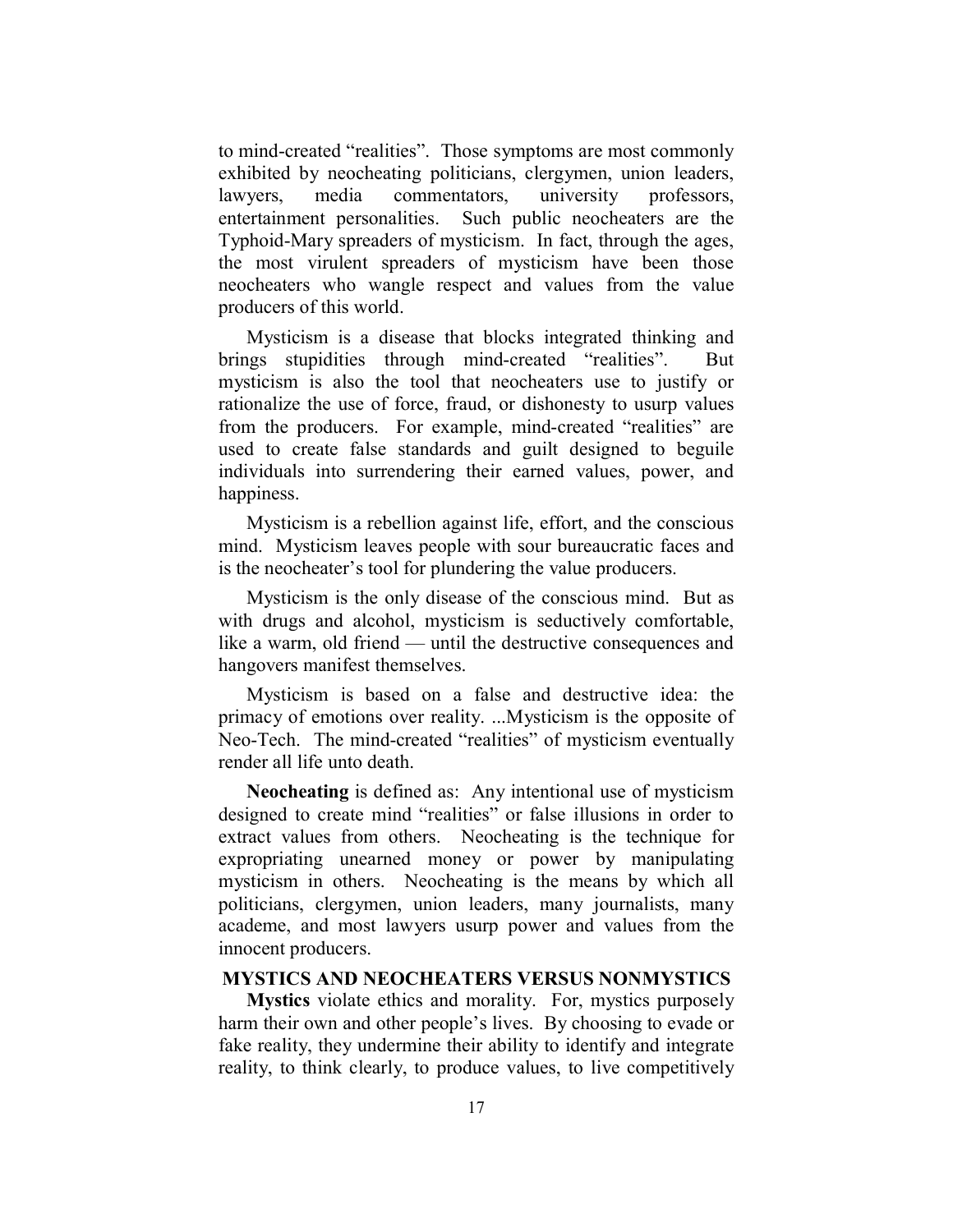to mind-created "realities". Those symptoms are most commonly exhibited by neocheating politicians, clergymen, union leaders, lawyers, media commentators, university professors, entertainment personalities. Such public neocheaters are the Typhoid-Mary spreaders of mysticism. In fact, through the ages, the most virulent spreaders of mysticism have been those neocheaters who wangle respect and values from the value producers of this world.

Mysticism is a disease that blocks integrated thinking and brings stupidities through mind-created "realities". But mysticism is also the tool that neocheaters use to justify or rationalize the use of force, fraud, or dishonesty to usurp values from the producers. For example, mind-created "realities" are used to create false standards and guilt designed to beguile individuals into surrendering their earned values, power, and happiness.

Mysticism is a rebellion against life, effort, and the conscious mind. Mysticism leaves people with sour bureaucratic faces and is the neocheater's tool for plundering the value producers.

Mysticism is the only disease of the conscious mind. But as with drugs and alcohol, mysticism is seductively comfortable, like a warm, old friend — until the destructive consequences and hangovers manifest themselves.

Mysticism is based on a false and destructive idea: the primacy of emotions over reality. ...Mysticism is the opposite of Neo-Tech. The mind-created "realities" of mysticism eventually render all life unto death.

**Neocheating** is defined as: Any intentional use of mysticism designed to create mind "realities" or false illusions in order to extract values from others. Neocheating is the technique for expropriating unearned money or power by manipulating mysticism in others. Neocheating is the means by which all politicians, clergymen, union leaders, many journalists, many academe, and most lawyers usurp power and values from the innocent producers.

# **MYSTICS AND NEOCHEATERS VERSUS NONMYSTICS**

**Mystics** violate ethics and morality. For, mystics purposely harm their own and other people's lives. By choosing to evade or fake reality, they undermine their ability to identify and integrate reality, to think clearly, to produce values, to live competitively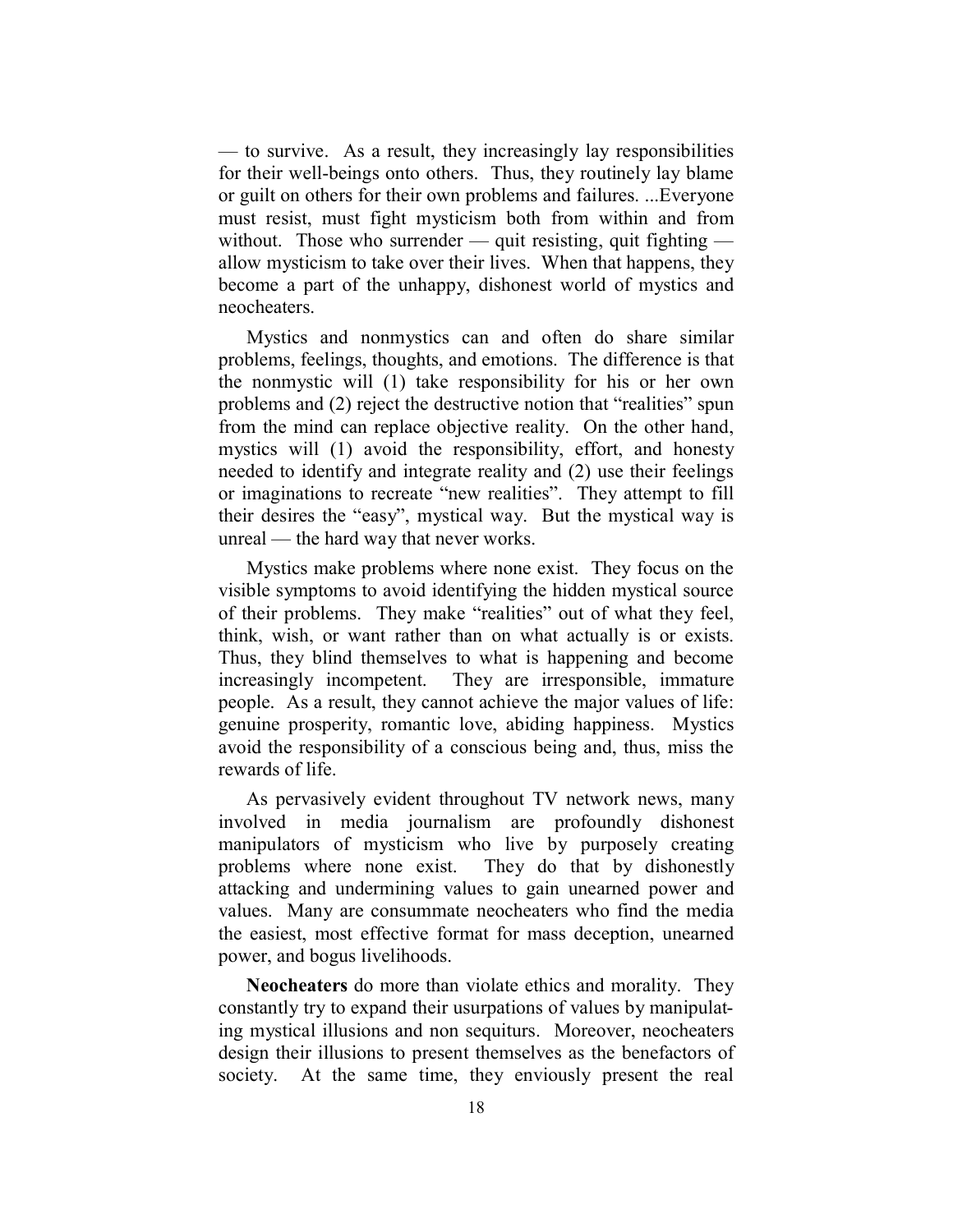— to survive. As a result, they increasingly lay responsibilities for their well-beings onto others. Thus, they routinely lay blame or guilt on others for their own problems and failures. ...Everyone must resist, must fight mysticism both from within and from without. Those who surrender  $-$  quit resisting, quit fighting  $$ allow mysticism to take over their lives. When that happens, they become a part of the unhappy, dishonest world of mystics and neocheaters.

Mystics and nonmystics can and often do share similar problems, feelings, thoughts, and emotions. The difference is that the nonmystic will (1) take responsibility for his or her own problems and (2) reject the destructive notion that "realities" spun from the mind can replace objective reality. On the other hand, mystics will (1) avoid the responsibility, effort, and honesty needed to identify and integrate reality and (2) use their feelings or imaginations to recreate "new realities". They attempt to fill their desires the "easy", mystical way. But the mystical way is unreal — the hard way that never works.

Mystics make problems where none exist. They focus on the visible symptoms to avoid identifying the hidden mystical source of their problems. They make "realities" out of what they feel, think, wish, or want rather than on what actually is or exists. Thus, they blind themselves to what is happening and become increasingly incompetent. They are irresponsible, immature people. As a result, they cannot achieve the major values of life: genuine prosperity, romantic love, abiding happiness. Mystics avoid the responsibility of a conscious being and, thus, miss the rewards of life.

As pervasively evident throughout TV network news, many involved in media journalism are profoundly dishonest manipulators of mysticism who live by purposely creating problems where none exist. They do that by dishonestly attacking and undermining values to gain unearned power and values. Many are consummate neocheaters who find the media the easiest, most effective format for mass deception, unearned power, and bogus livelihoods.

**Neocheaters** do more than violate ethics and morality. They constantly try to expand their usurpations of values by manipulating mystical illusions and non sequiturs. Moreover, neocheaters design their illusions to present themselves as the benefactors of society. At the same time, they enviously present the real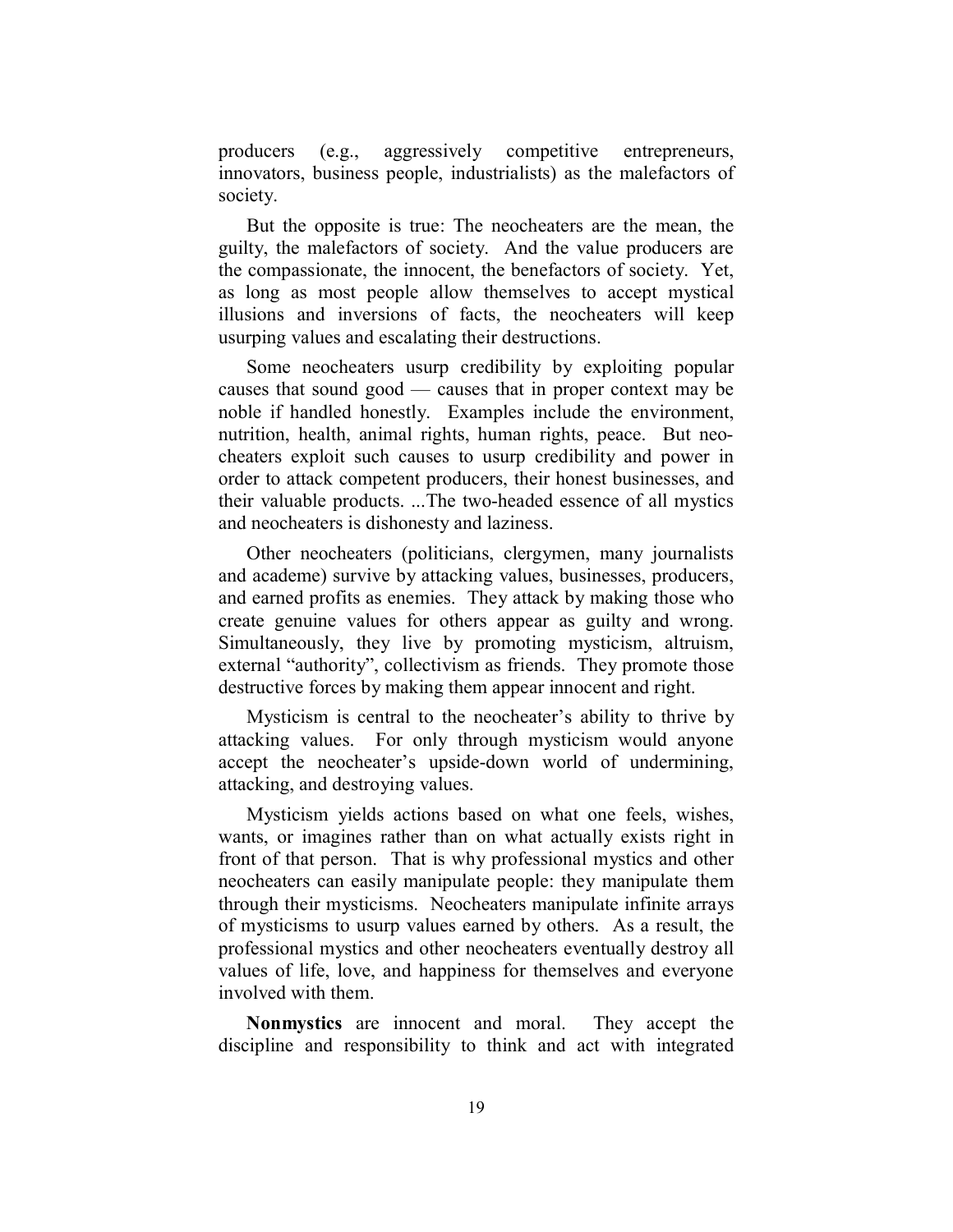producers (e.g., aggressively competitive entrepreneurs, innovators, business people, industrialists) as the malefactors of society.

But the opposite is true: The neocheaters are the mean, the guilty, the malefactors of society. And the value producers are the compassionate, the innocent, the benefactors of society. Yet, as long as most people allow themselves to accept mystical illusions and inversions of facts, the neocheaters will keep usurping values and escalating their destructions.

Some neocheaters usurp credibility by exploiting popular causes that sound good — causes that in proper context may be noble if handled honestly. Examples include the environment, nutrition, health, animal rights, human rights, peace. But neocheaters exploit such causes to usurp credibility and power in order to attack competent producers, their honest businesses, and their valuable products. ...The two-headed essence of all mystics and neocheaters is dishonesty and laziness.

Other neocheaters (politicians, clergymen, many journalists and academe) survive by attacking values, businesses, producers, and earned profits as enemies. They attack by making those who create genuine values for others appear as guilty and wrong. Simultaneously, they live by promoting mysticism, altruism, external "authority", collectivism as friends. They promote those destructive forces by making them appear innocent and right.

Mysticism is central to the neocheater's ability to thrive by attacking values. For only through mysticism would anyone accept the neocheater's upside-down world of undermining, attacking, and destroying values.

Mysticism yields actions based on what one feels, wishes, wants, or imagines rather than on what actually exists right in front of that person. That is why professional mystics and other neocheaters can easily manipulate people: they manipulate them through their mysticisms. Neocheaters manipulate infinite arrays of mysticisms to usurp values earned by others. As a result, the professional mystics and other neocheaters eventually destroy all values of life, love, and happiness for themselves and everyone involved with them.

**Nonmystics** are innocent and moral. They accept the discipline and responsibility to think and act with integrated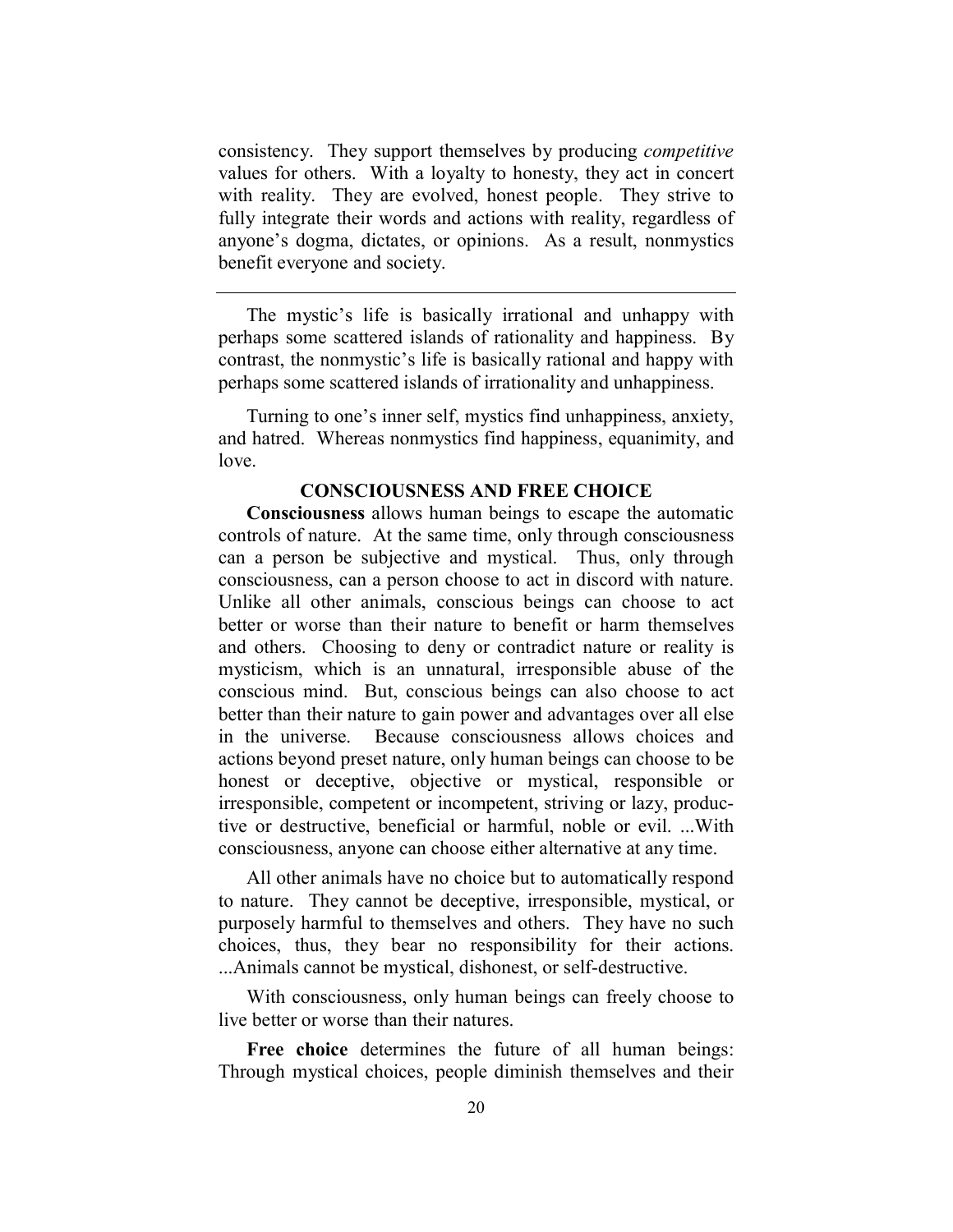consistency. They support themselves by producing *competitive*  values for others. With a loyalty to honesty, they act in concert with reality. They are evolved, honest people. They strive to fully integrate their words and actions with reality, regardless of anyone's dogma, dictates, or opinions. As a result, nonmystics benefit everyone and society.

The mystic's life is basically irrational and unhappy with perhaps some scattered islands of rationality and happiness. By contrast, the nonmystic's life is basically rational and happy with perhaps some scattered islands of irrationality and unhappiness.

Turning to one's inner self, mystics find unhappiness, anxiety, and hatred. Whereas nonmystics find happiness, equanimity, and love.

## **CONSCIOUSNESS AND FREE CHOICE**

**Consciousness** allows human beings to escape the automatic controls of nature. At the same time, only through consciousness can a person be subjective and mystical. Thus, only through consciousness, can a person choose to act in discord with nature. Unlike all other animals, conscious beings can choose to act better or worse than their nature to benefit or harm themselves and others. Choosing to deny or contradict nature or reality is mysticism, which is an unnatural, irresponsible abuse of the conscious mind. But, conscious beings can also choose to act better than their nature to gain power and advantages over all else in the universe. Because consciousness allows choices and actions beyond preset nature, only human beings can choose to be honest or deceptive, objective or mystical, responsible or irresponsible, competent or incompetent, striving or lazy, productive or destructive, beneficial or harmful, noble or evil. ...With consciousness, anyone can choose either alternative at any time.

All other animals have no choice but to automatically respond to nature. They cannot be deceptive, irresponsible, mystical, or purposely harmful to themselves and others. They have no such choices, thus, they bear no responsibility for their actions. ...Animals cannot be mystical, dishonest, or self-destructive.

With consciousness, only human beings can freely choose to live better or worse than their natures.

**Free choice** determines the future of all human beings: Through mystical choices, people diminish themselves and their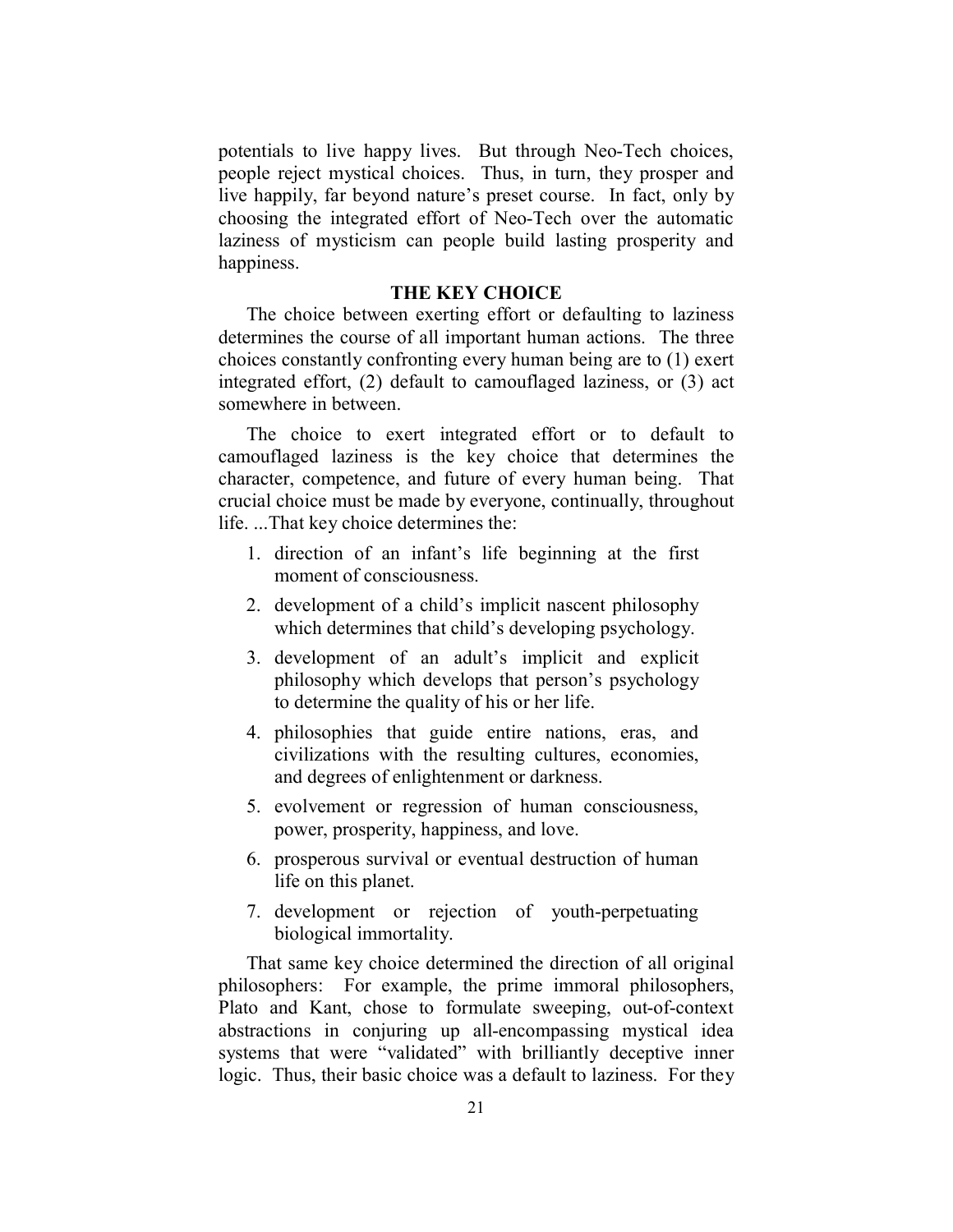potentials to live happy lives. But through Neo-Tech choices, people reject mystical choices. Thus, in turn, they prosper and live happily, far beyond nature's preset course. In fact, only by choosing the integrated effort of Neo-Tech over the automatic laziness of mysticism can people build lasting prosperity and happiness.

## **THE KEY CHOICE**

The choice between exerting effort or defaulting to laziness determines the course of all important human actions. The three choices constantly confronting every human being are to (1) exert integrated effort, (2) default to camouflaged laziness, or (3) act somewhere in between.

The choice to exert integrated effort or to default to camouflaged laziness is the key choice that determines the character, competence, and future of every human being. That crucial choice must be made by everyone, continually, throughout life. ...That key choice determines the:

- 1. direction of an infant's life beginning at the first moment of consciousness.
- 2. development of a child's implicit nascent philosophy which determines that child's developing psychology.
- 3. development of an adult's implicit and explicit philosophy which develops that person's psychology to determine the quality of his or her life.
- 4. philosophies that guide entire nations, eras, and civilizations with the resulting cultures, economies, and degrees of enlightenment or darkness.
- 5. evolvement or regression of human consciousness, power, prosperity, happiness, and love.
- 6. prosperous survival or eventual destruction of human life on this planet.
- 7. development or rejection of youth-perpetuating biological immortality.

That same key choice determined the direction of all original philosophers: For example, the prime immoral philosophers, Plato and Kant, chose to formulate sweeping, out-of-context abstractions in conjuring up all-encompassing mystical idea systems that were "validated" with brilliantly deceptive inner logic. Thus, their basic choice was a default to laziness. For they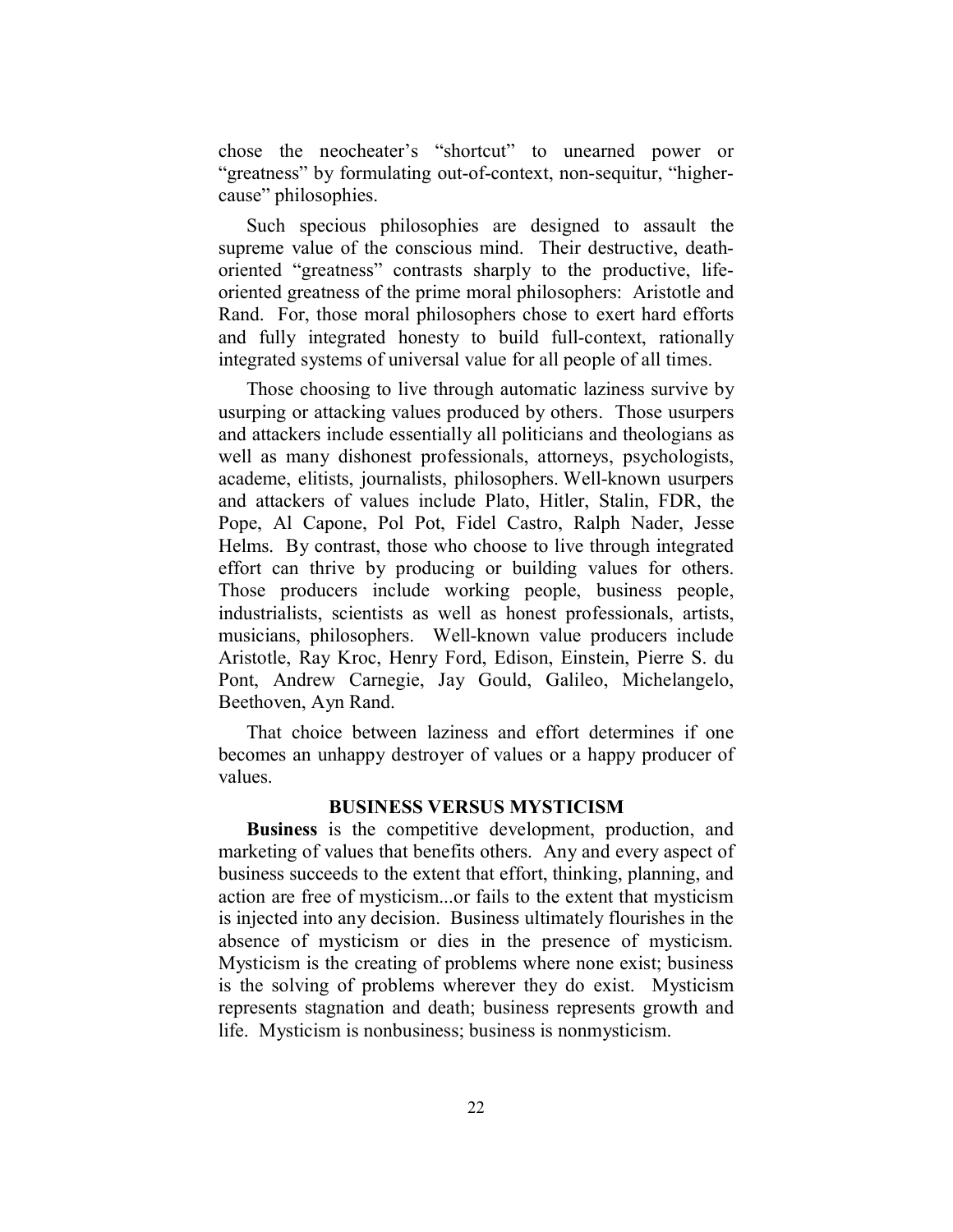chose the neocheater's "shortcut" to unearned power or "greatness" by formulating out-of-context, non-sequitur, "highercause" philosophies.

Such specious philosophies are designed to assault the supreme value of the conscious mind. Their destructive, deathoriented "greatness" contrasts sharply to the productive, lifeoriented greatness of the prime moral philosophers: Aristotle and Rand. For, those moral philosophers chose to exert hard efforts and fully integrated honesty to build full-context, rationally integrated systems of universal value for all people of all times.

Those choosing to live through automatic laziness survive by usurping or attacking values produced by others. Those usurpers and attackers include essentially all politicians and theologians as well as many dishonest professionals, attorneys, psychologists, academe, elitists, journalists, philosophers. Well-known usurpers and attackers of values include Plato, Hitler, Stalin, FDR, the Pope, Al Capone, Pol Pot, Fidel Castro, Ralph Nader, Jesse Helms. By contrast, those who choose to live through integrated effort can thrive by producing or building values for others. Those producers include working people, business people, industrialists, scientists as well as honest professionals, artists, musicians, philosophers. Well-known value producers include Aristotle, Ray Kroc, Henry Ford, Edison, Einstein, Pierre S. du Pont, Andrew Carnegie, Jay Gould, Galileo, Michelangelo, Beethoven, Ayn Rand.

That choice between laziness and effort determines if one becomes an unhappy destroyer of values or a happy producer of values.

## **BUSINESS VERSUS MYSTICISM**

**Business** is the competitive development, production, and marketing of values that benefits others. Any and every aspect of business succeeds to the extent that effort, thinking, planning, and action are free of mysticism...or fails to the extent that mysticism is injected into any decision. Business ultimately flourishes in the absence of mysticism or dies in the presence of mysticism. Mysticism is the creating of problems where none exist; business is the solving of problems wherever they do exist. Mysticism represents stagnation and death; business represents growth and life. Mysticism is nonbusiness; business is nonmysticism.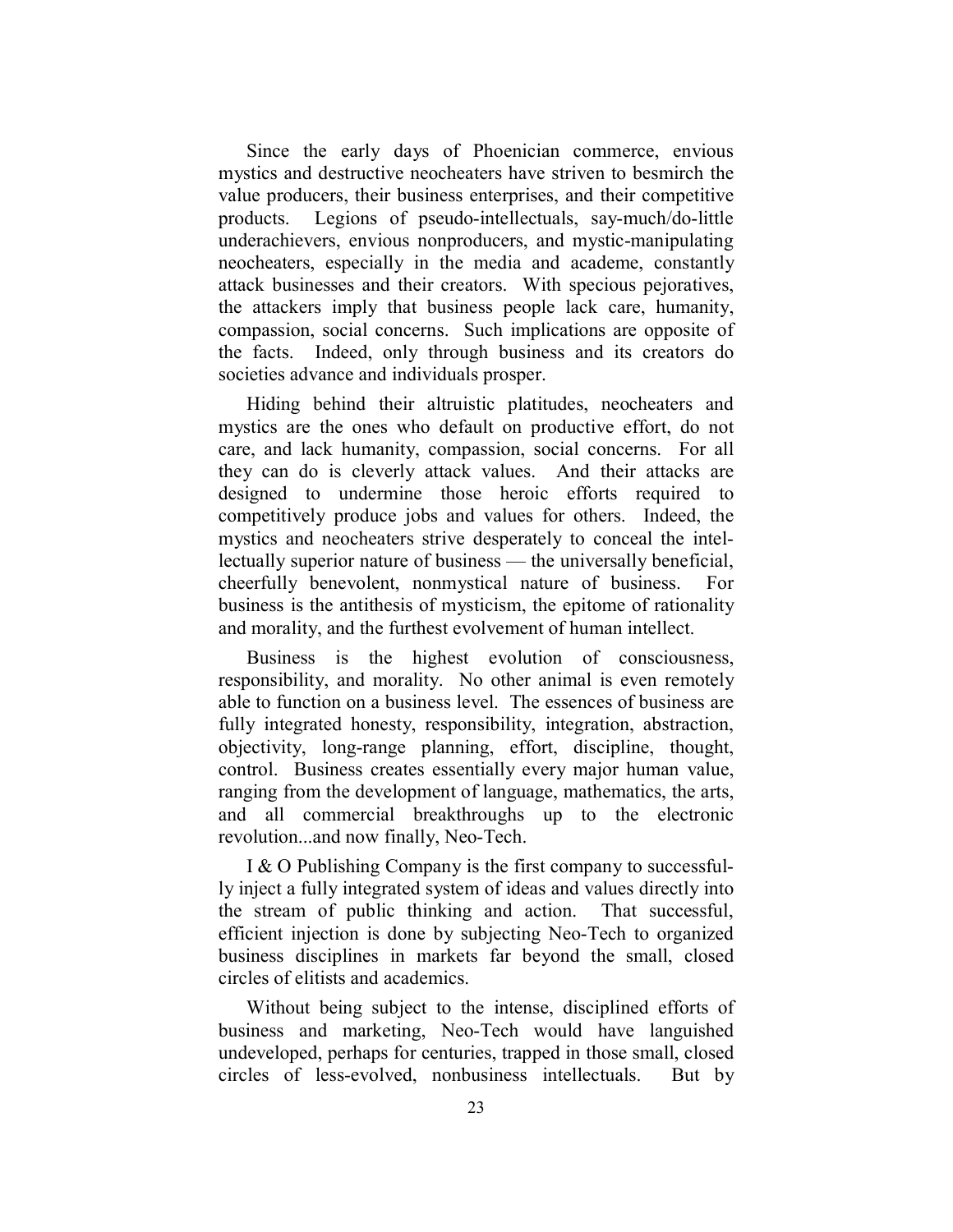Since the early days of Phoenician commerce, envious mystics and destructive neocheaters have striven to besmirch the value producers, their business enterprises, and their competitive products. Legions of pseudo-intellectuals, say-much/do-little underachievers, envious nonproducers, and mystic-manipulating neocheaters, especially in the media and academe, constantly attack businesses and their creators. With specious pejoratives, the attackers imply that business people lack care, humanity, compassion, social concerns. Such implications are opposite of the facts. Indeed, only through business and its creators do societies advance and individuals prosper.

Hiding behind their altruistic platitudes, neocheaters and mystics are the ones who default on productive effort, do not care, and lack humanity, compassion, social concerns. For all they can do is cleverly attack values. And their attacks are designed to undermine those heroic efforts required to competitively produce jobs and values for others. Indeed, the mystics and neocheaters strive desperately to conceal the intellectually superior nature of business — the universally beneficial, cheerfully benevolent, nonmystical nature of business. For business is the antithesis of mysticism, the epitome of rationality and morality, and the furthest evolvement of human intellect.

Business is the highest evolution of consciousness, responsibility, and morality. No other animal is even remotely able to function on a business level. The essences of business are fully integrated honesty, responsibility, integration, abstraction, objectivity, long-range planning, effort, discipline, thought, control. Business creates essentially every major human value, ranging from the development of language, mathematics, the arts, and all commercial breakthroughs up to the electronic revolution...and now finally, Neo-Tech.

I & O Publishing Company is the first company to successfully inject a fully integrated system of ideas and values directly into the stream of public thinking and action. That successful, efficient injection is done by subjecting Neo-Tech to organized business disciplines in markets far beyond the small, closed circles of elitists and academics.

Without being subject to the intense, disciplined efforts of business and marketing, Neo-Tech would have languished undeveloped, perhaps for centuries, trapped in those small, closed circles of less-evolved, nonbusiness intellectuals. But by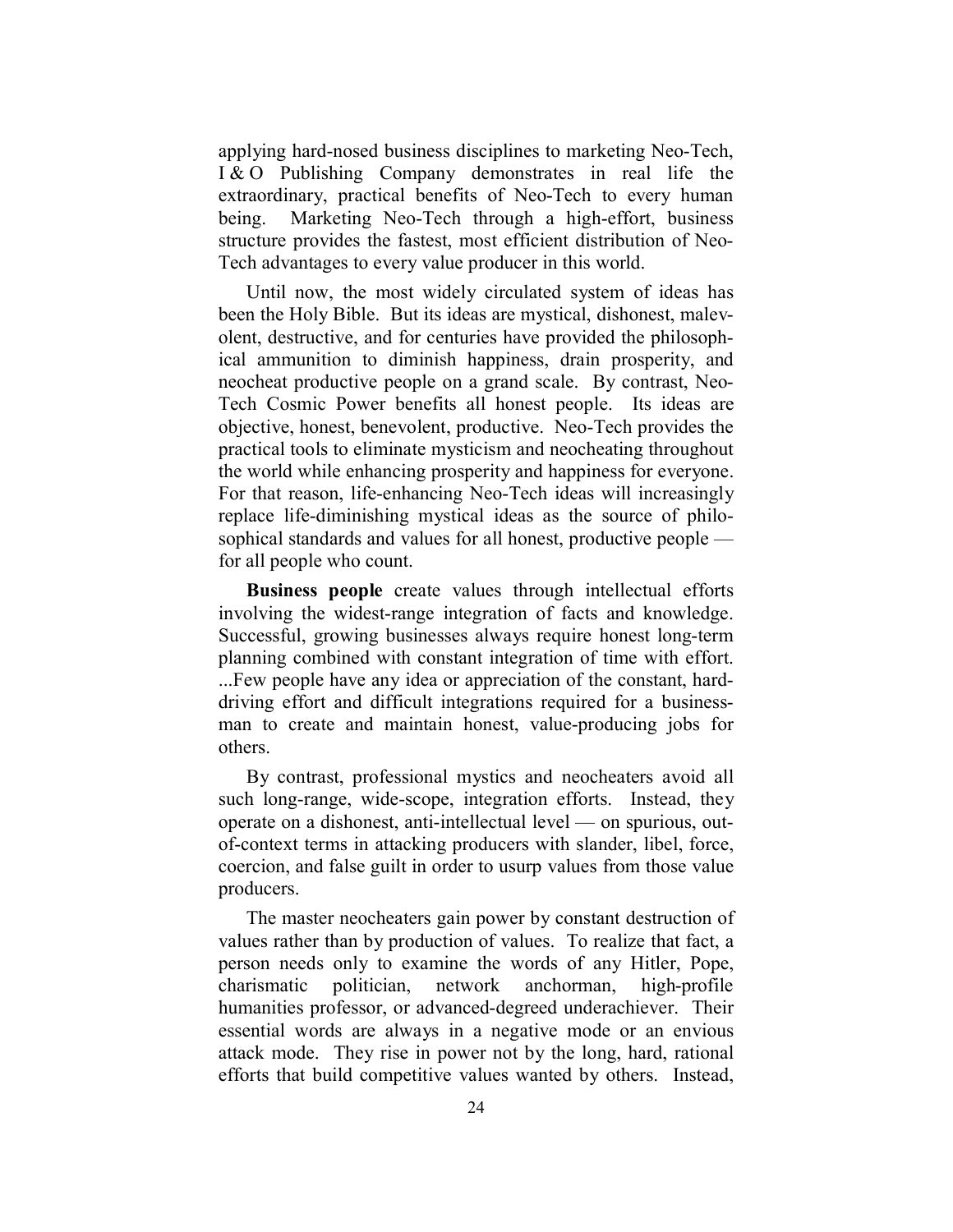applying hard-nosed business disciplines to marketing Neo-Tech, I & O Publishing Company demonstrates in real life the extraordinary, practical benefits of Neo-Tech to every human being. Marketing Neo-Tech through a high-effort, business structure provides the fastest, most efficient distribution of Neo-Tech advantages to every value producer in this world.

Until now, the most widely circulated system of ideas has been the Holy Bible. But its ideas are mystical, dishonest, malevolent, destructive, and for centuries have provided the philosophical ammunition to diminish happiness, drain prosperity, and neocheat productive people on a grand scale. By contrast, Neo-Tech Cosmic Power benefits all honest people. Its ideas are objective, honest, benevolent, productive. Neo-Tech provides the practical tools to eliminate mysticism and neocheating throughout the world while enhancing prosperity and happiness for everyone. For that reason, life-enhancing Neo-Tech ideas will increasingly replace life-diminishing mystical ideas as the source of philosophical standards and values for all honest, productive people for all people who count.

**Business people** create values through intellectual efforts involving the widest-range integration of facts and knowledge. Successful, growing businesses always require honest long-term planning combined with constant integration of time with effort. ...Few people have any idea or appreciation of the constant, harddriving effort and difficult integrations required for a businessman to create and maintain honest, value-producing jobs for others.

By contrast, professional mystics and neocheaters avoid all such long-range, wide-scope, integration efforts. Instead, they operate on a dishonest, anti-intellectual level — on spurious, outof-context terms in attacking producers with slander, libel, force, coercion, and false guilt in order to usurp values from those value producers.

The master neocheaters gain power by constant destruction of values rather than by production of values. To realize that fact, a person needs only to examine the words of any Hitler, Pope, charismatic politician, network anchorman, high-profile humanities professor, or advanced-degreed underachiever. Their essential words are always in a negative mode or an envious attack mode. They rise in power not by the long, hard, rational efforts that build competitive values wanted by others. Instead,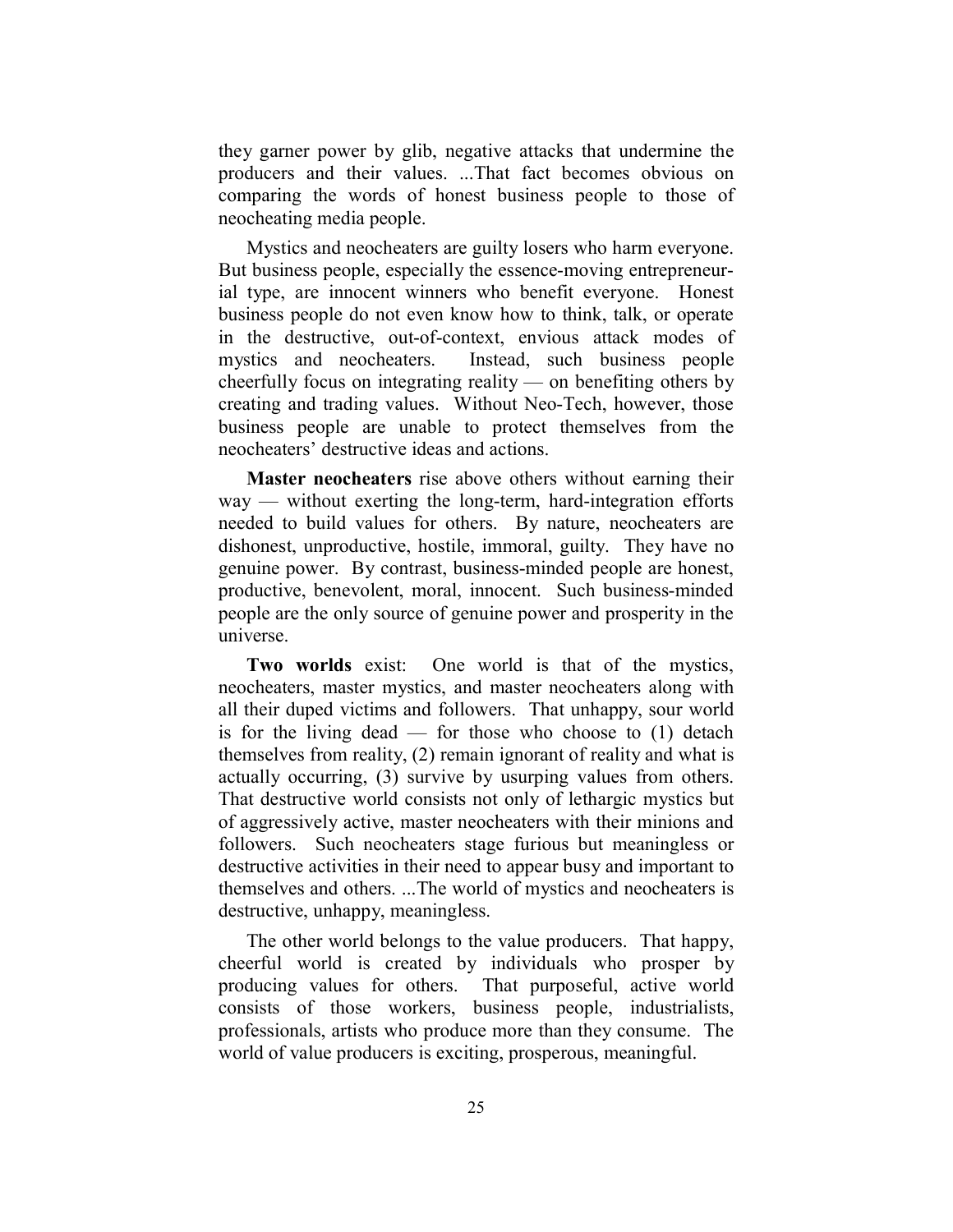they garner power by glib, negative attacks that undermine the producers and their values. ...That fact becomes obvious on comparing the words of honest business people to those of neocheating media people.

Mystics and neocheaters are guilty losers who harm everyone. But business people, especially the essence-moving entrepreneurial type, are innocent winners who benefit everyone. Honest business people do not even know how to think, talk, or operate in the destructive, out-of-context, envious attack modes of mystics and neocheaters. Instead, such business people cheerfully focus on integrating reality — on benefiting others by creating and trading values. Without Neo-Tech, however, those business people are unable to protect themselves from the neocheaters' destructive ideas and actions.

**Master neocheaters** rise above others without earning their way — without exerting the long-term, hard-integration efforts needed to build values for others. By nature, neocheaters are dishonest, unproductive, hostile, immoral, guilty. They have no genuine power. By contrast, business-minded people are honest, productive, benevolent, moral, innocent. Such business-minded people are the only source of genuine power and prosperity in the universe.

**Two worlds** exist: One world is that of the mystics, neocheaters, master mystics, and master neocheaters along with all their duped victims and followers. That unhappy, sour world is for the living dead — for those who choose to  $(1)$  detach themselves from reality, (2) remain ignorant of reality and what is actually occurring, (3) survive by usurping values from others. That destructive world consists not only of lethargic mystics but of aggressively active, master neocheaters with their minions and followers. Such neocheaters stage furious but meaningless or destructive activities in their need to appear busy and important to themselves and others. ...The world of mystics and neocheaters is destructive, unhappy, meaningless.

The other world belongs to the value producers. That happy, cheerful world is created by individuals who prosper by producing values for others. That purposeful, active world consists of those workers, business people, industrialists, professionals, artists who produce more than they consume. The world of value producers is exciting, prosperous, meaningful.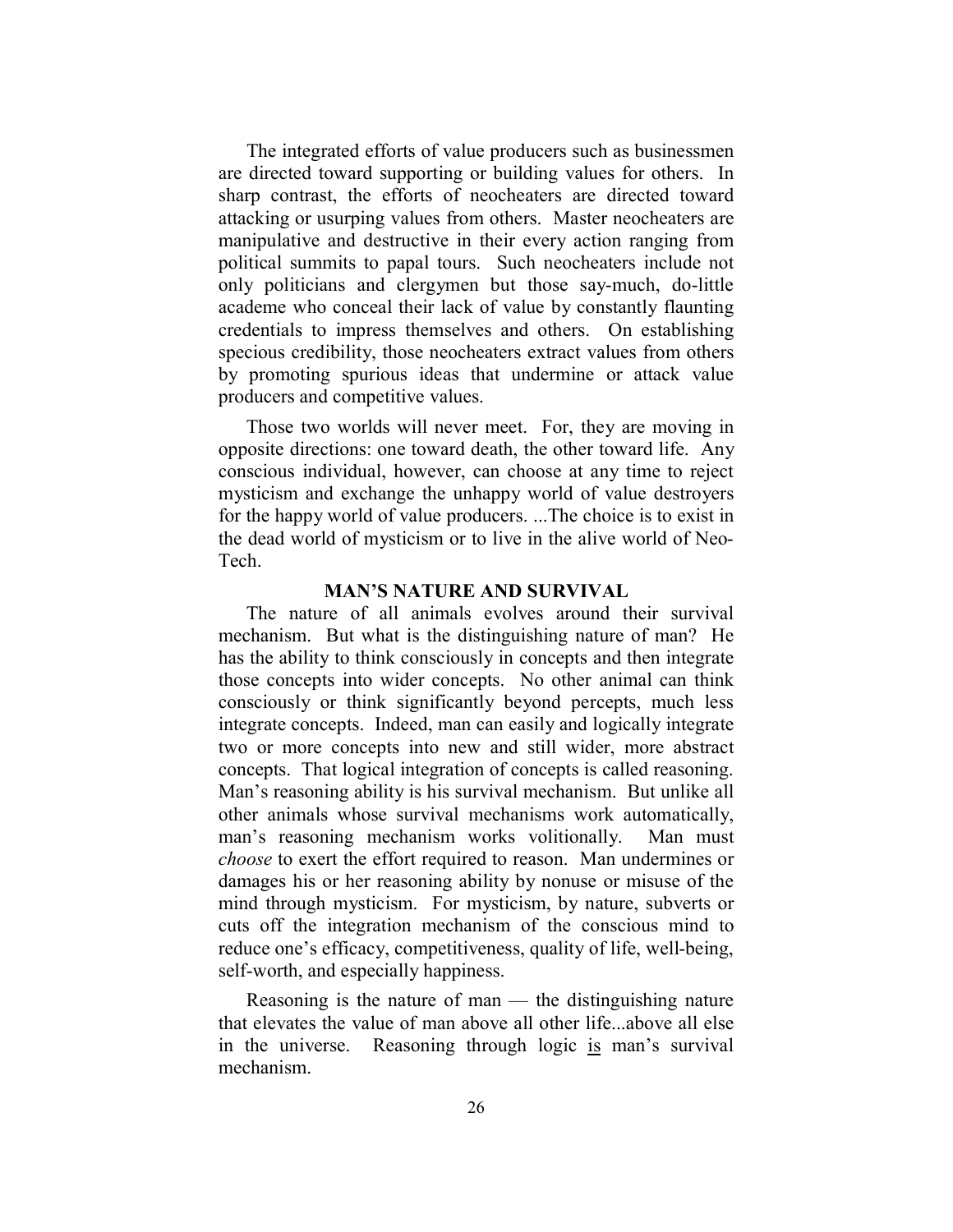The integrated efforts of value producers such as businessmen are directed toward supporting or building values for others. In sharp contrast, the efforts of neocheaters are directed toward attacking or usurping values from others. Master neocheaters are manipulative and destructive in their every action ranging from political summits to papal tours. Such neocheaters include not only politicians and clergymen but those say-much, do-little academe who conceal their lack of value by constantly flaunting credentials to impress themselves and others. On establishing specious credibility, those neocheaters extract values from others by promoting spurious ideas that undermine or attack value producers and competitive values.

Those two worlds will never meet. For, they are moving in opposite directions: one toward death, the other toward life. Any conscious individual, however, can choose at any time to reject mysticism and exchange the unhappy world of value destroyers for the happy world of value producers. ...The choice is to exist in the dead world of mysticism or to live in the alive world of Neo-Tech.

## **MAN'S NATURE AND SURVIVAL**

The nature of all animals evolves around their survival mechanism. But what is the distinguishing nature of man? He has the ability to think consciously in concepts and then integrate those concepts into wider concepts. No other animal can think consciously or think significantly beyond percepts, much less integrate concepts. Indeed, man can easily and logically integrate two or more concepts into new and still wider, more abstract concepts. That logical integration of concepts is called reasoning. Man's reasoning ability is his survival mechanism. But unlike all other animals whose survival mechanisms work automatically, man's reasoning mechanism works volitionally. Man must *choose* to exert the effort required to reason. Man undermines or damages his or her reasoning ability by nonuse or misuse of the mind through mysticism. For mysticism, by nature, subverts or cuts off the integration mechanism of the conscious mind to reduce one's efficacy, competitiveness, quality of life, well-being, self-worth, and especially happiness.

Reasoning is the nature of man — the distinguishing nature that elevates the value of man above all other life...above all else in the universe. Reasoning through logic is man's survival mechanism.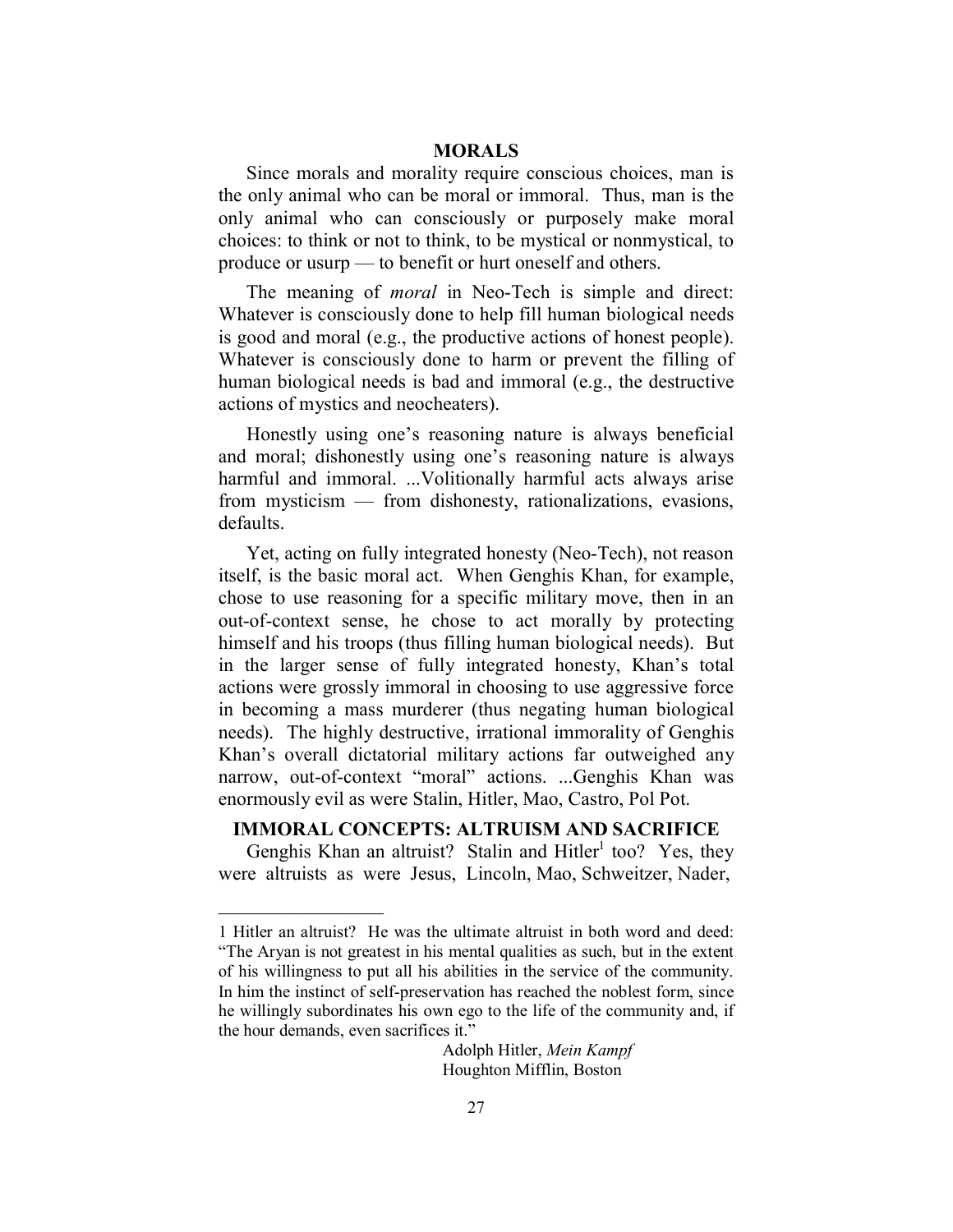## **MORALS**

Since morals and morality require conscious choices, man is the only animal who can be moral or immoral. Thus, man is the only animal who can consciously or purposely make moral choices: to think or not to think, to be mystical or nonmystical, to produce or usurp — to benefit or hurt oneself and others.

The meaning of *moral* in Neo-Tech is simple and direct: Whatever is consciously done to help fill human biological needs is good and moral (e.g., the productive actions of honest people). Whatever is consciously done to harm or prevent the filling of human biological needs is bad and immoral (e.g., the destructive actions of mystics and neocheaters).

Honestly using one's reasoning nature is always beneficial and moral; dishonestly using one's reasoning nature is always harmful and immoral. ...Volitionally harmful acts always arise from mysticism — from dishonesty, rationalizations, evasions, defaults.

Yet, acting on fully integrated honesty (Neo-Tech), not reason itself, is the basic moral act. When Genghis Khan, for example, chose to use reasoning for a specific military move, then in an out-of-context sense, he chose to act morally by protecting himself and his troops (thus filling human biological needs). But in the larger sense of fully integrated honesty, Khan's total actions were grossly immoral in choosing to use aggressive force in becoming a mass murderer (thus negating human biological needs). The highly destructive, irrational immorality of Genghis Khan's overall dictatorial military actions far outweighed any narrow, out-of-context "moral" actions. ...Genghis Khan was enormously evil as were Stalin, Hitler, Mao, Castro, Pol Pot.

## **IMMORAL CONCEPTS: ALTRUISM AND SACRIFICE**

Genghis Khan an altruist? Stalin and Hitler<sup>1</sup> too? Yes, they were altruists as were Jesus, Lincoln, Mao, Schweitzer, Nader,

Adolph Hitler, *Mein Kampf* Houghton Mifflin, Boston

<sup>1</sup> Hitler an altruist? He was the ultimate altruist in both word and deed: "The Aryan is not greatest in his mental qualities as such, but in the extent of his willingness to put all his abilities in the service of the community. In him the instinct of self-preservation has reached the noblest form, since he willingly subordinates his own ego to the life of the community and, if the hour demands, even sacrifices it."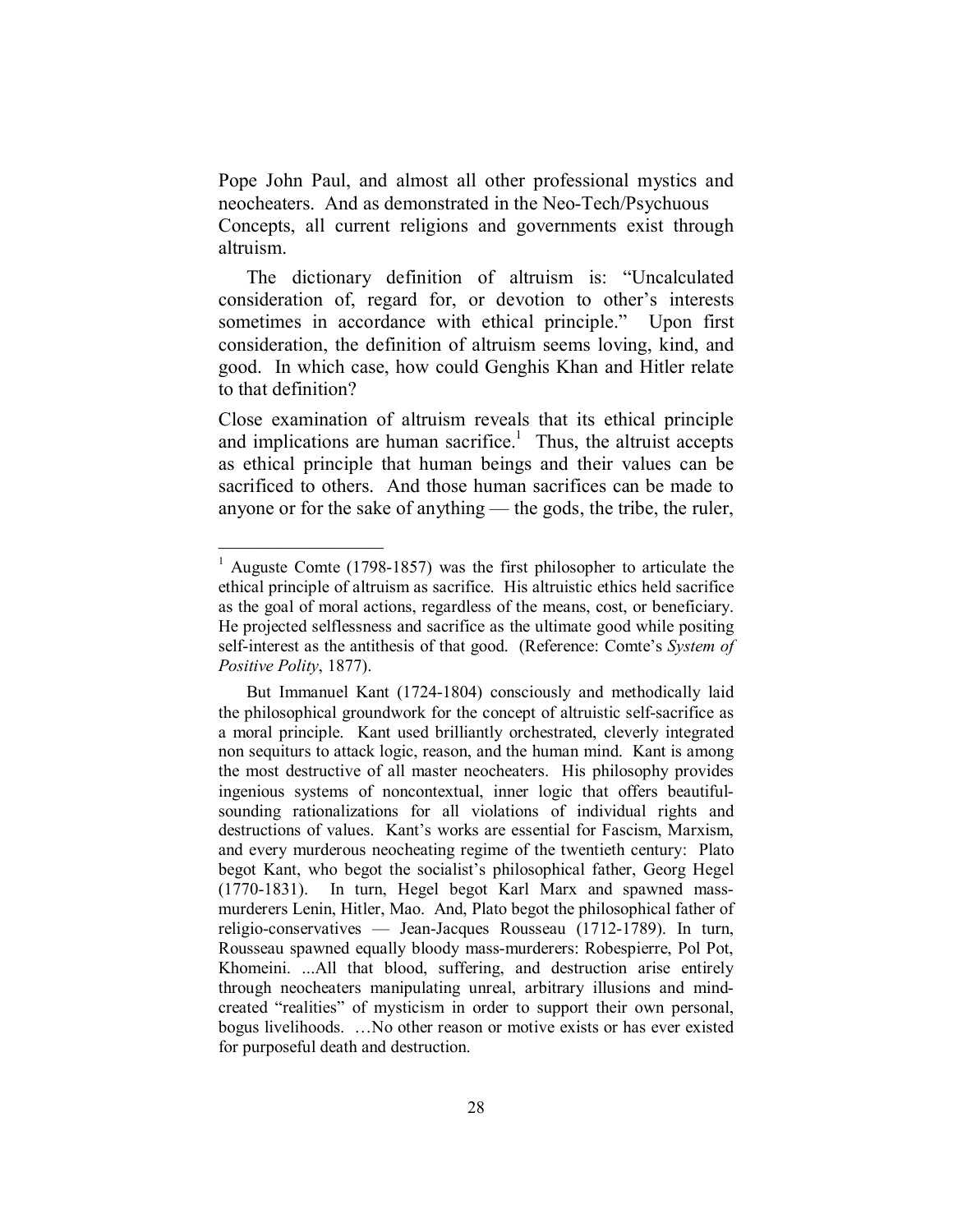Pope John Paul, and almost all other professional mystics and neocheaters. And as demonstrated in the Neo-Tech/Psychuous Concepts, all current religions and governments exist through altruism.

The dictionary definition of altruism is: "Uncalculated consideration of, regard for, or devotion to other's interests sometimes in accordance with ethical principle." Upon first consideration, the definition of altruism seems loving, kind, and good. In which case, how could Genghis Khan and Hitler relate to that definition?

Close examination of altruism reveals that its ethical principle and implications are human sacrifice.<sup>1</sup> Thus, the altruist accepts as ethical principle that human beings and their values can be sacrificed to others. And those human sacrifices can be made to anyone or for the sake of anything — the gods, the tribe, the ruler,

 $1$  Auguste Comte (1798-1857) was the first philosopher to articulate the ethical principle of altruism as sacrifice. His altruistic ethics held sacrifice as the goal of moral actions, regardless of the means, cost, or beneficiary. He projected selflessness and sacrifice as the ultimate good while positing self-interest as the antithesis of that good. (Reference: Comte's *System of Positive Polity*, 1877).

But Immanuel Kant (1724-1804) consciously and methodically laid the philosophical groundwork for the concept of altruistic self-sacrifice as a moral principle. Kant used brilliantly orchestrated, cleverly integrated non sequiturs to attack logic, reason, and the human mind. Kant is among the most destructive of all master neocheaters. His philosophy provides ingenious systems of noncontextual, inner logic that offers beautifulsounding rationalizations for all violations of individual rights and destructions of values. Kant's works are essential for Fascism, Marxism, and every murderous neocheating regime of the twentieth century: Plato begot Kant, who begot the socialist's philosophical father, Georg Hegel (1770-1831). In turn, Hegel begot Karl Marx and spawned massmurderers Lenin, Hitler, Mao. And, Plato begot the philosophical father of religio-conservatives — Jean-Jacques Rousseau (1712-1789). In turn, Rousseau spawned equally bloody mass-murderers: Robespierre, Pol Pot, Khomeini. ...All that blood, suffering, and destruction arise entirely through neocheaters manipulating unreal, arbitrary illusions and mindcreated "realities" of mysticism in order to support their own personal, bogus livelihoods. …No other reason or motive exists or has ever existed for purposeful death and destruction.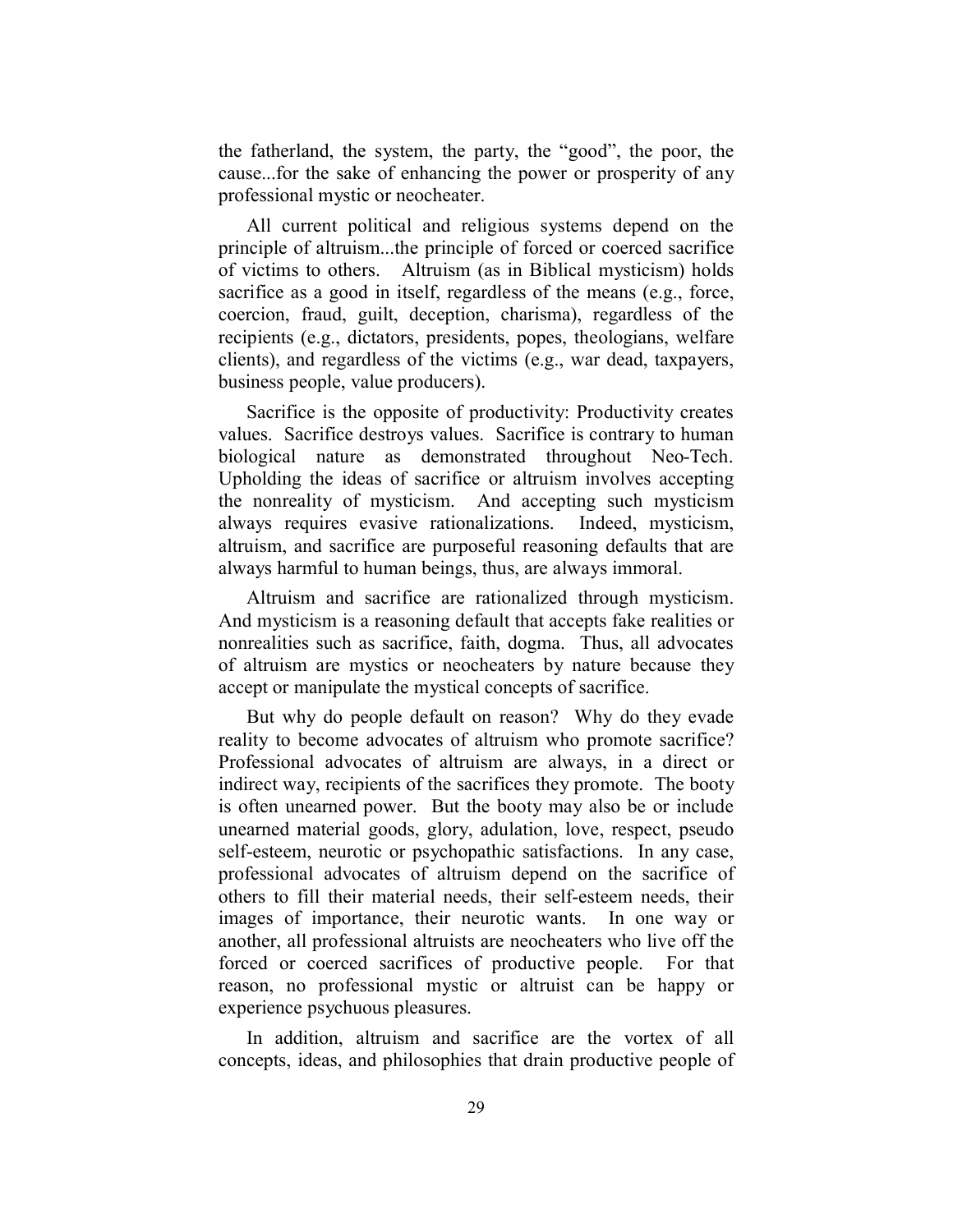the fatherland, the system, the party, the "good", the poor, the cause...for the sake of enhancing the power or prosperity of any professional mystic or neocheater.

All current political and religious systems depend on the principle of altruism...the principle of forced or coerced sacrifice of victims to others. Altruism (as in Biblical mysticism) holds sacrifice as a good in itself, regardless of the means (e.g., force, coercion, fraud, guilt, deception, charisma), regardless of the recipients (e.g., dictators, presidents, popes, theologians, welfare clients), and regardless of the victims (e.g., war dead, taxpayers, business people, value producers).

Sacrifice is the opposite of productivity: Productivity creates values. Sacrifice destroys values. Sacrifice is contrary to human biological nature as demonstrated throughout Neo-Tech. Upholding the ideas of sacrifice or altruism involves accepting the nonreality of mysticism. And accepting such mysticism always requires evasive rationalizations. Indeed, mysticism, altruism, and sacrifice are purposeful reasoning defaults that are always harmful to human beings, thus, are always immoral.

Altruism and sacrifice are rationalized through mysticism. And mysticism is a reasoning default that accepts fake realities or nonrealities such as sacrifice, faith, dogma. Thus, all advocates of altruism are mystics or neocheaters by nature because they accept or manipulate the mystical concepts of sacrifice.

But why do people default on reason? Why do they evade reality to become advocates of altruism who promote sacrifice? Professional advocates of altruism are always, in a direct or indirect way, recipients of the sacrifices they promote. The booty is often unearned power. But the booty may also be or include unearned material goods, glory, adulation, love, respect, pseudo self-esteem, neurotic or psychopathic satisfactions. In any case, professional advocates of altruism depend on the sacrifice of others to fill their material needs, their self-esteem needs, their images of importance, their neurotic wants. In one way or another, all professional altruists are neocheaters who live off the forced or coerced sacrifices of productive people. For that reason, no professional mystic or altruist can be happy or experience psychuous pleasures.

In addition, altruism and sacrifice are the vortex of all concepts, ideas, and philosophies that drain productive people of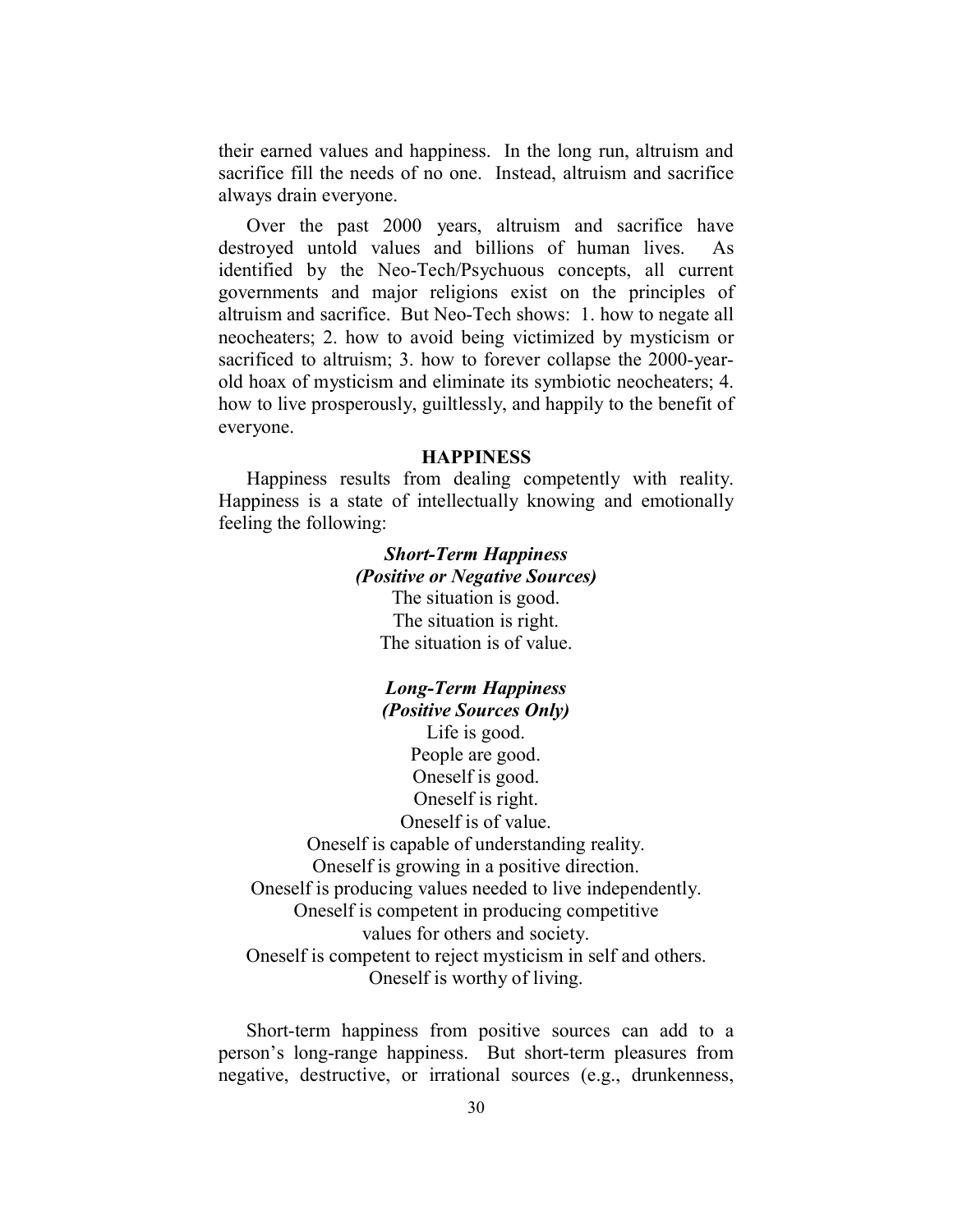their earned values and happiness. In the long run, altruism and sacrifice fill the needs of no one. Instead, altruism and sacrifice always drain everyone.

Over the past 2000 years, altruism and sacrifice have destroyed untold values and billions of human lives. As identified by the Neo-Tech/Psychuous concepts, all current governments and major religions exist on the principles of altruism and sacrifice. But Neo-Tech shows: 1. how to negate all neocheaters; 2. how to avoid being victimized by mysticism or sacrificed to altruism; 3. how to forever collapse the 2000-yearold hoax of mysticism and eliminate its symbiotic neocheaters; 4. how to live prosperously, guiltlessly, and happily to the benefit of everyone.

## **HAPPINESS**

Happiness results from dealing competently with reality. Happiness is a state of intellectually knowing and emotionally feeling the following:

> *Short-Term Happiness (Positive or Negative Sources)* The situation is good. The situation is right. The situation is of value.

# *Long-Term Happiness (Positive Sources Only)* Life is good. People are good. Oneself is good. Oneself is right. Oneself is of value. Oneself is capable of understanding reality. Oneself is growing in a positive direction. Oneself is producing values needed to live independently. Oneself is competent in producing competitive values for others and society. Oneself is competent to reject mysticism in self and others. Oneself is worthy of living.

Short-term happiness from positive sources can add to a person's long-range happiness. But short-term pleasures from negative, destructive, or irrational sources (e.g., drunkenness,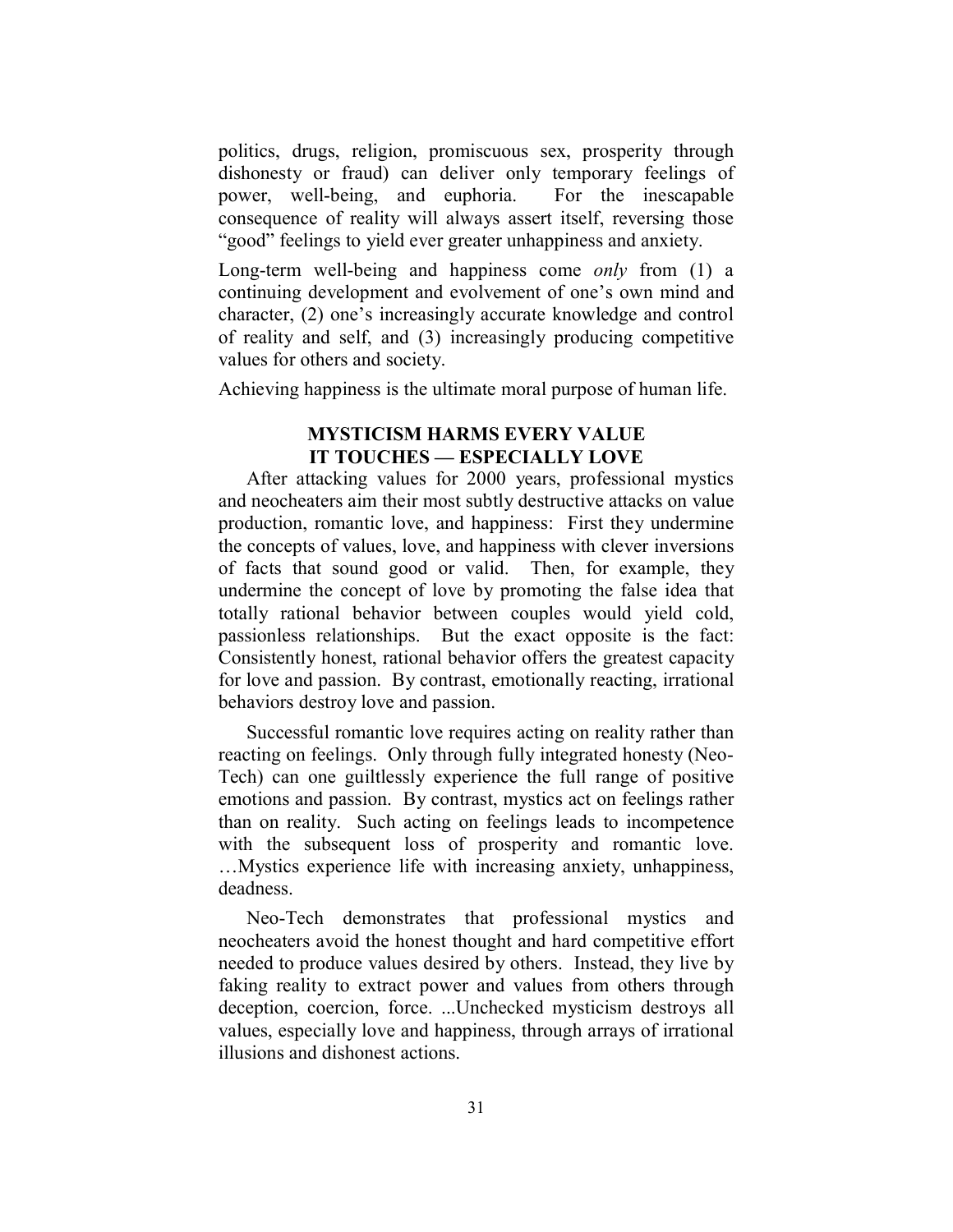politics, drugs, religion, promiscuous sex, prosperity through dishonesty or fraud) can deliver only temporary feelings of power, well-being, and euphoria. For the inescapable consequence of reality will always assert itself, reversing those "good" feelings to yield ever greater unhappiness and anxiety.

Long-term well-being and happiness come *only* from (1) a continuing development and evolvement of one's own mind and character, (2) one's increasingly accurate knowledge and control of reality and self, and (3) increasingly producing competitive values for others and society.

Achieving happiness is the ultimate moral purpose of human life.

# **MYSTICISM HARMS EVERY VALUE IT TOUCHES — ESPECIALLY LOVE**

After attacking values for 2000 years, professional mystics and neocheaters aim their most subtly destructive attacks on value production, romantic love, and happiness: First they undermine the concepts of values, love, and happiness with clever inversions of facts that sound good or valid. Then, for example, they undermine the concept of love by promoting the false idea that totally rational behavior between couples would yield cold, passionless relationships. But the exact opposite is the fact: Consistently honest, rational behavior offers the greatest capacity for love and passion. By contrast, emotionally reacting, irrational behaviors destroy love and passion.

Successful romantic love requires acting on reality rather than reacting on feelings. Only through fully integrated honesty (Neo-Tech) can one guiltlessly experience the full range of positive emotions and passion. By contrast, mystics act on feelings rather than on reality. Such acting on feelings leads to incompetence with the subsequent loss of prosperity and romantic love. …Mystics experience life with increasing anxiety, unhappiness, deadness.

Neo-Tech demonstrates that professional mystics and neocheaters avoid the honest thought and hard competitive effort needed to produce values desired by others. Instead, they live by faking reality to extract power and values from others through deception, coercion, force. ...Unchecked mysticism destroys all values, especially love and happiness, through arrays of irrational illusions and dishonest actions.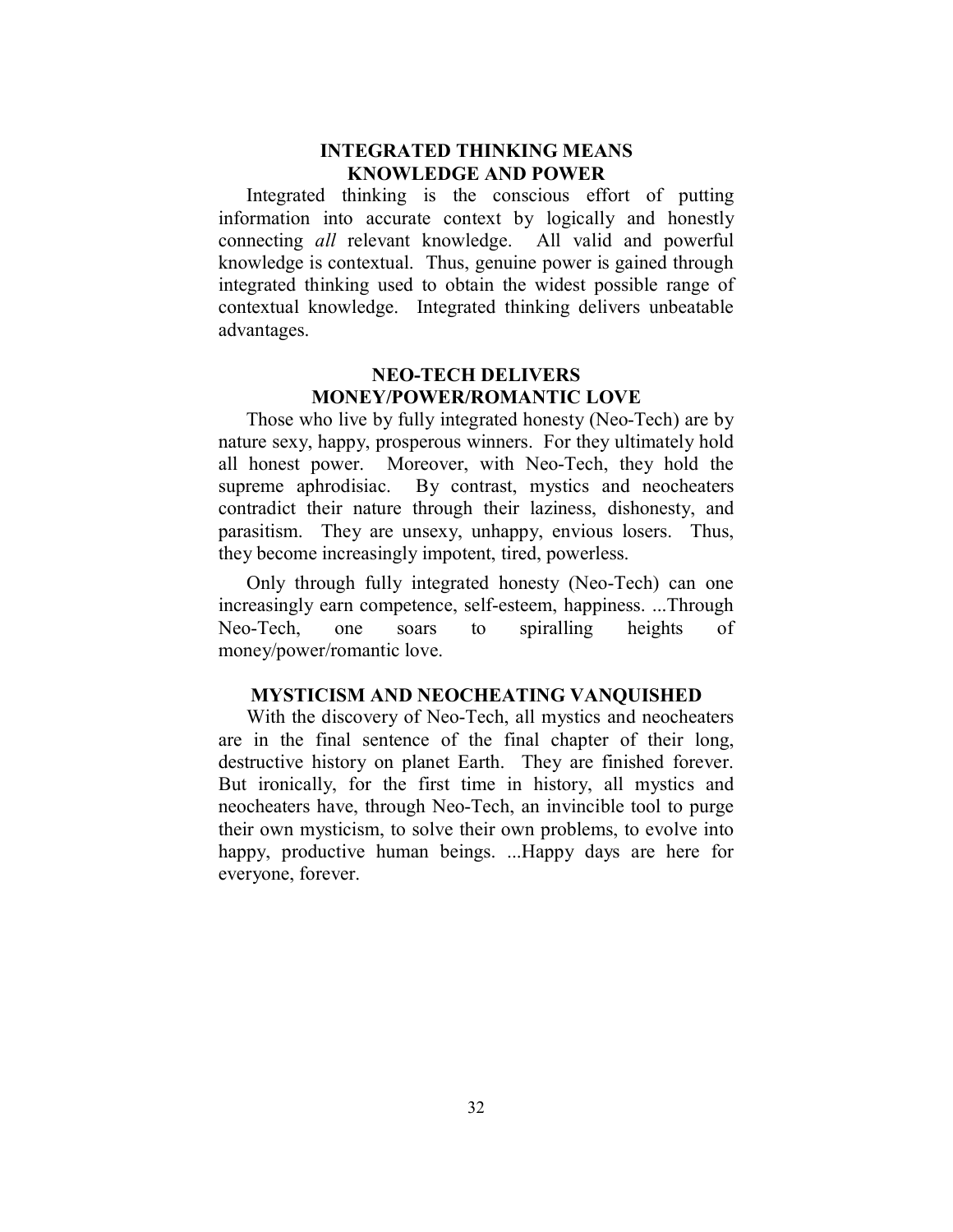# **INTEGRATED THINKING MEANS KNOWLEDGE AND POWER**

Integrated thinking is the conscious effort of putting information into accurate context by logically and honestly connecting *all* relevant knowledge. All valid and powerful knowledge is contextual. Thus, genuine power is gained through integrated thinking used to obtain the widest possible range of contextual knowledge. Integrated thinking delivers unbeatable advantages.

# **NEO-TECH DELIVERS MONEY/POWER/ROMANTIC LOVE**

Those who live by fully integrated honesty (Neo-Tech) are by nature sexy, happy, prosperous winners. For they ultimately hold all honest power. Moreover, with Neo-Tech, they hold the supreme aphrodisiac. By contrast, mystics and neocheaters contradict their nature through their laziness, dishonesty, and parasitism. They are unsexy, unhappy, envious losers. Thus, they become increasingly impotent, tired, powerless.

Only through fully integrated honesty (Neo-Tech) can one increasingly earn competence, self-esteem, happiness. ...Through Neo-Tech, one soars to spiralling heights of money/power/romantic love.

## **MYSTICISM AND NEOCHEATING VANQUISHED**

With the discovery of Neo-Tech, all mystics and neocheaters are in the final sentence of the final chapter of their long, destructive history on planet Earth. They are finished forever. But ironically, for the first time in history, all mystics and neocheaters have, through Neo-Tech, an invincible tool to purge their own mysticism, to solve their own problems, to evolve into happy, productive human beings. ...Happy days are here for everyone, forever.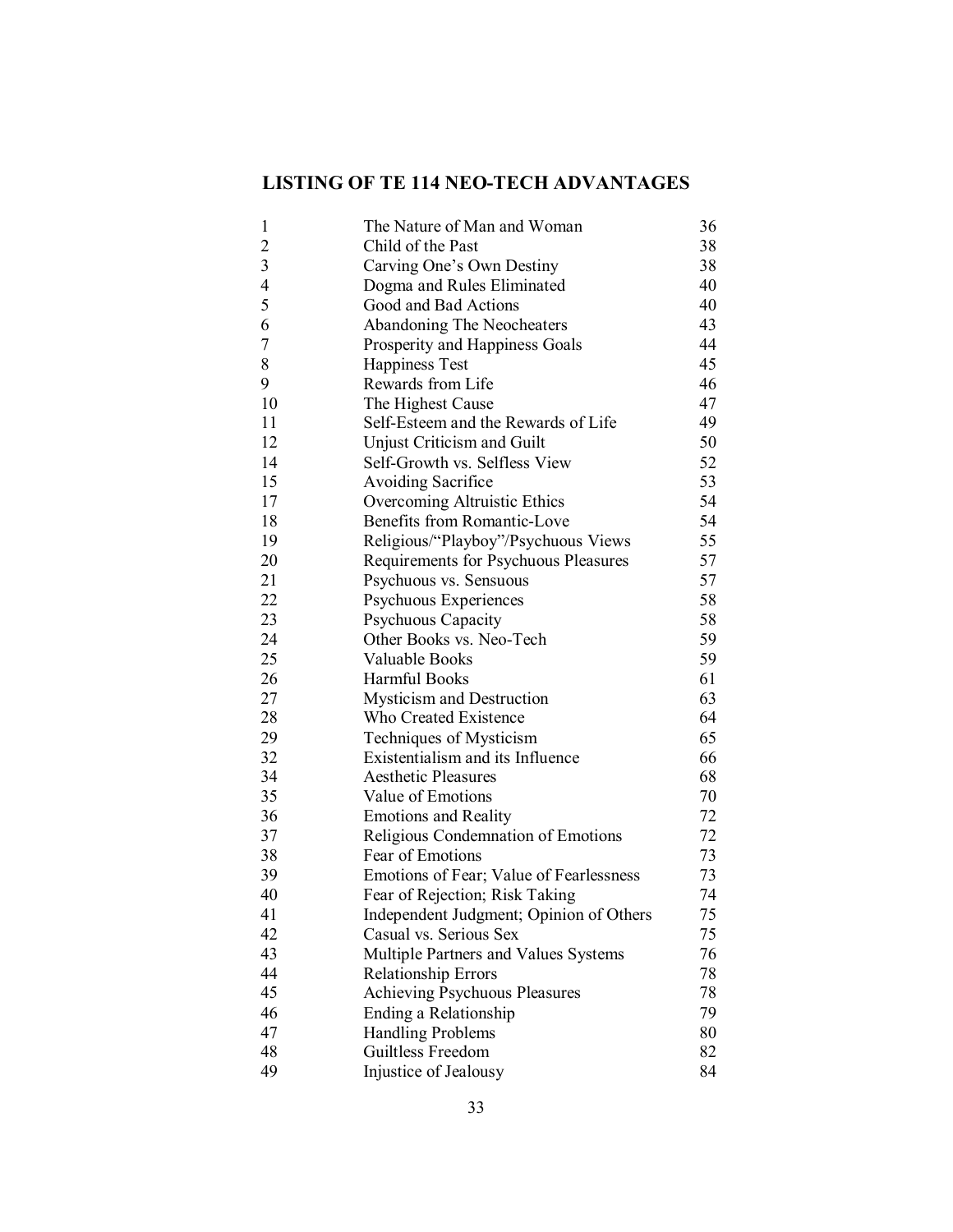# **LISTING OF TE 114 NEO-TECH ADVANTAGES**

| $\mathbf{1}$   | The Nature of Man and Woman             | 36 |
|----------------|-----------------------------------------|----|
| $\overline{c}$ | Child of the Past                       | 38 |
| 3              | Carving One's Own Destiny               | 38 |
| $\overline{4}$ | Dogma and Rules Eliminated              | 40 |
| 5              | Good and Bad Actions                    | 40 |
| 6              | Abandoning The Neocheaters              | 43 |
| 7              | Prosperity and Happiness Goals          | 44 |
| 8              | Happiness Test                          | 45 |
| 9              | Rewards from Life                       | 46 |
| 10             | The Highest Cause                       | 47 |
| 11             | Self-Esteem and the Rewards of Life     | 49 |
| 12             | Unjust Criticism and Guilt              | 50 |
| 14             | Self-Growth vs. Selfless View           | 52 |
| 15             | <b>Avoiding Sacrifice</b>               | 53 |
| 17             | Overcoming Altruistic Ethics            | 54 |
| 18             | Benefits from Romantic-Love             | 54 |
| 19             | Religious/"Playboy"/Psychuous Views     | 55 |
| 20             | Requirements for Psychuous Pleasures    | 57 |
| 21             | Psychuous vs. Sensuous                  | 57 |
| 22             | Psychuous Experiences                   | 58 |
| 23             | Psychuous Capacity                      | 58 |
| 24             | Other Books vs. Neo-Tech                | 59 |
| 25             | Valuable Books                          | 59 |
| 26             | Harmful Books                           | 61 |
| 27             | Mysticism and Destruction               | 63 |
| 28             | <b>Who Created Existence</b>            | 64 |
| 29             | Techniques of Mysticism                 | 65 |
| 32             | Existentialism and its Influence        | 66 |
| 34             | <b>Aesthetic Pleasures</b>              | 68 |
| 35             | Value of Emotions                       | 70 |
| 36             | <b>Emotions and Reality</b>             | 72 |
| 37             | Religious Condemnation of Emotions      | 72 |
| 38             | Fear of Emotions                        | 73 |
| 39             | Emotions of Fear; Value of Fearlessness | 73 |
| 40             | Fear of Rejection; Risk Taking          | 74 |
| 41             | Independent Judgment; Opinion of Others | 75 |
| 42             | Casual vs. Serious Sex                  | 75 |
| 43             | Multiple Partners and Values Systems    | 76 |
| 44             | <b>Relationship Errors</b>              | 78 |
| 45             | Achieving Psychuous Pleasures           | 78 |
| 46             | Ending a Relationship                   | 79 |
| 47             | <b>Handling Problems</b>                | 80 |
| 48             | Guiltless Freedom                       | 82 |
| 49             | Injustice of Jealousy                   | 84 |
|                |                                         |    |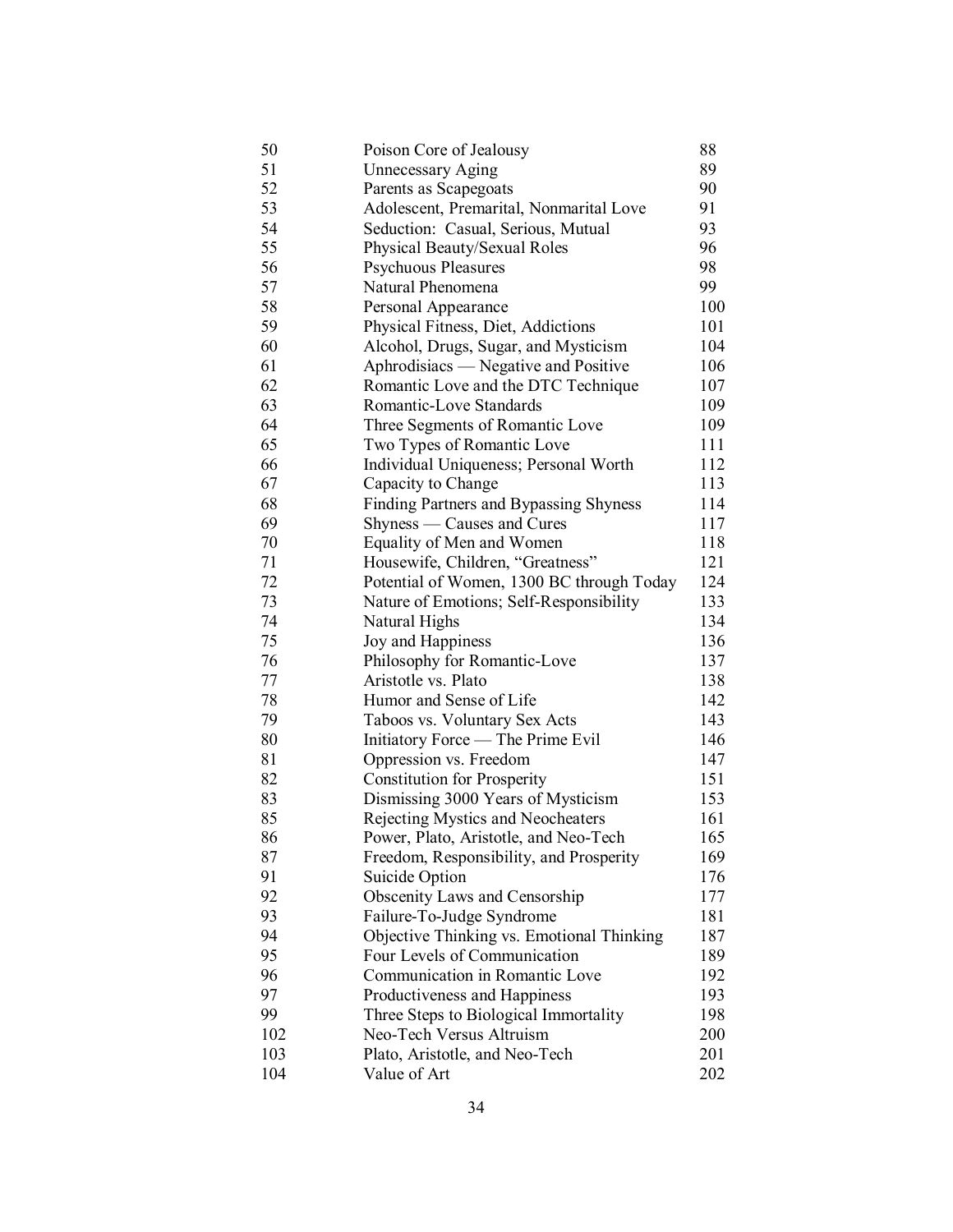| 50  | Poison Core of Jealousy                   | 88  |
|-----|-------------------------------------------|-----|
| 51  | Unnecessary Aging                         | 89  |
| 52  | Parents as Scapegoats                     | 90  |
| 53  | Adolescent, Premarital, Nonmarital Love   | 91  |
| 54  | Seduction: Casual, Serious, Mutual        | 93  |
| 55  | Physical Beauty/Sexual Roles              | 96  |
| 56  | <b>Psychuous Pleasures</b>                | 98  |
| 57  | Natural Phenomena                         | 99  |
| 58  | Personal Appearance                       | 100 |
| 59  | Physical Fitness, Diet, Addictions        | 101 |
| 60  | Alcohol, Drugs, Sugar, and Mysticism      | 104 |
| 61  | Aphrodisiacs — Negative and Positive      | 106 |
| 62  | Romantic Love and the DTC Technique       | 107 |
| 63  | Romantic-Love Standards                   | 109 |
| 64  | Three Segments of Romantic Love           | 109 |
| 65  | Two Types of Romantic Love                | 111 |
| 66  | Individual Uniqueness; Personal Worth     | 112 |
| 67  | Capacity to Change                        | 113 |
| 68  | Finding Partners and Bypassing Shyness    | 114 |
| 69  | Shyness — Causes and Cures                | 117 |
| 70  | Equality of Men and Women                 | 118 |
| 71  | Housewife, Children, "Greatness"          | 121 |
| 72  | Potential of Women, 1300 BC through Today | 124 |
| 73  | Nature of Emotions; Self-Responsibility   | 133 |
| 74  | Natural Highs                             | 134 |
| 75  | Joy and Happiness                         | 136 |
| 76  | Philosophy for Romantic-Love              | 137 |
| 77  | Aristotle vs. Plato                       | 138 |
| 78  | Humor and Sense of Life                   | 142 |
| 79  | Taboos vs. Voluntary Sex Acts             | 143 |
| 80  | Initiatory Force — The Prime Evil         | 146 |
| 81  | Oppression vs. Freedom                    | 147 |
| 82  | <b>Constitution for Prosperity</b>        | 151 |
| 83  | Dismissing 3000 Years of Mysticism        | 153 |
| 85  | Rejecting Mystics and Neocheaters         | 161 |
| 86  | Power, Plato, Aristotle, and Neo-Tech     | 165 |
| 87  | Freedom, Responsibility, and Prosperity   | 169 |
| 91  | Suicide Option                            | 176 |
| 92  | Obscenity Laws and Censorship             | 177 |
| 93  | Failure-To-Judge Syndrome                 | 181 |
| 94  | Objective Thinking vs. Emotional Thinking | 187 |
| 95  | Four Levels of Communication              | 189 |
| 96  | Communication in Romantic Love            | 192 |
| 97  | Productiveness and Happiness              | 193 |
| 99  | Three Steps to Biological Immortality     | 198 |
| 102 | Neo-Tech Versus Altruism                  | 200 |
| 103 | Plato, Aristotle, and Neo-Tech            | 201 |
| 104 | Value of Art                              | 202 |
|     |                                           |     |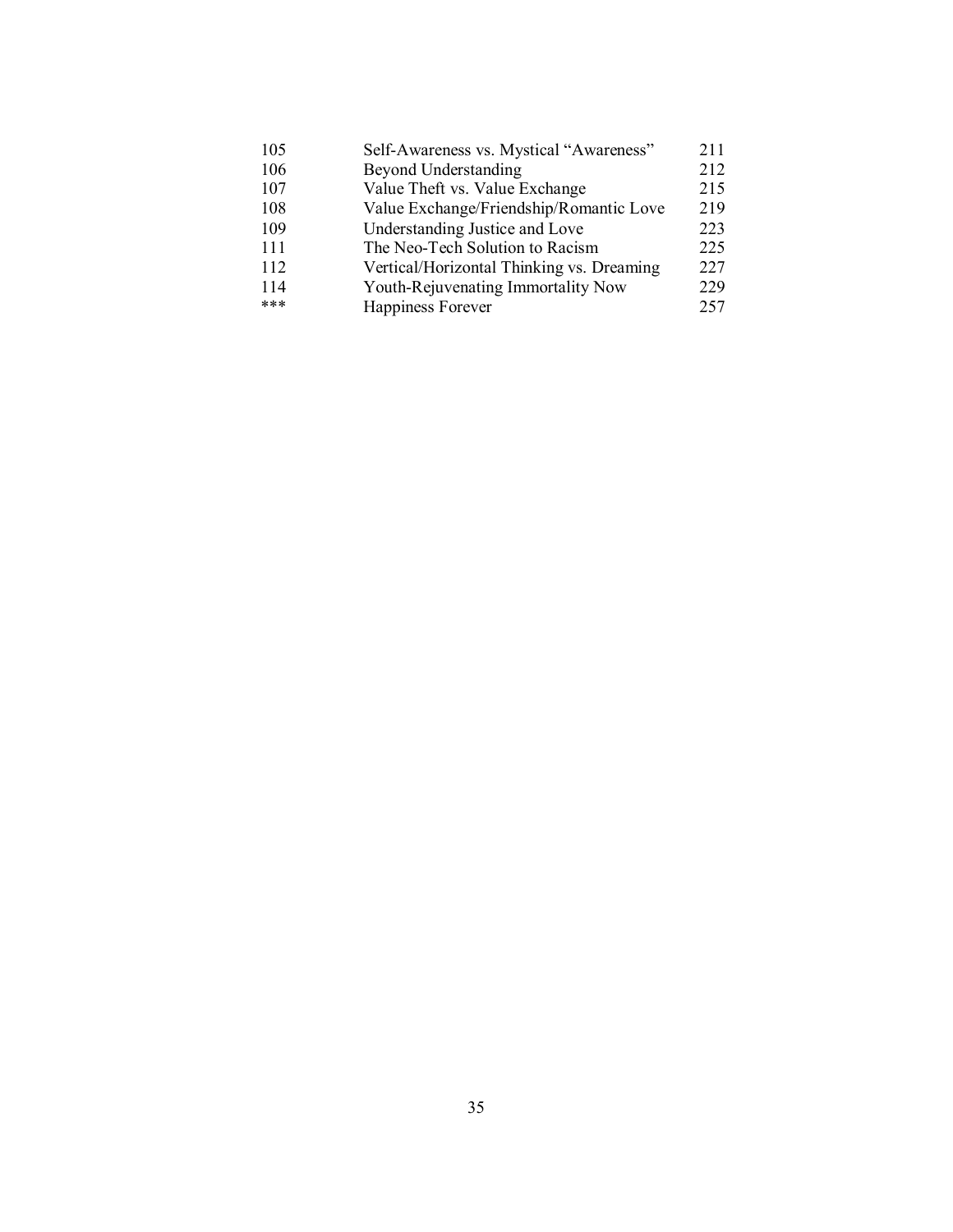| 105 | Self-Awareness vs. Mystical "Awareness"   | 211 |
|-----|-------------------------------------------|-----|
| 106 | <b>Beyond Understanding</b>               | 212 |
| 107 | Value Theft vs. Value Exchange            | 215 |
| 108 | Value Exchange/Friendship/Romantic Love   | 219 |
| 109 | Understanding Justice and Love            | 223 |
| 111 | The Neo-Tech Solution to Racism           | 225 |
| 112 | Vertical/Horizontal Thinking vs. Dreaming | 227 |
| 114 | Youth-Rejuvenating Immortality Now        | 229 |
| *** | Happiness Forever                         | 257 |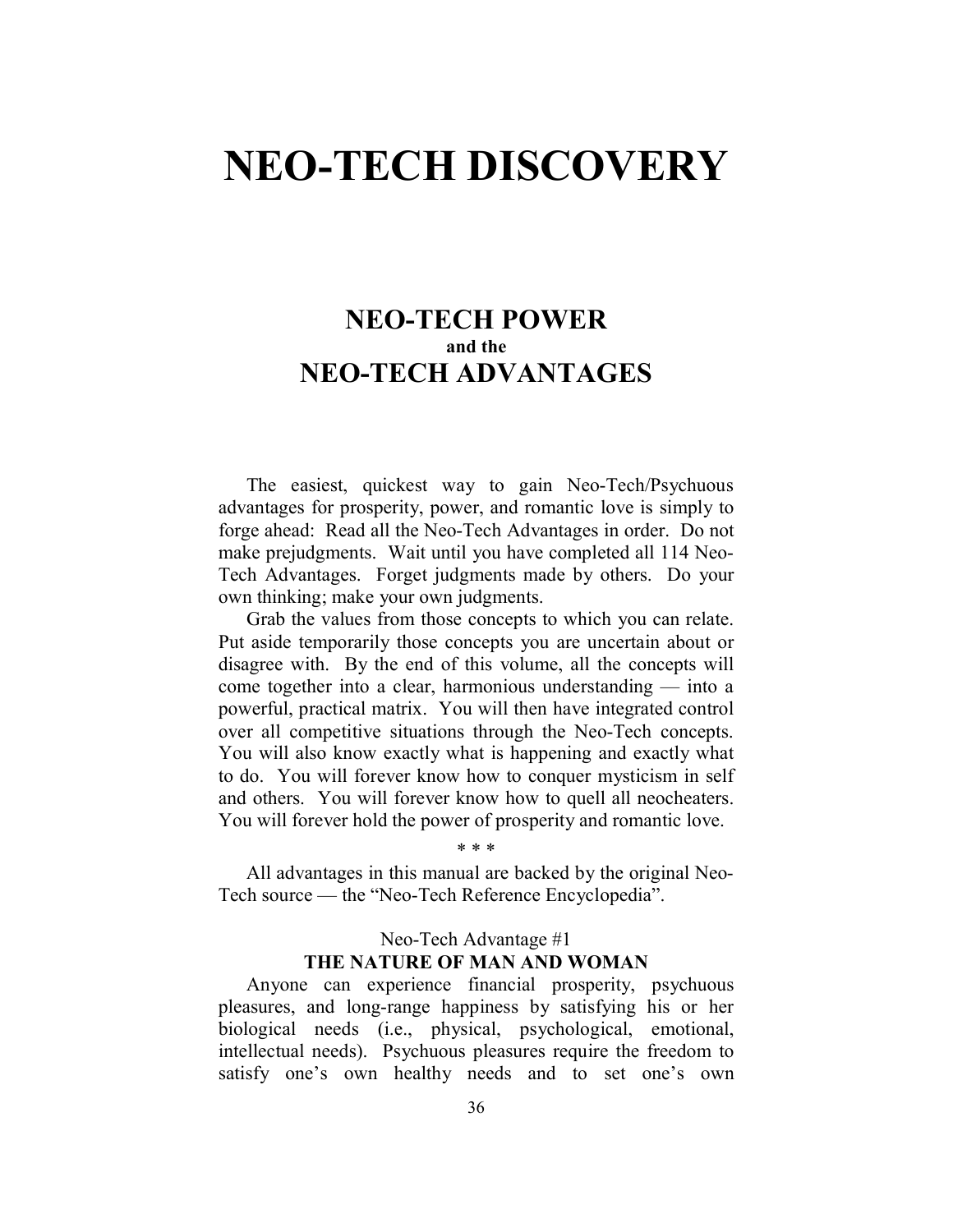# **NEO-TECH DISCOVERY**

# **NEO-TECH POWER and the NEO-TECH ADVANTAGES**

The easiest, quickest way to gain Neo-Tech/Psychuous advantages for prosperity, power, and romantic love is simply to forge ahead: Read all the Neo-Tech Advantages in order. Do not make prejudgments. Wait until you have completed all 114 Neo-Tech Advantages. Forget judgments made by others. Do your own thinking; make your own judgments.

Grab the values from those concepts to which you can relate. Put aside temporarily those concepts you are uncertain about or disagree with. By the end of this volume, all the concepts will come together into a clear, harmonious understanding — into a powerful, practical matrix. You will then have integrated control over all competitive situations through the Neo-Tech concepts. You will also know exactly what is happening and exactly what to do. You will forever know how to conquer mysticism in self and others. You will forever know how to quell all neocheaters. You will forever hold the power of prosperity and romantic love.

All advantages in this manual are backed by the original Neo-Tech source — the "Neo-Tech Reference Encyclopedia".

\* \* \*

# Neo-Tech Advantage #1 **THE NATURE OF MAN AND WOMAN**

Anyone can experience financial prosperity, psychuous pleasures, and long-range happiness by satisfying his or her biological needs (i.e., physical, psychological, emotional, intellectual needs). Psychuous pleasures require the freedom to satisfy one's own healthy needs and to set one's own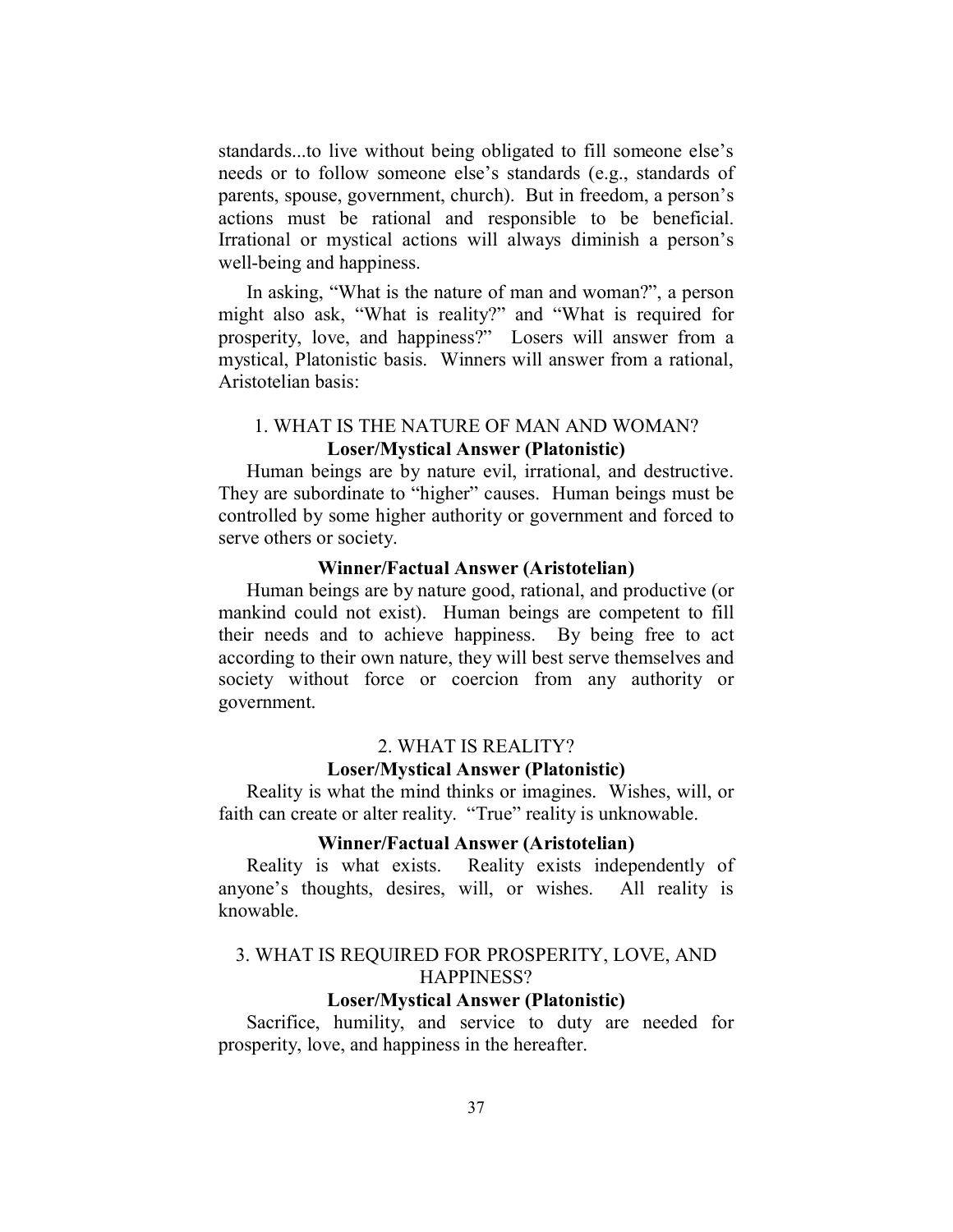standards...to live without being obligated to fill someone else's needs or to follow someone else's standards (e.g., standards of parents, spouse, government, church). But in freedom, a person's actions must be rational and responsible to be beneficial. Irrational or mystical actions will always diminish a person's well-being and happiness.

In asking, "What is the nature of man and woman?", a person might also ask, "What is reality?" and "What is required for prosperity, love, and happiness?" Losers will answer from a mystical, Platonistic basis. Winners will answer from a rational, Aristotelian basis:

# 1. WHAT IS THE NATURE OF MAN AND WOMAN? **Loser/Mystical Answer (Platonistic)**

Human beings are by nature evil, irrational, and destructive. They are subordinate to "higher" causes. Human beings must be controlled by some higher authority or government and forced to serve others or society.

## **Winner/Factual Answer (Aristotelian)**

Human beings are by nature good, rational, and productive (or mankind could not exist). Human beings are competent to fill their needs and to achieve happiness. By being free to act according to their own nature, they will best serve themselves and society without force or coercion from any authority or government.

## 2. WHAT IS REALITY?

## **Loser/Mystical Answer (Platonistic)**

Reality is what the mind thinks or imagines. Wishes, will, or faith can create or alter reality. "True" reality is unknowable.

## **Winner/Factual Answer (Aristotelian)**

Reality is what exists. Reality exists independently of anyone's thoughts, desires, will, or wishes. All reality is knowable.

## 3. WHAT IS REQUIRED FOR PROSPERITY, LOVE, AND HAPPINESS?

## **Loser/Mystical Answer (Platonistic)**

Sacrifice, humility, and service to duty are needed for prosperity, love, and happiness in the hereafter.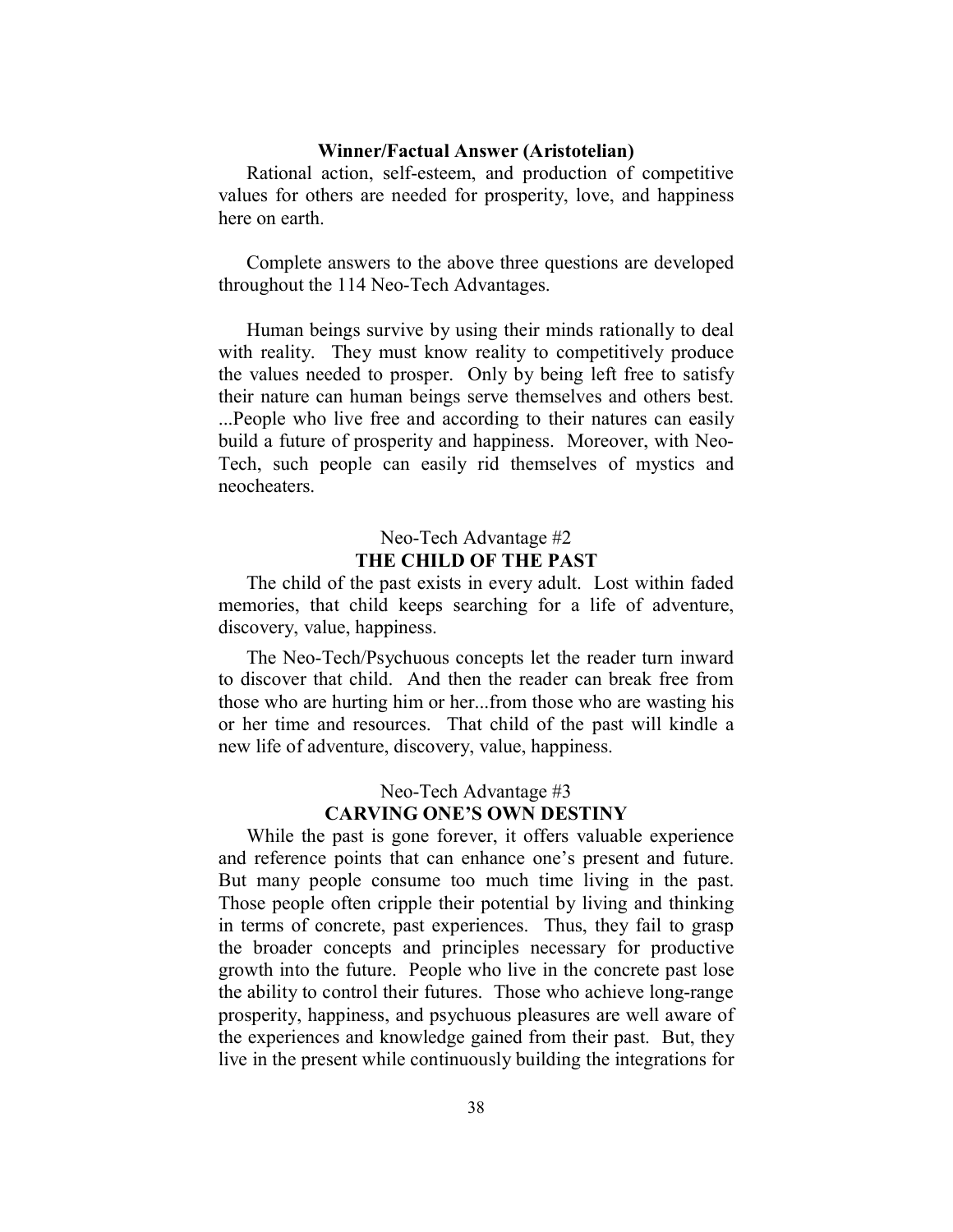## **Winner/Factual Answer (Aristotelian)**

Rational action, self-esteem, and production of competitive values for others are needed for prosperity, love, and happiness here on earth.

Complete answers to the above three questions are developed throughout the 114 Neo-Tech Advantages.

Human beings survive by using their minds rationally to deal with reality. They must know reality to competitively produce the values needed to prosper. Only by being left free to satisfy their nature can human beings serve themselves and others best. ...People who live free and according to their natures can easily build a future of prosperity and happiness. Moreover, with Neo-Tech, such people can easily rid themselves of mystics and neocheaters.

# Neo-Tech Advantage #2 **THE CHILD OF THE PAST**

The child of the past exists in every adult. Lost within faded memories, that child keeps searching for a life of adventure, discovery, value, happiness.

The Neo-Tech/Psychuous concepts let the reader turn inward to discover that child. And then the reader can break free from those who are hurting him or her...from those who are wasting his or her time and resources. That child of the past will kindle a new life of adventure, discovery, value, happiness.

# Neo-Tech Advantage #3 **CARVING ONE'S OWN DESTINY**

While the past is gone forever, it offers valuable experience and reference points that can enhance one's present and future. But many people consume too much time living in the past. Those people often cripple their potential by living and thinking in terms of concrete, past experiences. Thus, they fail to grasp the broader concepts and principles necessary for productive growth into the future. People who live in the concrete past lose the ability to control their futures. Those who achieve long-range prosperity, happiness, and psychuous pleasures are well aware of the experiences and knowledge gained from their past. But, they live in the present while continuously building the integrations for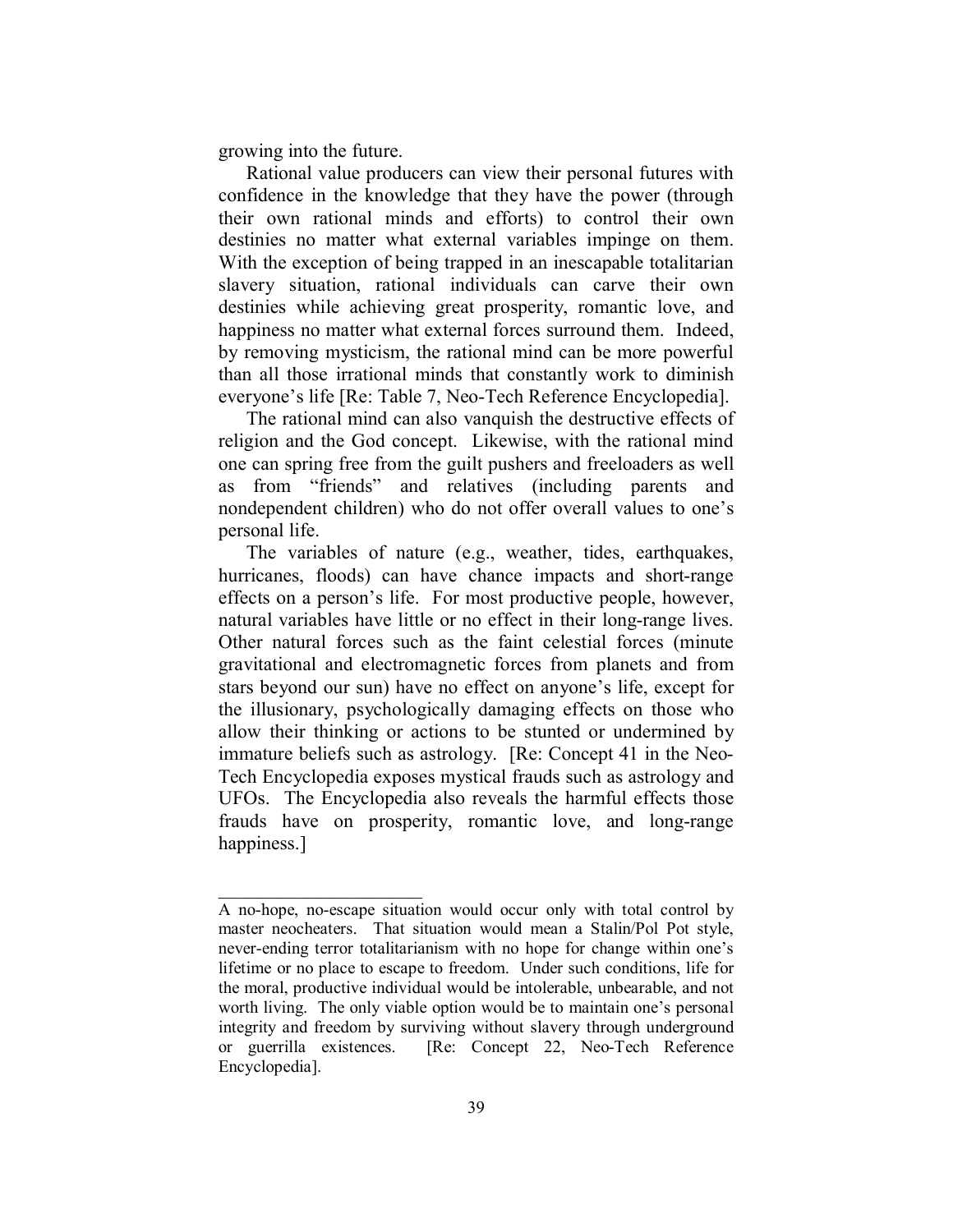growing into the future.

Rational value producers can view their personal futures with confidence in the knowledge that they have the power (through their own rational minds and efforts) to control their own destinies no matter what external variables impinge on them. With the exception of being trapped in an inescapable totalitarian slavery situation, rational individuals can carve their own destinies while achieving great prosperity, romantic love, and happiness no matter what external forces surround them. Indeed, by removing mysticism, the rational mind can be more powerful than all those irrational minds that constantly work to diminish everyone's life [Re: Table 7, Neo-Tech Reference Encyclopedia].

The rational mind can also vanquish the destructive effects of religion and the God concept. Likewise, with the rational mind one can spring free from the guilt pushers and freeloaders as well as from "friends" and relatives (including parents and nondependent children) who do not offer overall values to one's personal life.

The variables of nature (e.g., weather, tides, earthquakes, hurricanes, floods) can have chance impacts and short-range effects on a person's life. For most productive people, however, natural variables have little or no effect in their long-range lives. Other natural forces such as the faint celestial forces (minute gravitational and electromagnetic forces from planets and from stars beyond our sun) have no effect on anyone's life, except for the illusionary, psychologically damaging effects on those who allow their thinking or actions to be stunted or undermined by immature beliefs such as astrology. [Re: Concept 41 in the Neo-Tech Encyclopedia exposes mystical frauds such as astrology and UFOs. The Encyclopedia also reveals the harmful effects those frauds have on prosperity, romantic love, and long-range happiness.]

A no-hope, no-escape situation would occur only with total control by master neocheaters. That situation would mean a Stalin/Pol Pot style, never-ending terror totalitarianism with no hope for change within one's lifetime or no place to escape to freedom. Under such conditions, life for the moral, productive individual would be intolerable, unbearable, and not worth living. The only viable option would be to maintain one's personal integrity and freedom by surviving without slavery through underground or guerrilla existences. [Re: Concept 22, Neo-Tech Reference Encyclopedia].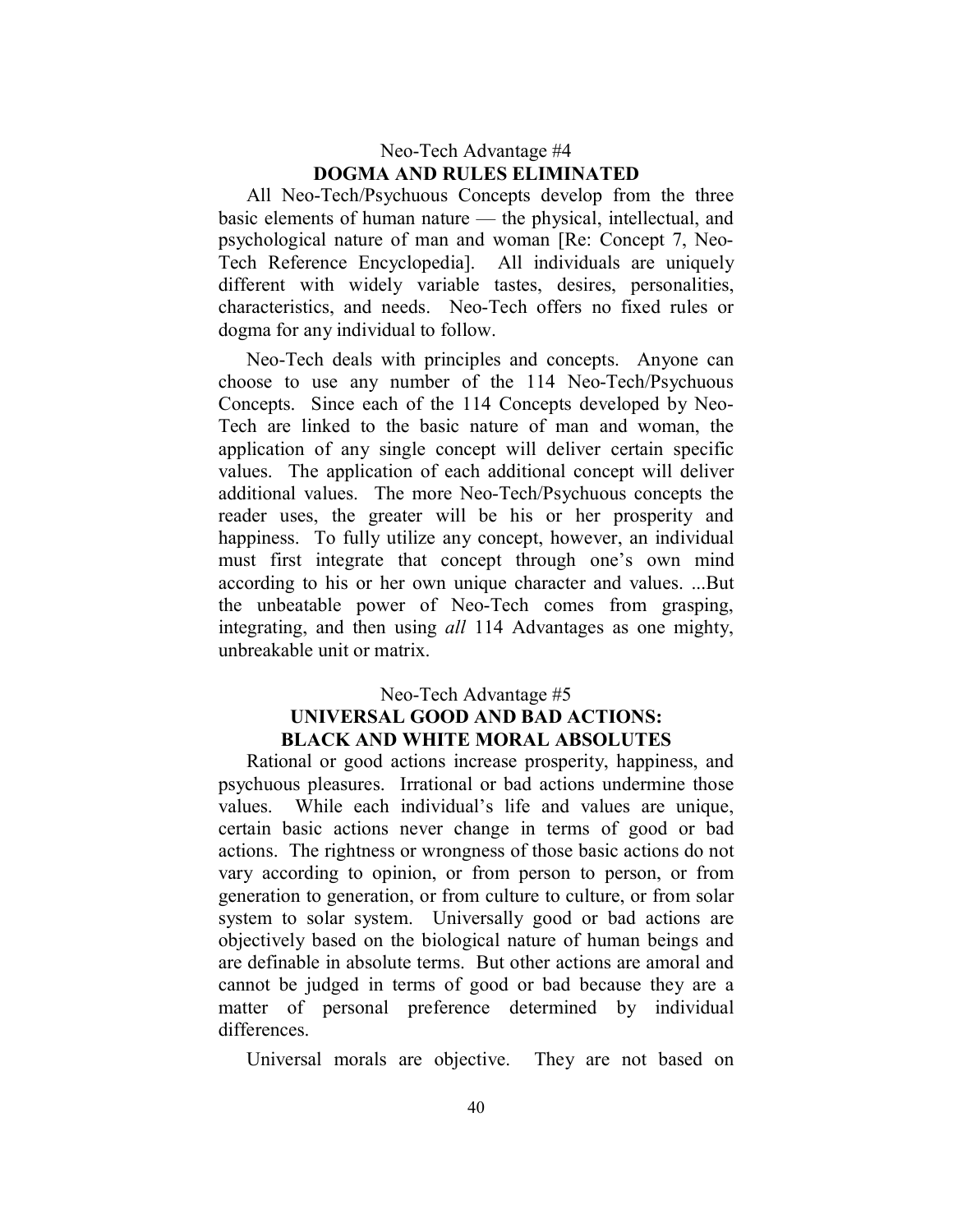# Neo-Tech Advantage #4 **DOGMA AND RULES ELIMINATED**

All Neo-Tech/Psychuous Concepts develop from the three basic elements of human nature — the physical, intellectual, and psychological nature of man and woman [Re: Concept 7, Neo-Tech Reference Encyclopedia]. All individuals are uniquely different with widely variable tastes, desires, personalities, characteristics, and needs. Neo-Tech offers no fixed rules or dogma for any individual to follow.

Neo-Tech deals with principles and concepts. Anyone can choose to use any number of the 114 Neo-Tech/Psychuous Concepts. Since each of the 114 Concepts developed by Neo-Tech are linked to the basic nature of man and woman, the application of any single concept will deliver certain specific values. The application of each additional concept will deliver additional values. The more Neo-Tech/Psychuous concepts the reader uses, the greater will be his or her prosperity and happiness. To fully utilize any concept, however, an individual must first integrate that concept through one's own mind according to his or her own unique character and values. ...But the unbeatable power of Neo-Tech comes from grasping, integrating, and then using *all* 114 Advantages as one mighty, unbreakable unit or matrix.

# Neo-Tech Advantage #5 **UNIVERSAL GOOD AND BAD ACTIONS: BLACK AND WHITE MORAL ABSOLUTES**

Rational or good actions increase prosperity, happiness, and psychuous pleasures. Irrational or bad actions undermine those values. While each individual's life and values are unique, certain basic actions never change in terms of good or bad actions. The rightness or wrongness of those basic actions do not vary according to opinion, or from person to person, or from generation to generation, or from culture to culture, or from solar system to solar system. Universally good or bad actions are objectively based on the biological nature of human beings and are definable in absolute terms. But other actions are amoral and cannot be judged in terms of good or bad because they are a matter of personal preference determined by individual differences.

Universal morals are objective. They are not based on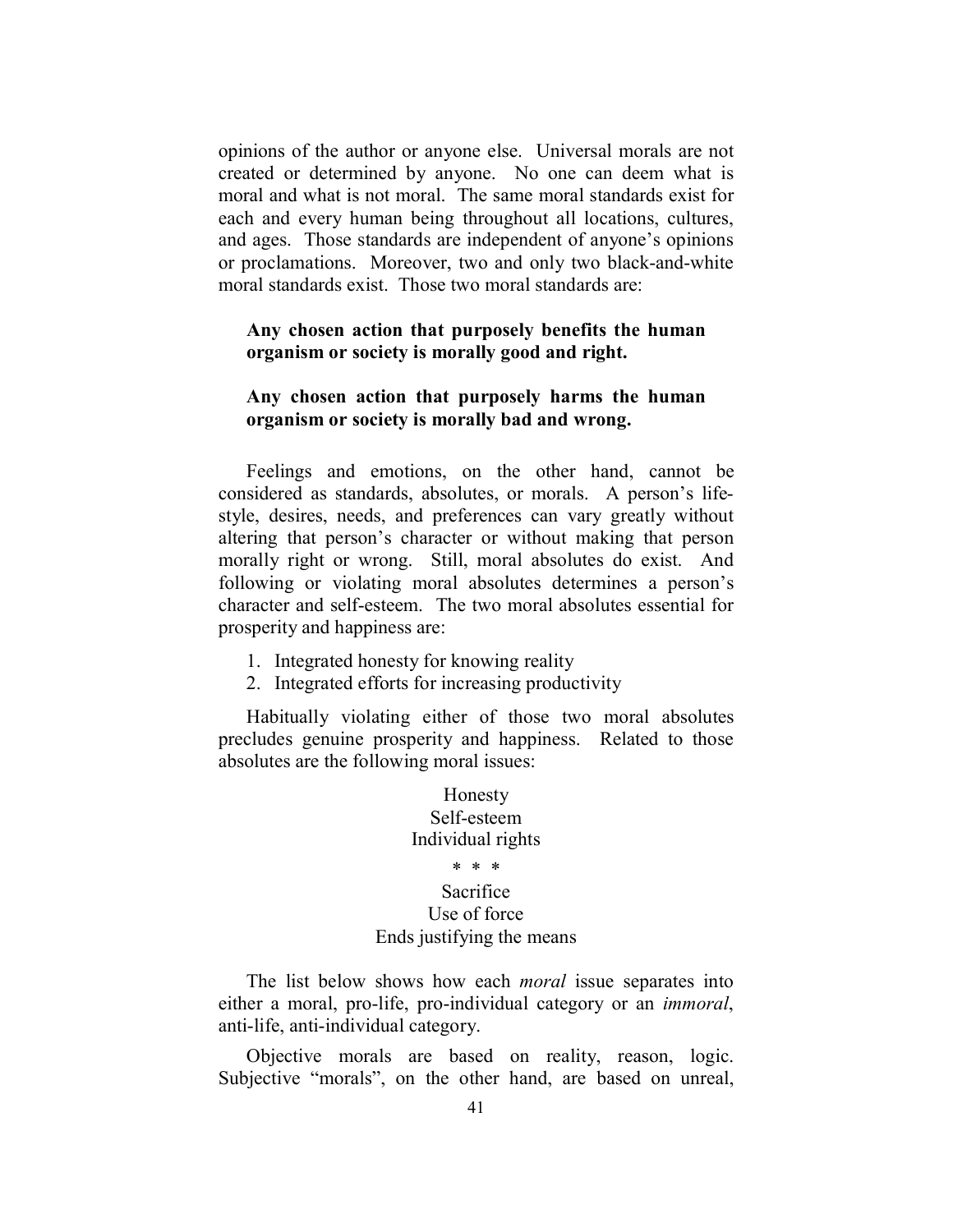opinions of the author or anyone else. Universal morals are not created or determined by anyone. No one can deem what is moral and what is not moral. The same moral standards exist for each and every human being throughout all locations, cultures, and ages. Those standards are independent of anyone's opinions or proclamations. Moreover, two and only two black-and-white moral standards exist. Those two moral standards are:

# **Any chosen action that purposely benefits the human organism or society is morally good and right.**

# **Any chosen action that purposely harms the human organism or society is morally bad and wrong.**

Feelings and emotions, on the other hand, cannot be considered as standards, absolutes, or morals. A person's lifestyle, desires, needs, and preferences can vary greatly without altering that person's character or without making that person morally right or wrong. Still, moral absolutes do exist. And following or violating moral absolutes determines a person's character and self-esteem. The two moral absolutes essential for prosperity and happiness are:

- 1. Integrated honesty for knowing reality
- 2. Integrated efforts for increasing productivity

Habitually violating either of those two moral absolutes precludes genuine prosperity and happiness. Related to those absolutes are the following moral issues:

# Honesty Self-esteem Individual rights

# \* \* \* Sacrifice

# Use of force Ends justifying the means

The list below shows how each *moral* issue separates into either a moral, pro-life, pro-individual category or an *immoral*, anti-life, anti-individual category.

Objective morals are based on reality, reason, logic. Subjective "morals", on the other hand, are based on unreal,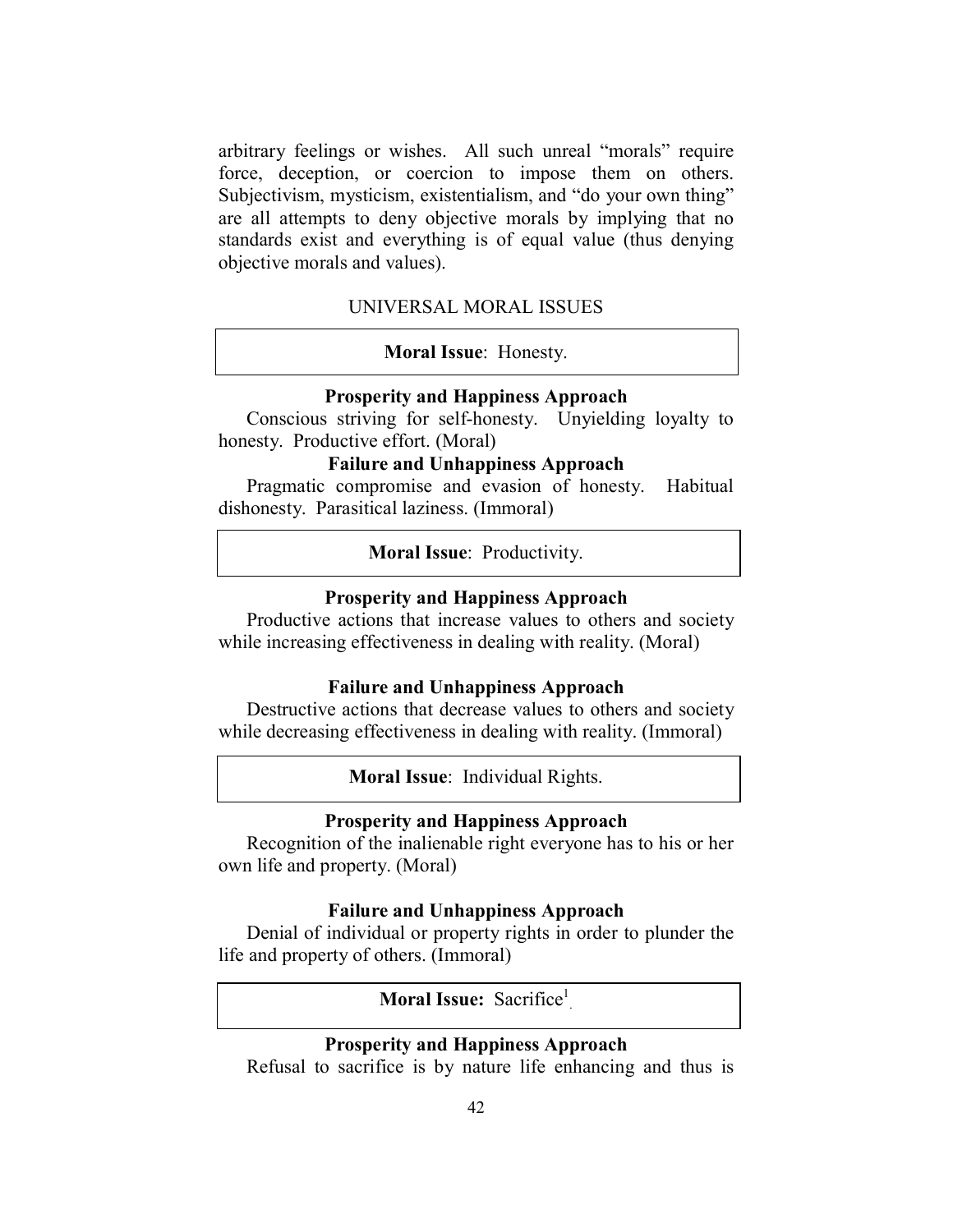arbitrary feelings or wishes. All such unreal "morals" require force, deception, or coercion to impose them on others. Subjectivism, mysticism, existentialism, and "do your own thing" are all attempts to deny objective morals by implying that no standards exist and everything is of equal value (thus denying objective morals and values).

# UNIVERSAL MORAL ISSUES

## **Moral Issue**: Honesty.

# **Prosperity and Happiness Approach**

Conscious striving for self-honesty. Unyielding loyalty to honesty. Productive effort. (Moral)

## **Failure and Unhappiness Approach**

Pragmatic compromise and evasion of honesty. Habitual dishonesty. Parasitical laziness. (Immoral)

**Moral Issue**: Productivity.

## **Prosperity and Happiness Approach**

Productive actions that increase values to others and society while increasing effectiveness in dealing with reality. (Moral)

## **Failure and Unhappiness Approach**

Destructive actions that decrease values to others and society while decreasing effectiveness in dealing with reality. (Immoral)

**Moral Issue**: Individual Rights.

# **Prosperity and Happiness Approach**

Recognition of the inalienable right everyone has to his or her own life and property. (Moral)

## **Failure and Unhappiness Approach**

Denial of individual or property rights in order to plunder the life and property of others. (Immoral)

**Moral Issue:** Sacrifice<sup>1</sup>.

# **Prosperity and Happiness Approach**

Refusal to sacrifice is by nature life enhancing and thus is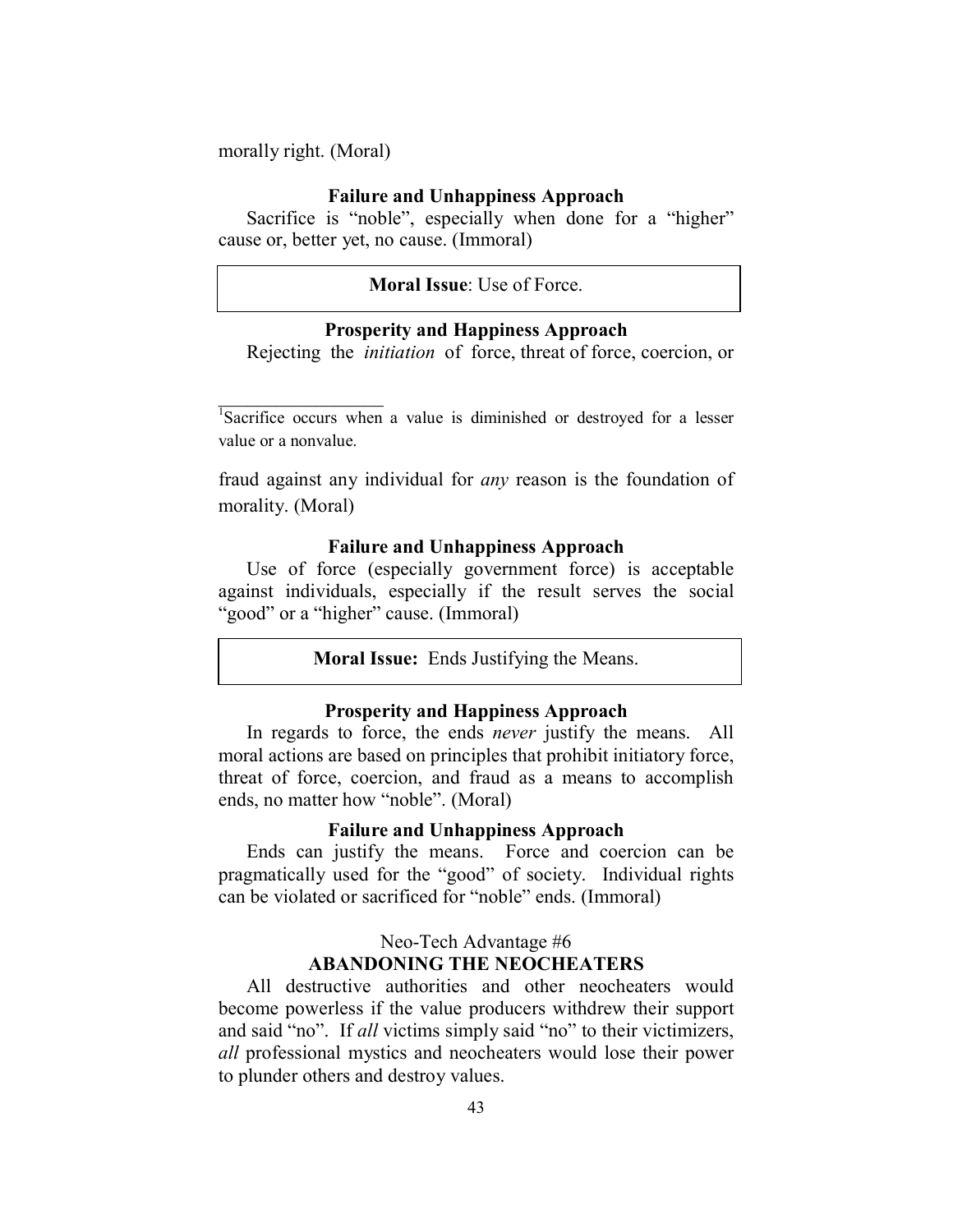morally right. (Moral)

 $\mathcal{L}_\text{max}$  and  $\mathcal{L}_\text{max}$  and  $\mathcal{L}_\text{max}$ 

# **Failure and Unhappiness Approach**

Sacrifice is "noble", especially when done for a "higher" cause or, better yet, no cause. (Immoral)

# **Moral Issue**: Use of Force.

## **Prosperity and Happiness Approach**

Rejecting the *initiation* of force, threat of force, coercion, or

fraud against any individual for *any* reason is the foundation of morality. (Moral)

## **Failure and Unhappiness Approach**

Use of force (especially government force) is acceptable against individuals, especially if the result serves the social "good" or a "higher" cause. (Immoral)

# **Moral Issue:** Ends Justifying the Means.

## **Prosperity and Happiness Approach**

In regards to force, the ends *never* justify the means. All moral actions are based on principles that prohibit initiatory force, threat of force, coercion, and fraud as a means to accomplish ends, no matter how "noble". (Moral)

## **Failure and Unhappiness Approach**

Ends can justify the means. Force and coercion can be pragmatically used for the "good" of society. Individual rights can be violated or sacrificed for "noble" ends. (Immoral)

# Neo-Tech Advantage #6 **ABANDONING THE NEOCHEATERS**

All destructive authorities and other neocheaters would become powerless if the value producers withdrew their support and said "no". If *all* victims simply said "no" to their victimizers, *all* professional mystics and neocheaters would lose their power to plunder others and destroy values.

<sup>&</sup>lt;sup>1</sup>Sacrifice occurs when a value is diminished or destroyed for a lesser value or a nonvalue.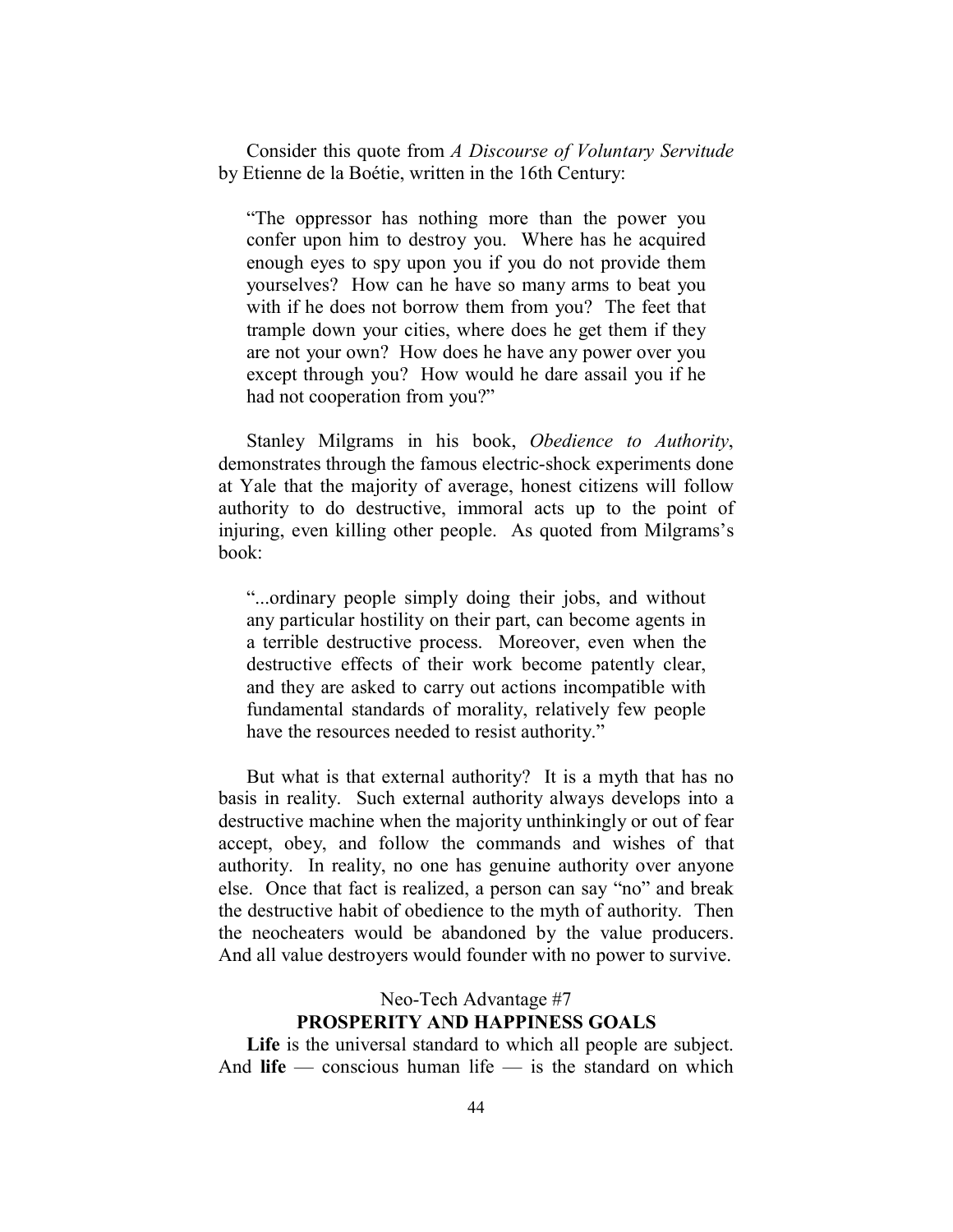Consider this quote from *A Discourse of Voluntary Servitude*  by Etienne de la Boétie, written in the 16th Century:

"The oppressor has nothing more than the power you confer upon him to destroy you. Where has he acquired enough eyes to spy upon you if you do not provide them yourselves? How can he have so many arms to beat you with if he does not borrow them from you? The feet that trample down your cities, where does he get them if they are not your own? How does he have any power over you except through you? How would he dare assail you if he had not cooperation from you?"

Stanley Milgrams in his book, *Obedience to Authority*, demonstrates through the famous electric-shock experiments done at Yale that the majority of average, honest citizens will follow authority to do destructive, immoral acts up to the point of injuring, even killing other people. As quoted from Milgrams's book:

"...ordinary people simply doing their jobs, and without any particular hostility on their part, can become agents in a terrible destructive process. Moreover, even when the destructive effects of their work become patently clear, and they are asked to carry out actions incompatible with fundamental standards of morality, relatively few people have the resources needed to resist authority."

But what is that external authority? It is a myth that has no basis in reality. Such external authority always develops into a destructive machine when the majority unthinkingly or out of fear accept, obey, and follow the commands and wishes of that authority. In reality, no one has genuine authority over anyone else. Once that fact is realized, a person can say "no" and break the destructive habit of obedience to the myth of authority. Then the neocheaters would be abandoned by the value producers. And all value destroyers would founder with no power to survive.

# Neo-Tech Advantage #7

## **PROSPERITY AND HAPPINESS GOALS**

**Life** is the universal standard to which all people are subject. And **life** — conscious human life — is the standard on which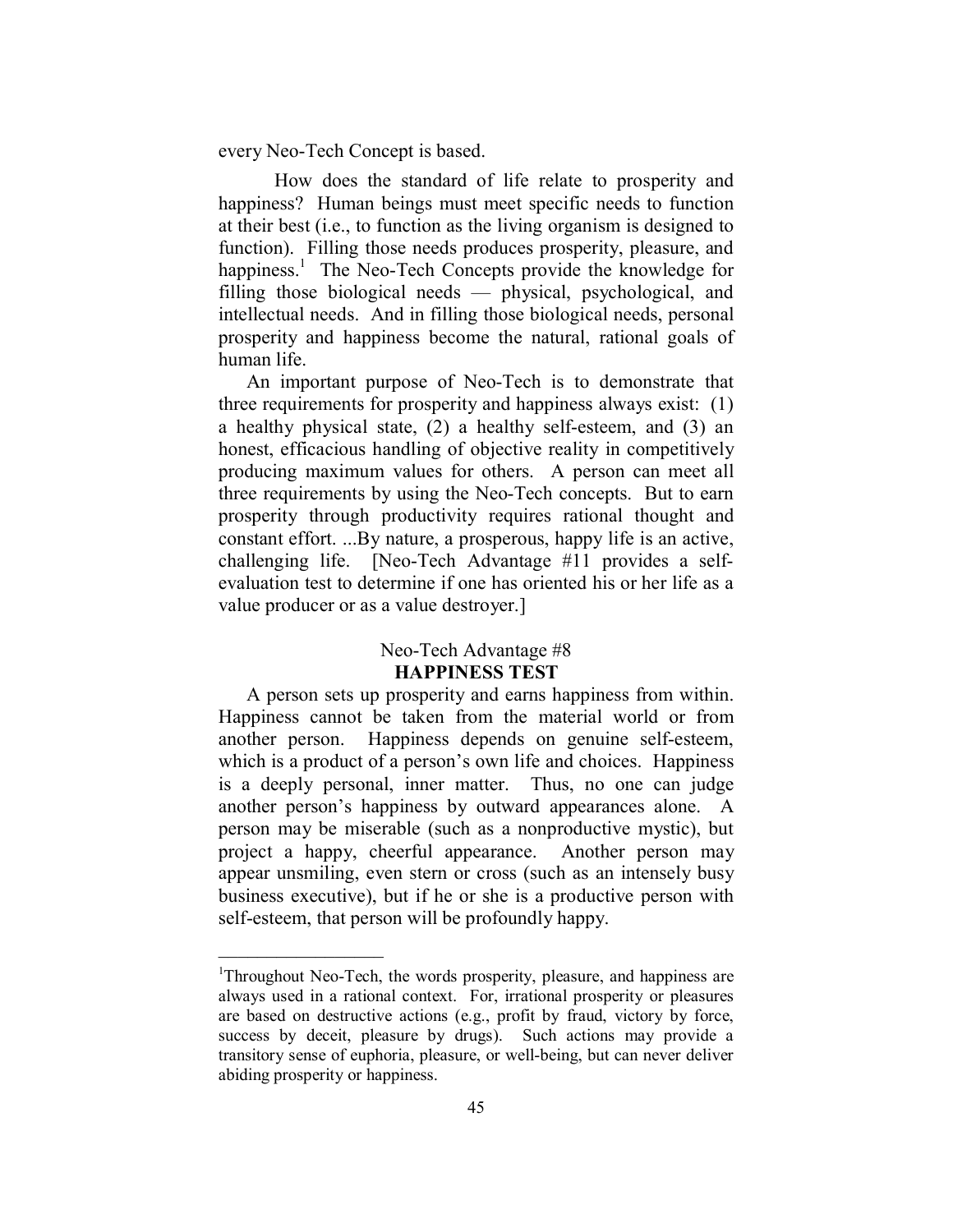every Neo-Tech Concept is based.

How does the standard of life relate to prosperity and happiness? Human beings must meet specific needs to function at their best (i.e., to function as the living organism is designed to function). Filling those needs produces prosperity, pleasure, and happiness.<sup>1</sup> The Neo-Tech Concepts provide the knowledge for filling those biological needs — physical, psychological, and intellectual needs. And in filling those biological needs, personal prosperity and happiness become the natural, rational goals of human life.

An important purpose of Neo-Tech is to demonstrate that three requirements for prosperity and happiness always exist: (1) a healthy physical state, (2) a healthy self-esteem, and (3) an honest, efficacious handling of objective reality in competitively producing maximum values for others. A person can meet all three requirements by using the Neo-Tech concepts. But to earn prosperity through productivity requires rational thought and constant effort. ...By nature, a prosperous, happy life is an active, challenging life. [Neo-Tech Advantage #11 provides a selfevaluation test to determine if one has oriented his or her life as a value producer or as a value destroyer.]

## Neo-Tech Advantage #8 **HAPPINESS TEST**

A person sets up prosperity and earns happiness from within. Happiness cannot be taken from the material world or from another person. Happiness depends on genuine self-esteem, which is a product of a person's own life and choices. Happiness is a deeply personal, inner matter. Thus, no one can judge another person's happiness by outward appearances alone. A person may be miserable (such as a nonproductive mystic), but project a happy, cheerful appearance. Another person may appear unsmiling, even stern or cross (such as an intensely busy business executive), but if he or she is a productive person with self-esteem, that person will be profoundly happy.

<sup>&</sup>lt;sup>1</sup>Throughout Neo-Tech, the words prosperity, pleasure, and happiness are always used in a rational context. For, irrational prosperity or pleasures are based on destructive actions (e.g., profit by fraud, victory by force, success by deceit, pleasure by drugs). Such actions may provide a transitory sense of euphoria, pleasure, or well-being, but can never deliver abiding prosperity or happiness.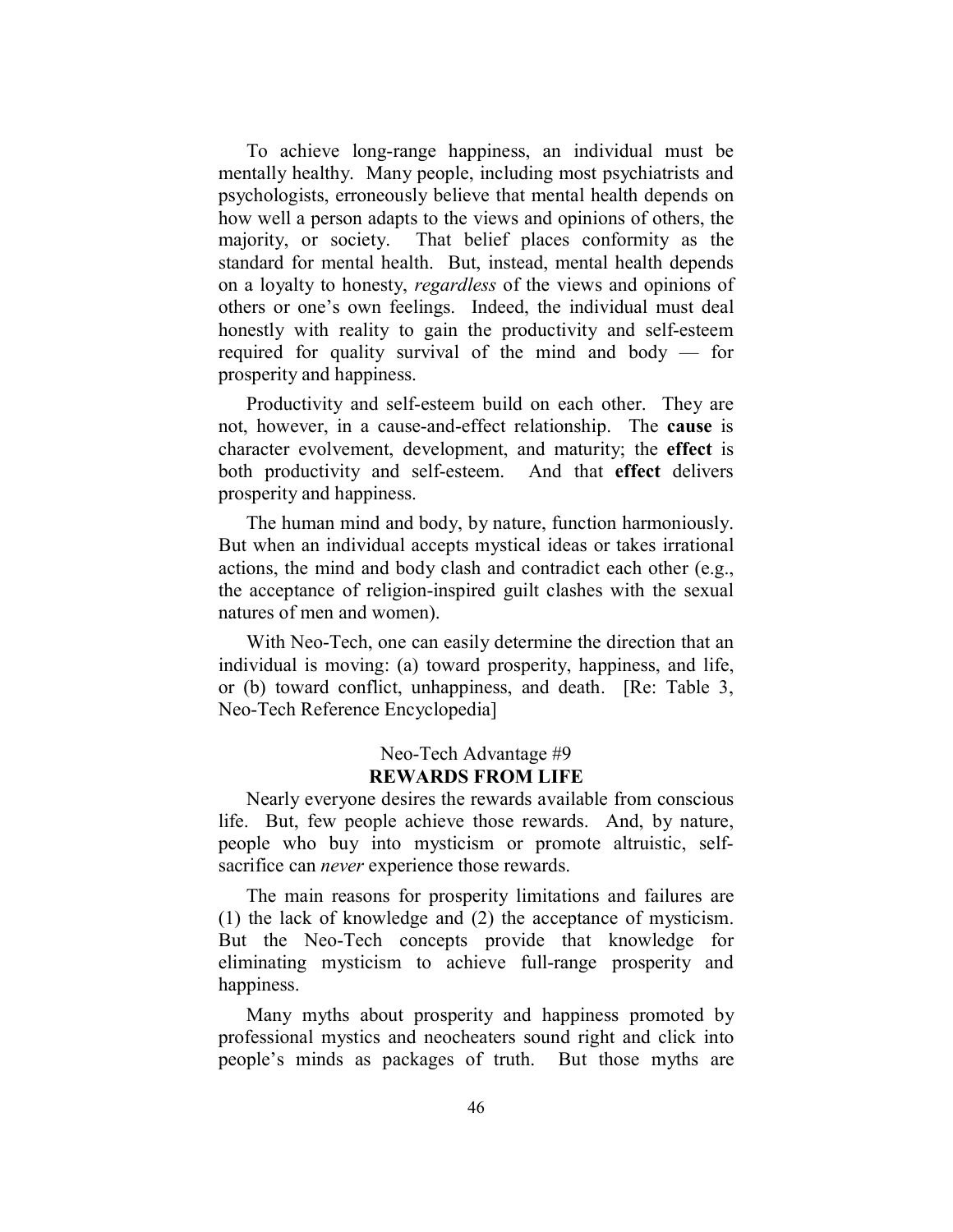To achieve long-range happiness, an individual must be mentally healthy. Many people, including most psychiatrists and psychologists, erroneously believe that mental health depends on how well a person adapts to the views and opinions of others, the majority, or society. That belief places conformity as the standard for mental health. But, instead, mental health depends on a loyalty to honesty, *regardless* of the views and opinions of others or one's own feelings. Indeed, the individual must deal honestly with reality to gain the productivity and self-esteem required for quality survival of the mind and body — for prosperity and happiness.

Productivity and self-esteem build on each other. They are not, however, in a cause-and-effect relationship. The **cause** is character evolvement, development, and maturity; the **effect** is both productivity and self-esteem. And that **effect** delivers prosperity and happiness.

The human mind and body, by nature, function harmoniously. But when an individual accepts mystical ideas or takes irrational actions, the mind and body clash and contradict each other (e.g., the acceptance of religion-inspired guilt clashes with the sexual natures of men and women).

With Neo-Tech, one can easily determine the direction that an individual is moving: (a) toward prosperity, happiness, and life, or (b) toward conflict, unhappiness, and death. [Re: Table 3, Neo-Tech Reference Encyclopedia]

# Neo-Tech Advantage #9 **REWARDS FROM LIFE**

Nearly everyone desires the rewards available from conscious life. But, few people achieve those rewards. And, by nature, people who buy into mysticism or promote altruistic, selfsacrifice can *never* experience those rewards.

The main reasons for prosperity limitations and failures are (1) the lack of knowledge and (2) the acceptance of mysticism. But the Neo-Tech concepts provide that knowledge for eliminating mysticism to achieve full-range prosperity and happiness.

Many myths about prosperity and happiness promoted by professional mystics and neocheaters sound right and click into people's minds as packages of truth. But those myths are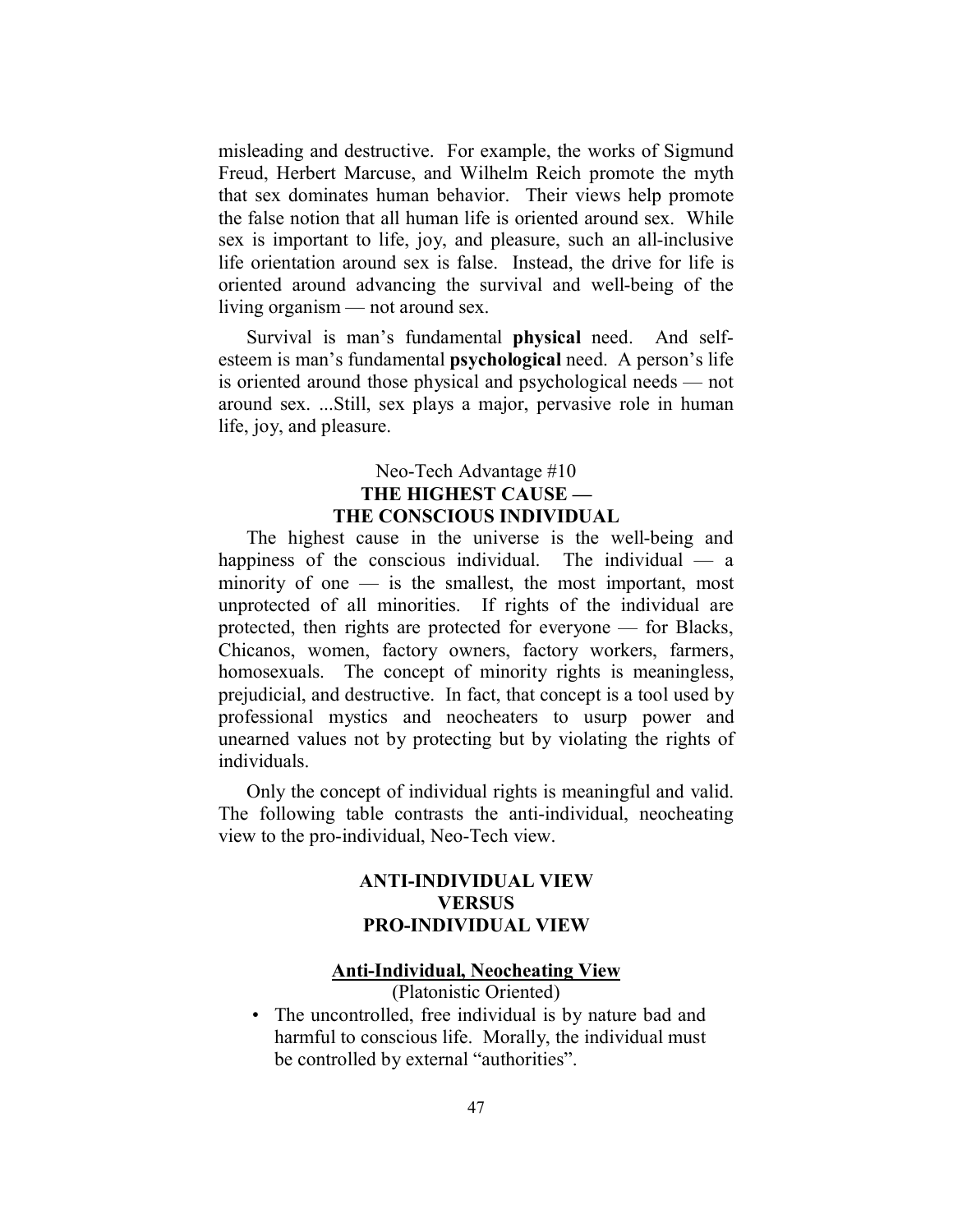misleading and destructive. For example, the works of Sigmund Freud, Herbert Marcuse, and Wilhelm Reich promote the myth that sex dominates human behavior. Their views help promote the false notion that all human life is oriented around sex. While sex is important to life, joy, and pleasure, such an all-inclusive life orientation around sex is false. Instead, the drive for life is oriented around advancing the survival and well-being of the living organism — not around sex.

Survival is man's fundamental **physical** need. And selfesteem is man's fundamental **psychological** need. A person's life is oriented around those physical and psychological needs — not around sex. ...Still, sex plays a major, pervasive role in human life, joy, and pleasure.

# Neo-Tech Advantage #10 **THE HIGHEST CAUSE — THE CONSCIOUS INDIVIDUAL**

The highest cause in the universe is the well-being and happiness of the conscious individual. The individual — a minority of one  $\frac{1}{\sqrt{2}}$  is the smallest, the most important, most unprotected of all minorities. If rights of the individual are protected, then rights are protected for everyone — for Blacks, Chicanos, women, factory owners, factory workers, farmers, homosexuals. The concept of minority rights is meaningless, prejudicial, and destructive. In fact, that concept is a tool used by professional mystics and neocheaters to usurp power and unearned values not by protecting but by violating the rights of individuals.

Only the concept of individual rights is meaningful and valid. The following table contrasts the anti-individual, neocheating view to the pro-individual, Neo-Tech view.

# **ANTI-INDIVIDUAL VIEW VERSUS PRO-INDIVIDUAL VIEW**

## **Anti-Individual, Neocheating View**

(Platonistic Oriented)

• The uncontrolled, free individual is by nature bad and harmful to conscious life. Morally, the individual must be controlled by external "authorities".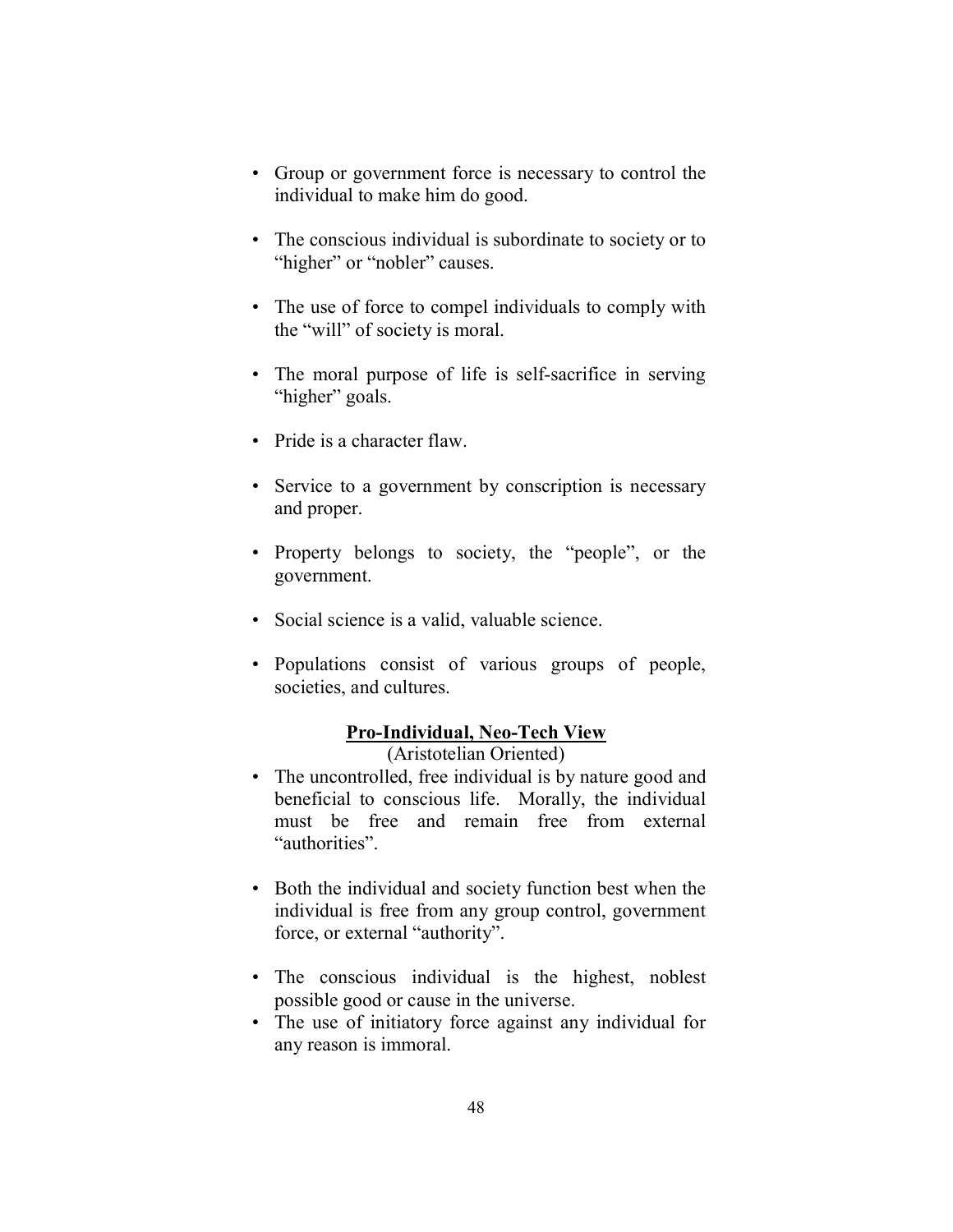- Group or government force is necessary to control the individual to make him do good.
- The conscious individual is subordinate to society or to "higher" or "nobler" causes.
- The use of force to compel individuals to comply with the "will" of society is moral.
- The moral purpose of life is self-sacrifice in serving "higher" goals.
- Pride is a character flaw.
- Service to a government by conscription is necessary and proper.
- Property belongs to society, the "people", or the government.
- Social science is a valid, valuable science.
- Populations consist of various groups of people, societies, and cultures.

# **Pro-Individual, Neo-Tech View**

(Aristotelian Oriented)

- The uncontrolled, free individual is by nature good and beneficial to conscious life. Morally, the individual must be free and remain free from external "authorities".
- Both the individual and society function best when the individual is free from any group control, government force, or external "authority".
- The conscious individual is the highest, noblest possible good or cause in the universe.
- The use of initiatory force against any individual for any reason is immoral.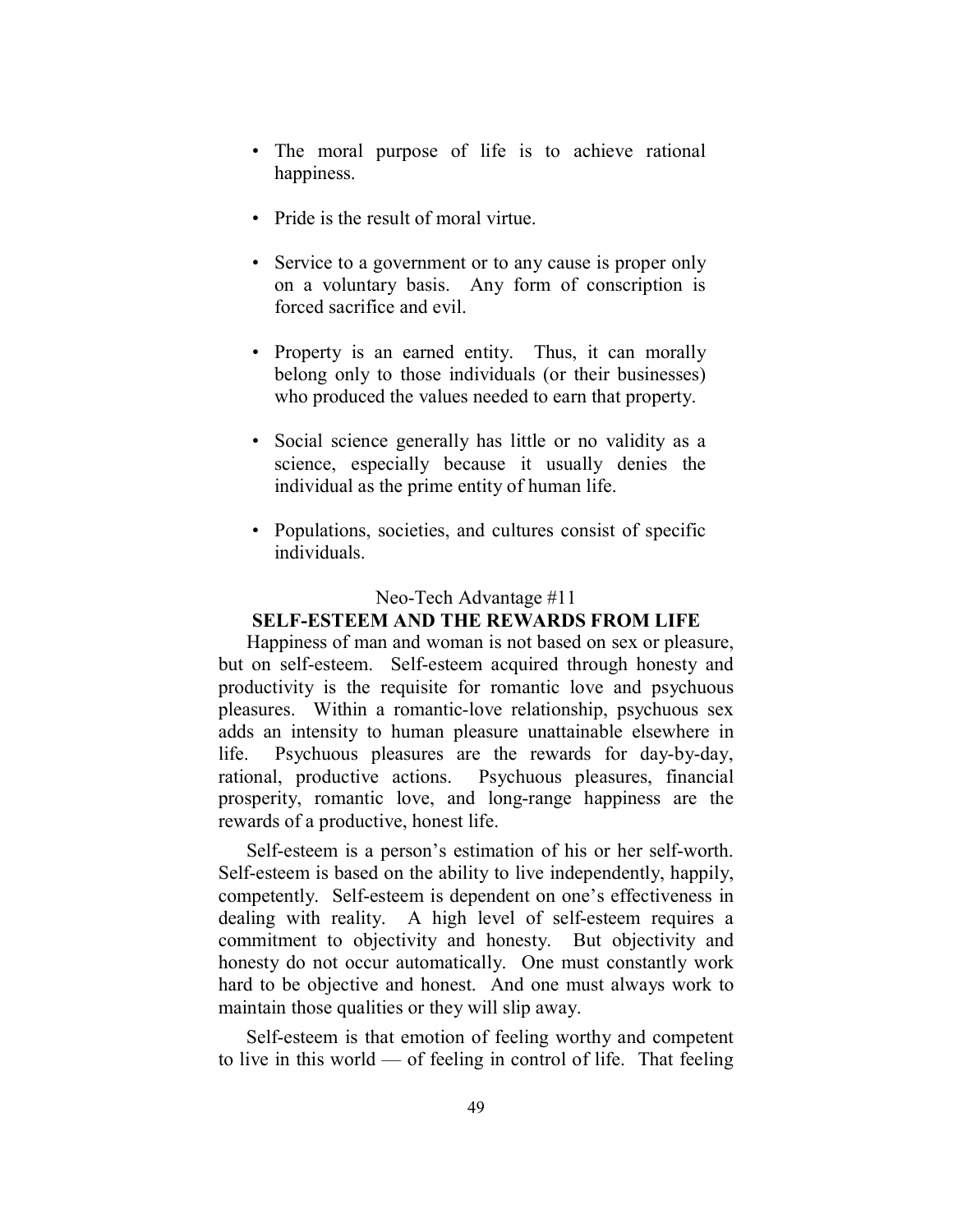- The moral purpose of life is to achieve rational happiness.
- Pride is the result of moral virtue.
- Service to a government or to any cause is proper only on a voluntary basis. Any form of conscription is forced sacrifice and evil.
- Property is an earned entity. Thus, it can morally belong only to those individuals (or their businesses) who produced the values needed to earn that property.
- Social science generally has little or no validity as a science, especially because it usually denies the individual as the prime entity of human life.
- Populations, societies, and cultures consist of specific individuals.

## Neo-Tech Advantage #11

## **SELF-ESTEEM AND THE REWARDS FROM LIFE**

Happiness of man and woman is not based on sex or pleasure, but on self-esteem. Self-esteem acquired through honesty and productivity is the requisite for romantic love and psychuous pleasures. Within a romantic-love relationship, psychuous sex adds an intensity to human pleasure unattainable elsewhere in life. Psychuous pleasures are the rewards for day-by-day, rational, productive actions. Psychuous pleasures, financial prosperity, romantic love, and long-range happiness are the rewards of a productive, honest life.

Self-esteem is a person's estimation of his or her self-worth. Self-esteem is based on the ability to live independently, happily, competently. Self-esteem is dependent on one's effectiveness in dealing with reality. A high level of self-esteem requires a commitment to objectivity and honesty. But objectivity and honesty do not occur automatically. One must constantly work hard to be objective and honest. And one must always work to maintain those qualities or they will slip away.

Self-esteem is that emotion of feeling worthy and competent to live in this world — of feeling in control of life. That feeling